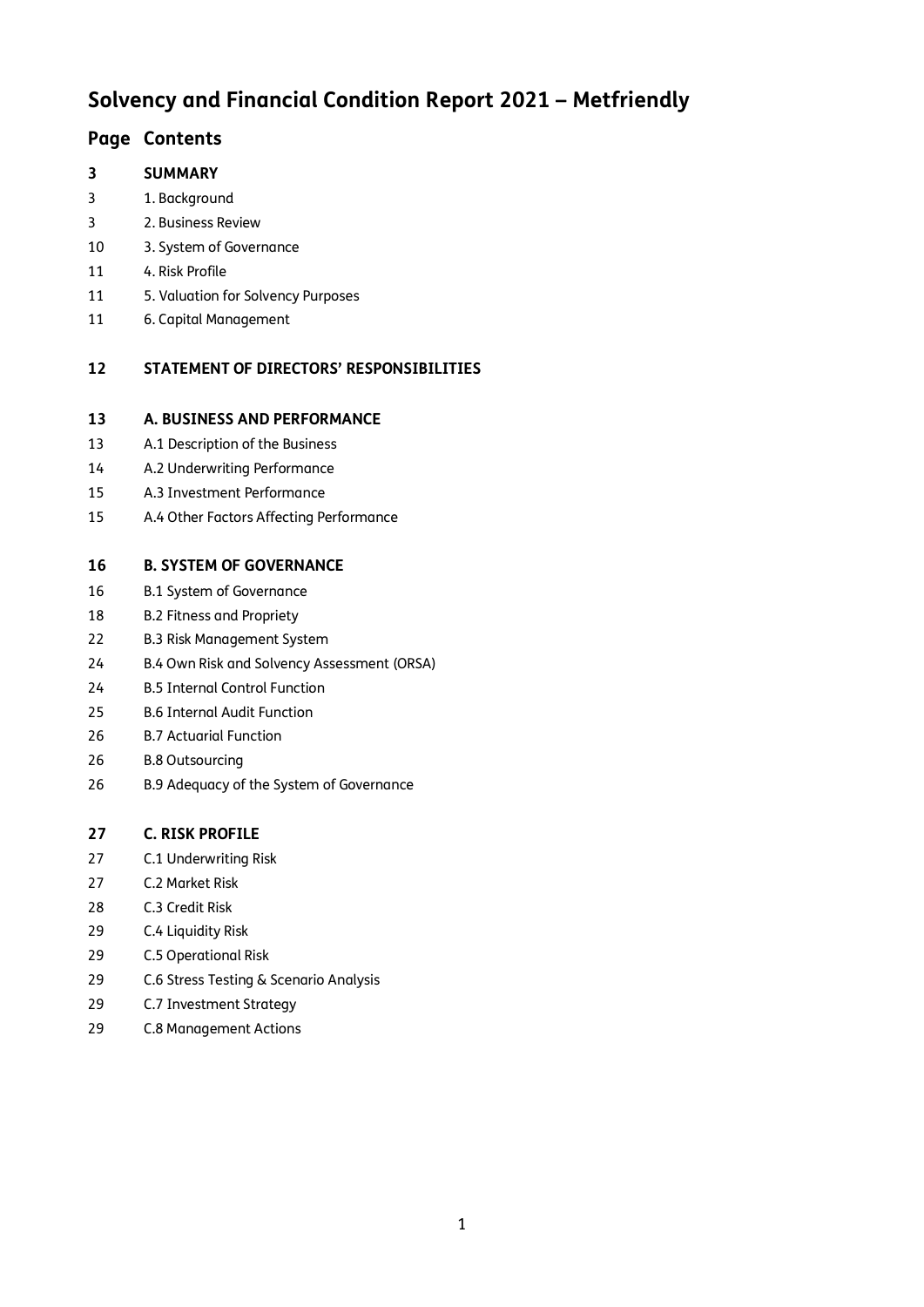# **Solvency and Financial Condition Report 2021 – Metfriendly**

# **Page Contents**

# **SUMMARY**

- 1. Background
- 2. Business Review
- 3. System of Governance
- 4. Risk Profile
- 5. Valuation for Solvency Purposes
- 6. Capital Management

# **STATEMENT OF DIRECTORS' RESPONSIBILITIES**

### **A. BUSINESS AND PERFORMANCE**

- A.1 Description of the Business
- A.2 Underwriting Performance
- A.3 Investment Performance
- A.4 Other Factors Affecting Performance

# **B. SYSTEM OF GOVERNANCE**

- B.1 System of Governance
- B.2 Fitness and Propriety
- B.3 Risk Management System
- B.4 Own Risk and Solvency Assessment (ORSA)
- B.5 Internal Control Function
- B.6 Internal Audit Function
- B.7 Actuarial Function
- B.8 Outsourcing
- B.9 Adequacy of the System of Governance

# **C. RISK PROFILE**

- C.1 Underwriting Risk
- C.2 Market Risk
- C.3 Credit Risk
- C.4 Liquidity Risk
- C.5 Operational Risk
- C.6 Stress Testing & Scenario Analysis
- C.7 Investment Strategy
- C.8 Management Actions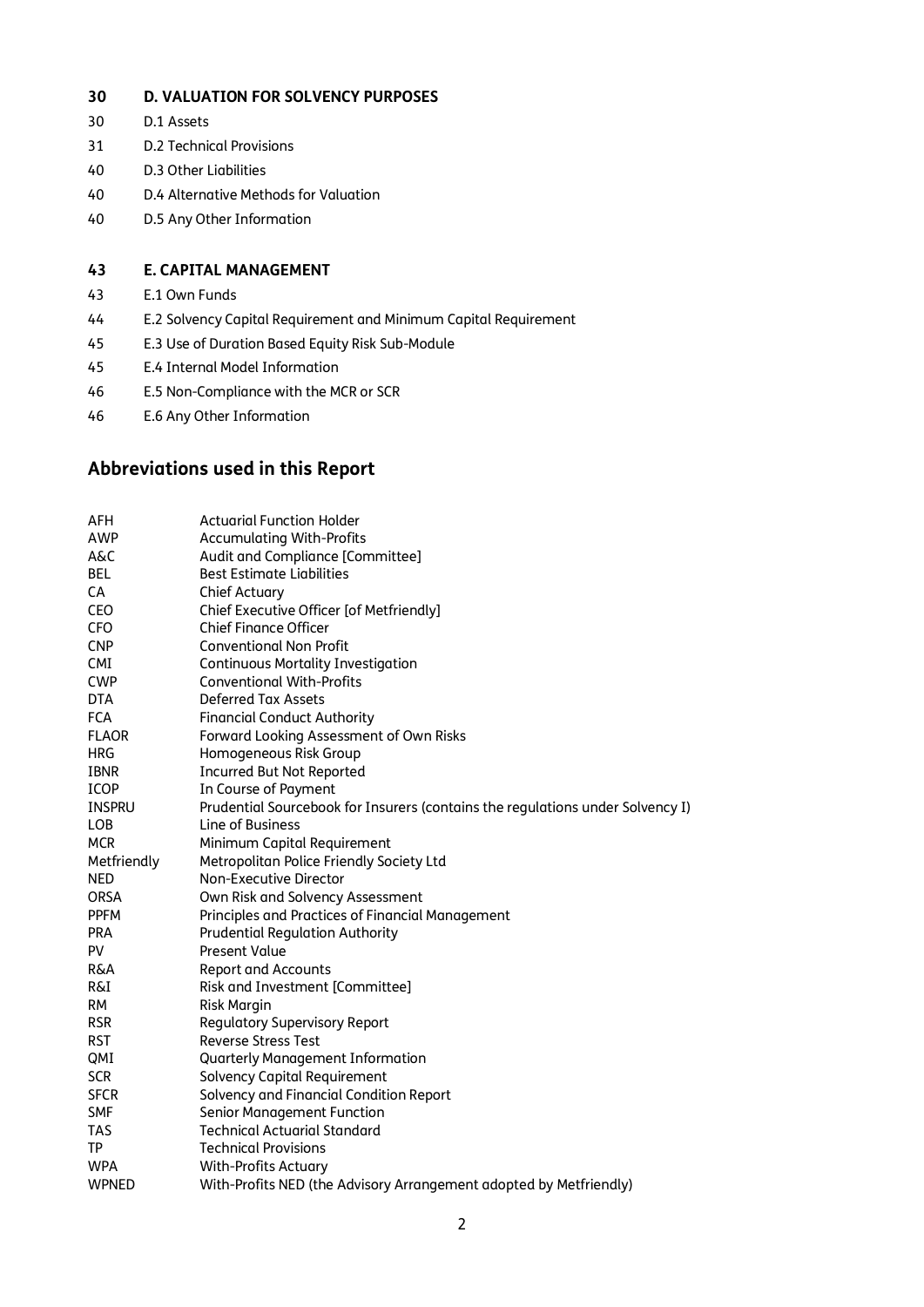#### **30 D. VALUATION FOR SOLVENCY PURPOSES**

- 30 D.1 Assets
- 31 D.2 Technical Provisions
- 40 D.3 Other Liabilities
- 40 D.4 Alternative Methods for Valuation
- 40 D.5 Any Other Information

#### **43 E. CAPITAL MANAGEMENT**

- 43 E.1 Own Funds
- 44 E.2 Solvency Capital Requirement and Minimum Capital Requirement
- 45 E.3 Use of Duration Based Equity Risk Sub-Module
- 45 E.4 Internal Model Information
- 46 E.5 Non-Compliance with the MCR or SCR
- 46 E.6 Any Other Information

# **Abbreviations used in this Report**

| <b>AFH</b>     | <b>Actuarial Function Holder</b>                                               |
|----------------|--------------------------------------------------------------------------------|
| <b>AWP</b>     | <b>Accumulating With-Profits</b>                                               |
| A&C            | Audit and Compliance [Committee]                                               |
| <b>BEL</b>     | <b>Best Estimate Liabilities</b>                                               |
| <b>CA</b>      | <b>Chief Actuary</b>                                                           |
| <b>CEO</b>     | Chief Executive Officer [of Metfriendly]                                       |
| <b>CFO</b>     | <b>Chief Finance Officer</b>                                                   |
| <b>CNP</b>     | <b>Conventional Non Profit</b>                                                 |
| <b>CMI</b>     | <b>Continuous Mortality Investigation</b>                                      |
| <b>CWP</b>     | <b>Conventional With-Profits</b>                                               |
| <b>DTA</b>     | <b>Deferred Tax Assets</b>                                                     |
| <b>FCA</b>     | <b>Financial Conduct Authority</b>                                             |
| <b>FLAOR</b>   | Forward Looking Assessment of Own Risks                                        |
| <b>HRG</b>     | Homogeneous Risk Group                                                         |
| <b>IBNR</b>    | <b>Incurred But Not Reported</b>                                               |
| <b>ICOP</b>    | In Course of Payment                                                           |
| <b>INSPRU</b>  | Prudential Sourcebook for Insurers (contains the regulations under Solvency I) |
| <b>LOB</b>     | Line of Business                                                               |
| <b>MCR</b>     | Minimum Capital Requirement                                                    |
| Metfriendly    | Metropolitan Police Friendly Society Ltd                                       |
| <b>NED</b>     | Non-Executive Director                                                         |
| <b>ORSA</b>    | Own Risk and Solvency Assessment                                               |
| <b>PPFM</b>    | Principles and Practices of Financial Management                               |
| <b>PRA</b>     | <b>Prudential Regulation Authority</b>                                         |
| PV             | <b>Present Value</b>                                                           |
| <b>R&amp;A</b> | <b>Report and Accounts</b>                                                     |
| <b>R&amp;I</b> | Risk and Investment [Committee]                                                |
| <b>RM</b>      | <b>Risk Margin</b>                                                             |
| <b>RSR</b>     | <b>Regulatory Supervisory Report</b>                                           |
| <b>RST</b>     | <b>Reverse Stress Test</b>                                                     |
| QMI            | Quarterly Management Information                                               |
| <b>SCR</b>     | Solvency Capital Requirement                                                   |
| <b>SFCR</b>    | Solvency and Financial Condition Report                                        |
| <b>SMF</b>     | Senior Management Function                                                     |
| <b>TAS</b>     | <b>Technical Actuarial Standard</b>                                            |
| TP             | <b>Technical Provisions</b>                                                    |
| <b>WPA</b>     | <b>With-Profits Actuary</b>                                                    |
| <b>WPNED</b>   | With-Profits NED (the Advisory Arrangement adopted by Metfriendly)             |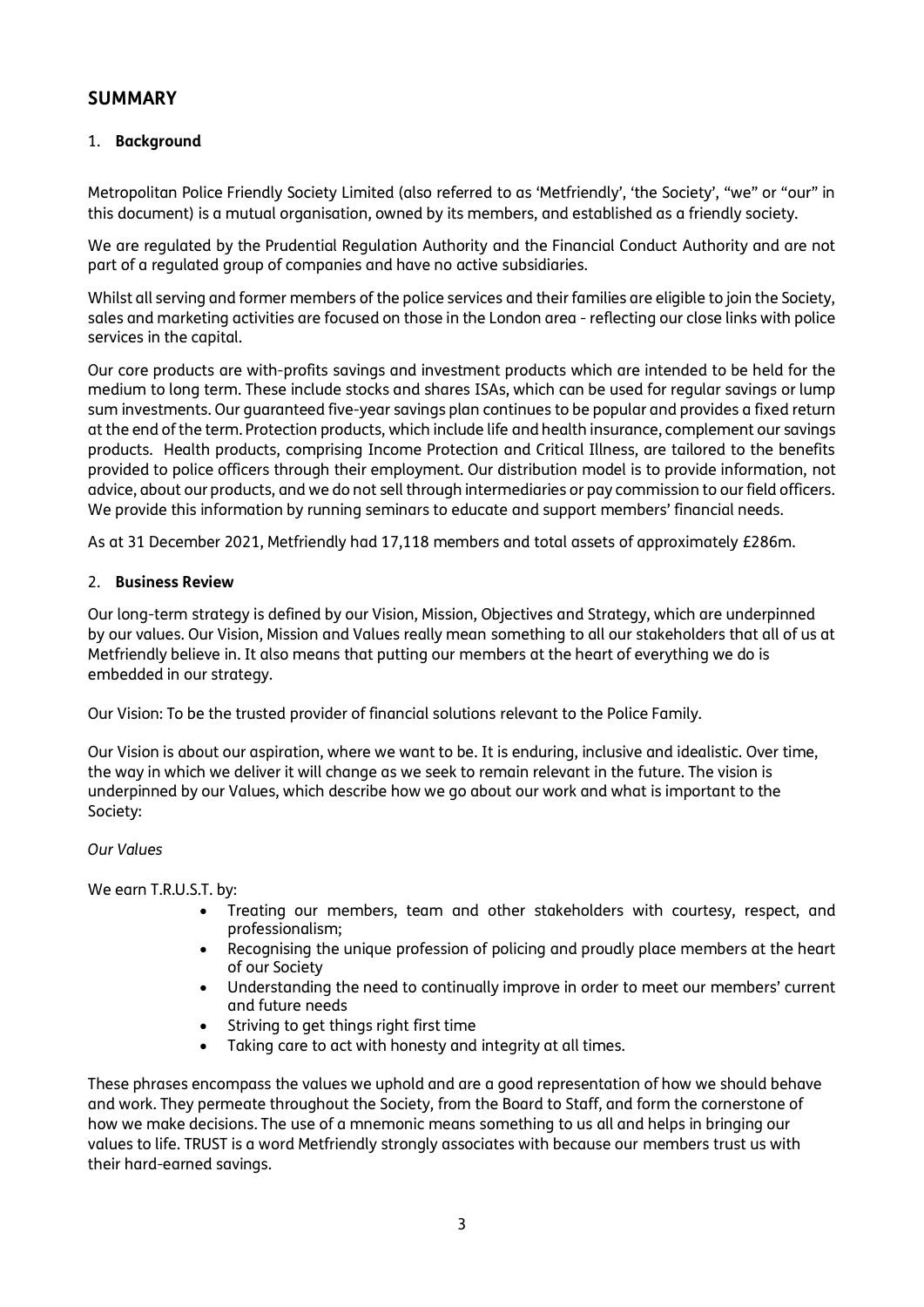# **SUMMARY**

### 1. **Background**

Metropolitan Police Friendly Society Limited (also referred to as 'Metfriendly', 'the Society', "we" or "our" in this document) is a mutual organisation, owned by its members, and established as a friendly society.

We are regulated by the Prudential Regulation Authority and the Financial Conduct Authority and are not part of a regulated group of companies and have no active subsidiaries.

Whilst all serving and former members of the police services and their families are eligible to join the Society, sales and marketing activities are focused on those in the London area - reflecting our close links with police services in the capital.

Our core products are with-profits savings and investment products which are intended to be held for the medium to long term. These include stocks and shares ISAs, which can be used for regular savings or lump sum investments. Our guaranteed five-year savings plan continues to be popular and provides a fixed return at the end of the term. Protection products, which include life and health insurance, complement our savings products. Health products, comprising Income Protection and Critical Illness, are tailored to the benefits provided to police officers through their employment. Our distribution model is to provide information, not advice, about our products, and we do not sell through intermediaries or pay commission to our field officers. We provide this information by running seminars to educate and support members' financial needs.

As at 31 December 2021, Metfriendly had 17,118 members and total assets of approximately £286m.

#### 2. **Business Review**

Our long-term strategy is defined by our Vision, Mission, Objectives and Strategy, which are underpinned by our values. Our Vision, Mission and Values really mean something to all our stakeholders that all of us at Metfriendly believe in. It also means that putting our members at the heart of everything we do is embedded in our strategy.

Our Vision: To be the trusted provider of financial solutions relevant to the Police Family.

Our Vision is about our aspiration, where we want to be. It is enduring, inclusive and idealistic. Over time, the way in which we deliver it will change as we seek to remain relevant in the future. The vision is underpinned by our Values, which describe how we go about our work and what is important to the Society:

#### *Our Values*

We earn T.R.U.S.T. by:

- Treating our members, team and other stakeholders with courtesy, respect, and professionalism;
- Recognising the unique profession of policing and proudly place members at the heart of our Society
- Understanding the need to continually improve in order to meet our members' current and future needs
- Striving to get things right first time
- Taking care to act with honesty and integrity at all times.

These phrases encompass the values we uphold and are a good representation of how we should behave and work. They permeate throughout the Society, from the Board to Staff, and form the cornerstone of how we make decisions. The use of a mnemonic means something to us all and helps in bringing our values to life. TRUST is a word Metfriendly strongly associates with because our members trust us with their hard-earned savings.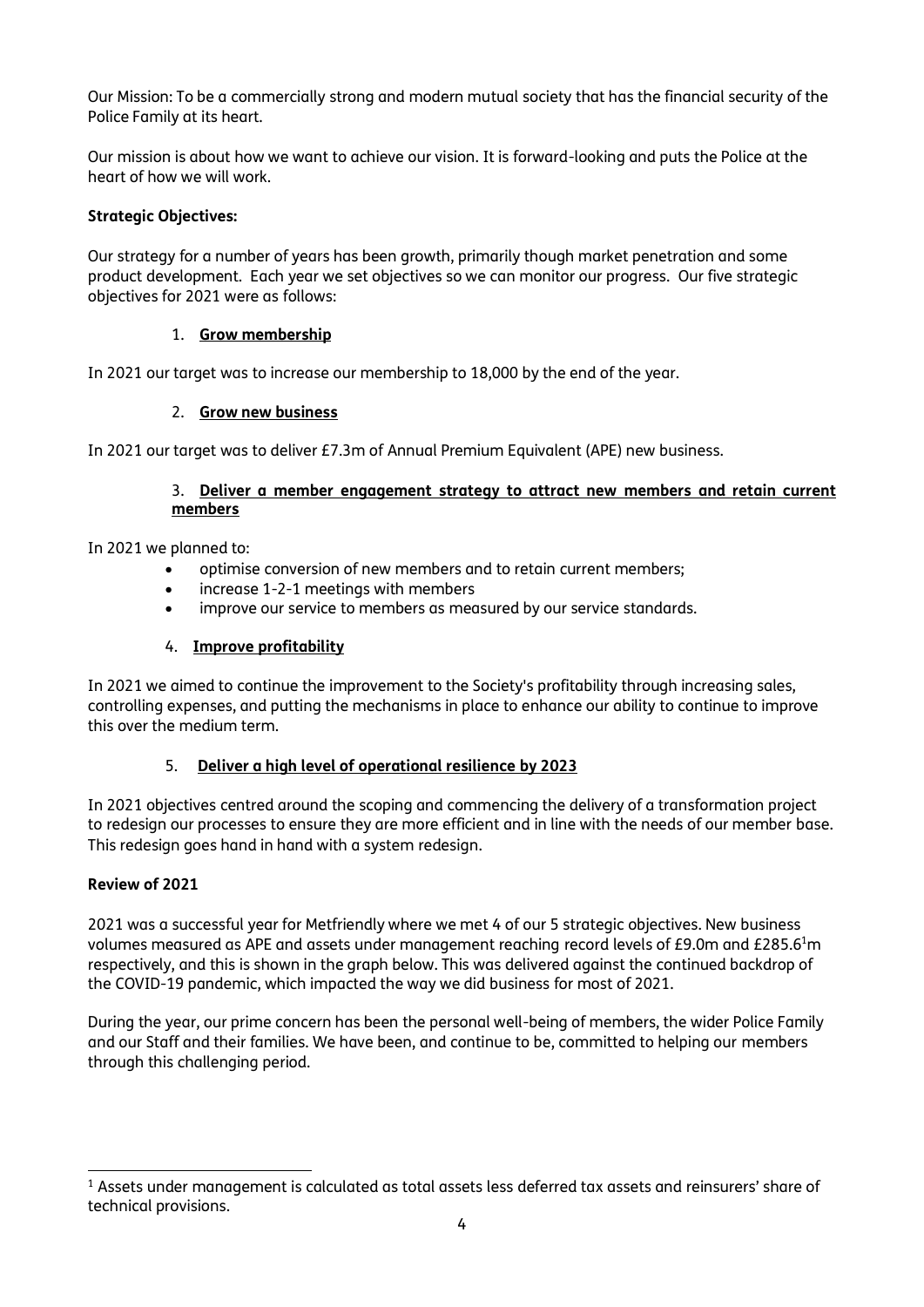Our Mission: To be a commercially strong and modern mutual society that has the financial security of the Police Family at its heart.

Our mission is about how we want to achieve our vision. It is forward-looking and puts the Police at the heart of how we will work.

### **Strategic Objectives:**

Our strategy for a number of years has been growth, primarily though market penetration and some product development. Each year we set objectives so we can monitor our progress. Our five strategic objectives for 2021 were as follows:

#### 1. **Grow membership**

In 2021 our target was to increase our membership to 18,000 by the end of the year.

### 2. **Grow new business**

In 2021 our target was to deliver £7.3m of Annual Premium Equivalent (APE) new business.

#### 3. **Deliver a member engagement strategy to attract new members and retain current members**

In 2021 we planned to:

- optimise conversion of new members and to retain current members;
- increase 1-2-1 meetings with members
- improve our service to members as measured by our service standards.

#### 4. **Improve profitability**

In 2021 we aimed to continue the improvement to the Society's profitability through increasing sales, controlling expenses, and putting the mechanisms in place to enhance our ability to continue to improve this over the medium term.

#### 5. **Deliver a high level of operational resilience by 2023**

In 2021 objectives centred around the scoping and commencing the delivery of a transformation project to redesign our processes to ensure they are more efficient and in line with the needs of our member base. This redesign goes hand in hand with a system redesign.

#### **Review of 2021**

2021 was a successful year for Metfriendly where we met 4 of our 5 strategic objectives. New business volumes measured as APE and assets under management reaching record levels of £9.0m and £285.6<sup>1</sup>m respectively, and this is shown in the graph below. This was delivered against the continued backdrop of the COVID-19 pandemic, which impacted the way we did business for most of 2021.

During the year, our prime concern has been the personal well-being of members, the wider Police Family and our Staff and their families. We have been, and continue to be, committed to helping our members through this challenging period.

<sup>&</sup>lt;sup>1</sup> Assets under management is calculated as total assets less deferred tax assets and reinsurers' share of technical provisions.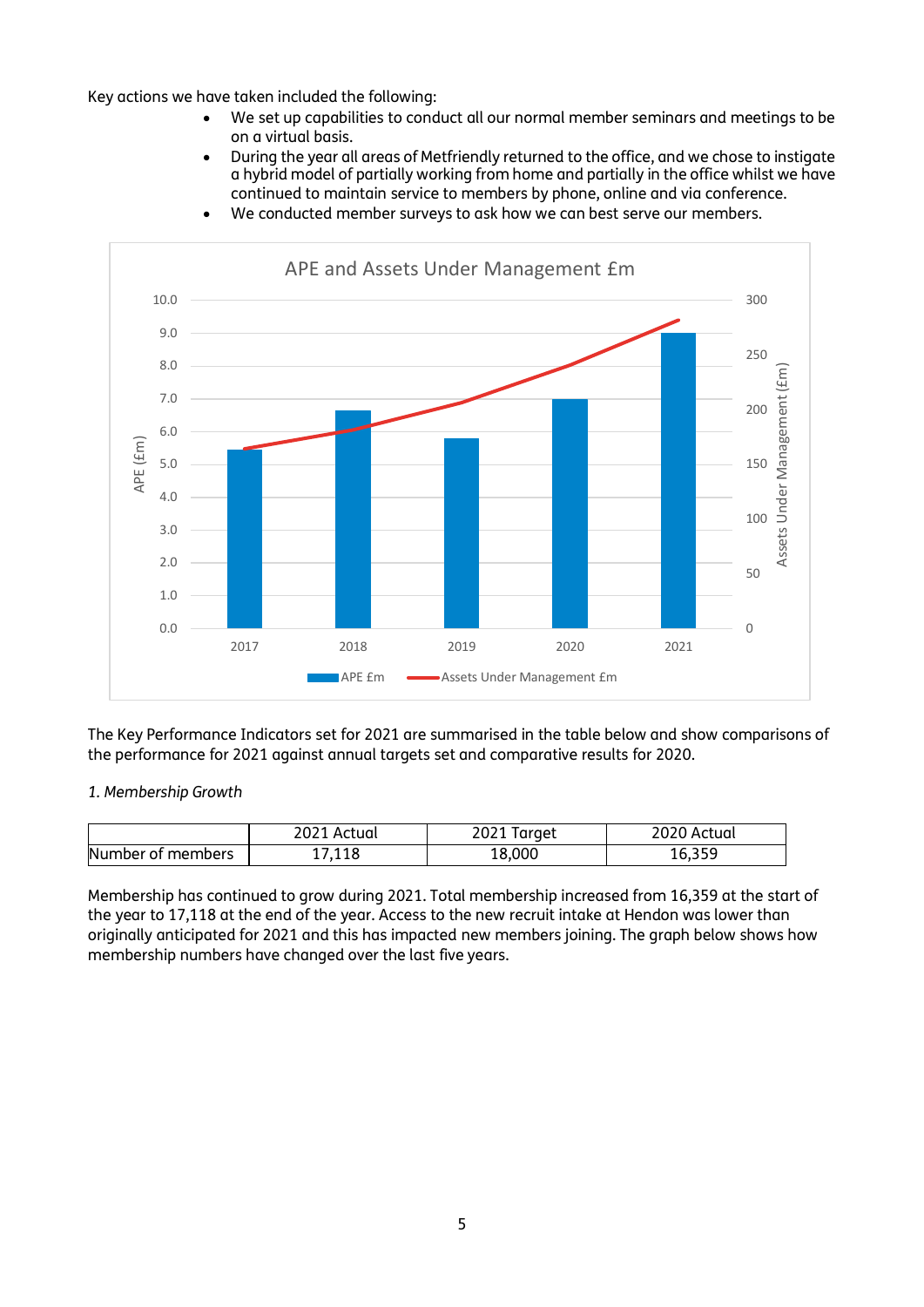Key actions we have taken included the following:

- We set up capabilities to conduct all our normal member seminars and meetings to be on a virtual basis.
- During the year all areas of Metfriendly returned to the office, and we chose to instigate a hybrid model of partially working from home and partially in the office whilst we have continued to maintain service to members by phone, online and via conference.



We conducted member surveys to ask how we can best serve our members.

The Key Performance Indicators set for 2021 are summarised in the table below and show comparisons of the performance for 2021 against annual targets set and comparative results for 2020.

#### *1. Membership Growth*

|                   | 2021<br>Actual | 2021 Target | 2020 Actual |
|-------------------|----------------|-------------|-------------|
| Number of members | 118,'          | 18.000      | 10.JJJ      |

Membership has continued to grow during 2021. Total membership increased from 16,359 at the start of the year to 17,118 at the end of the year. Access to the new recruit intake at Hendon was lower than originally anticipated for 2021 and this has impacted new members joining. The graph below shows how membership numbers have changed over the last five years.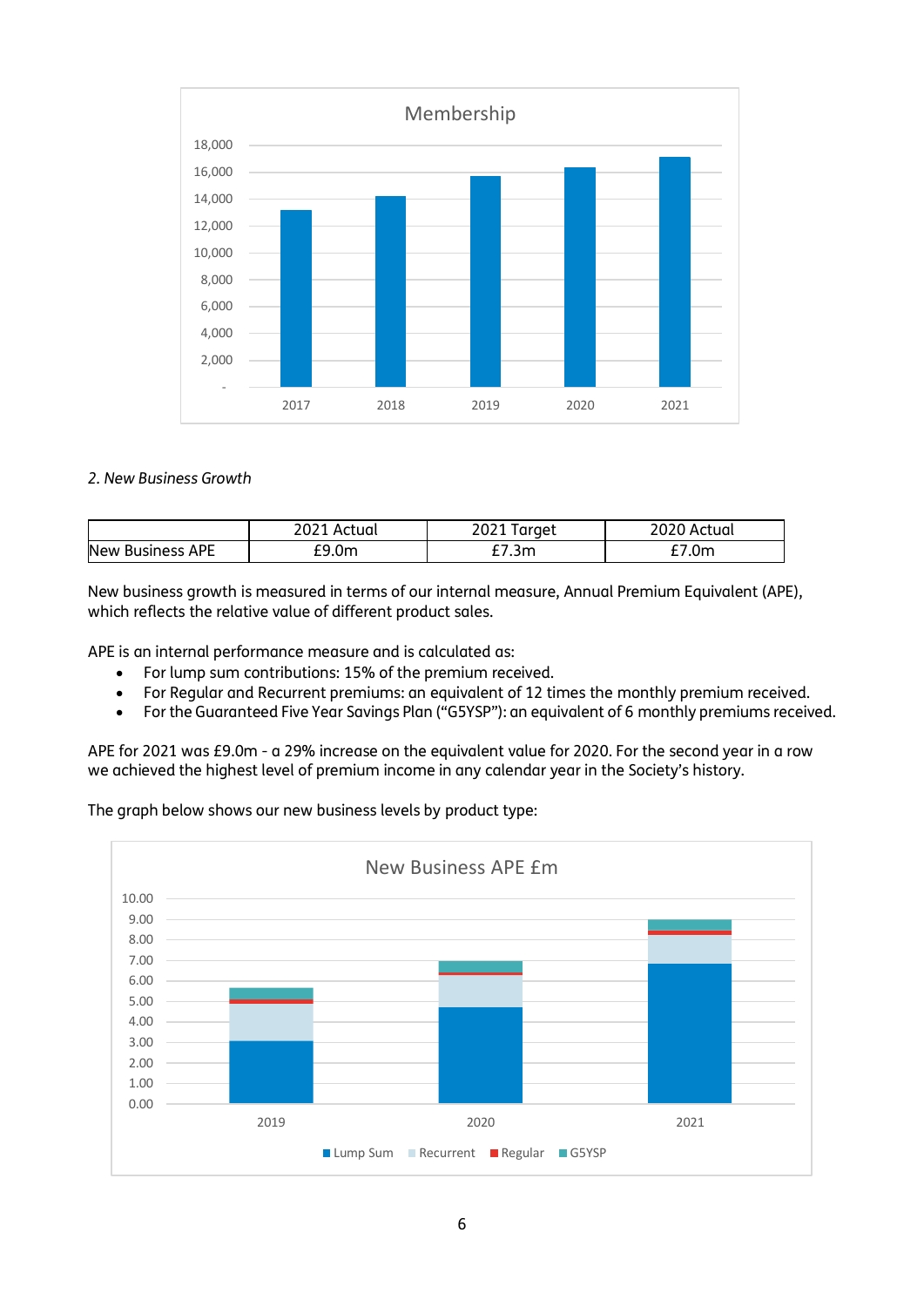

#### *2. New Business Growth*

|                         | 2021 Actual | Target<br>2021 I | 2020 Actual |
|-------------------------|-------------|------------------|-------------|
| <b>New Business APE</b> | £9.0m       | 7.3m             | '.0m        |

New business growth is measured in terms of our internal measure, Annual Premium Equivalent (APE), which reflects the relative value of different product sales.

APE is an internal performance measure and is calculated as:

- For lump sum contributions: 15% of the premium received.
- For Regular and Recurrent premiums: an equivalent of 12 times the monthly premium received.
- For the Guaranteed Five Year Savings Plan ("G5YSP"): an equivalent of 6 monthly premiums received.

APE for 2021 was £9.0m - a 29% increase on the equivalent value for 2020. For the second year in a row we achieved the highest level of premium income in any calendar year in the Society's history.

The graph below shows our new business levels by product type:

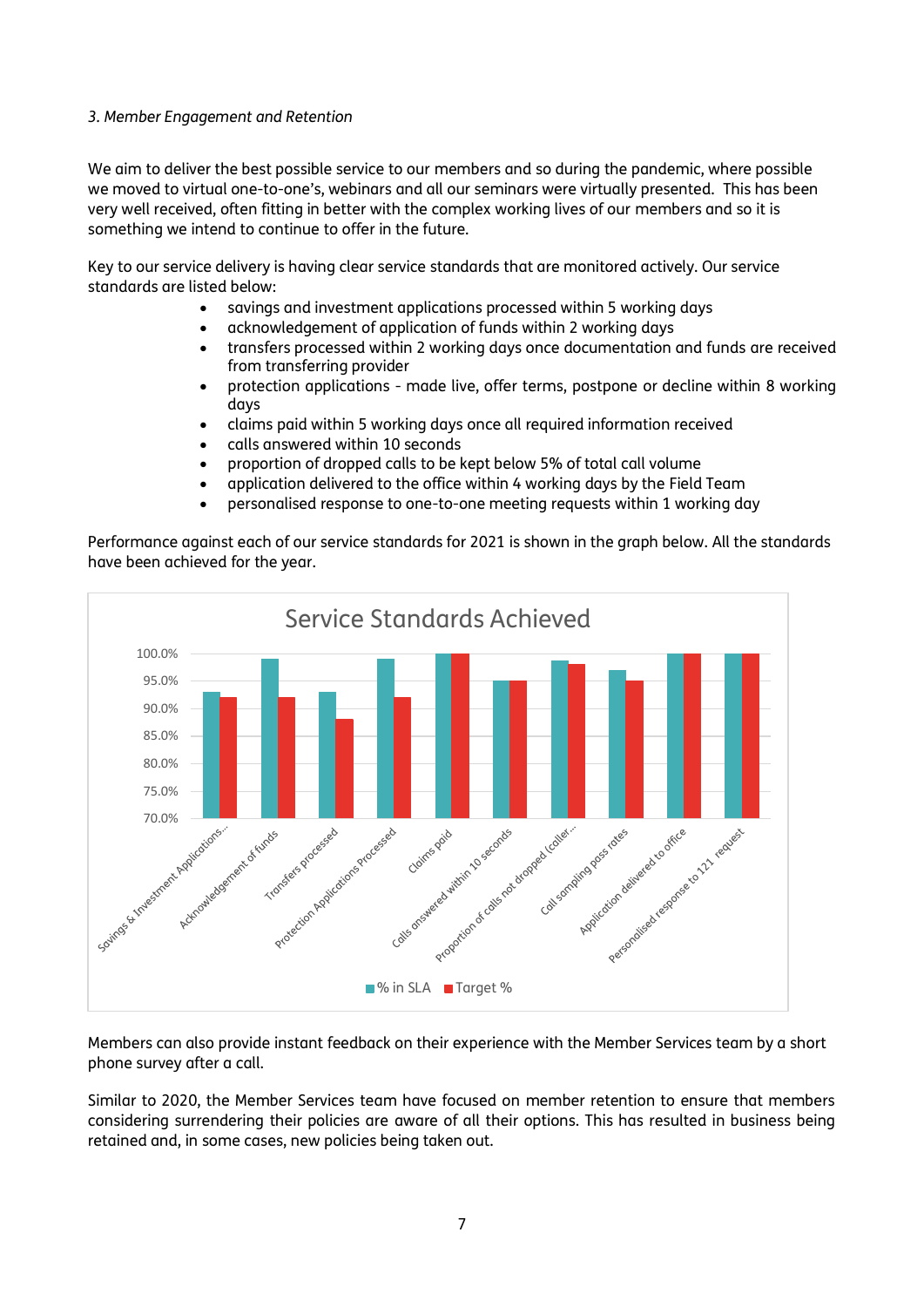#### *3. Member Engagement and Retention*

We aim to deliver the best possible service to our members and so during the pandemic, where possible we moved to virtual one-to-one's, webinars and all our seminars were virtually presented. This has been very well received, often fitting in better with the complex working lives of our members and so it is something we intend to continue to offer in the future.

Key to our service delivery is having clear service standards that are monitored actively. Our service standards are listed below:

- savings and investment applications processed within 5 working days
- acknowledgement of application of funds within 2 working days
- transfers processed within 2 working days once documentation and funds are received from transferring provider
- protection applications made live, offer terms, postpone or decline within 8 working days
- claims paid within 5 working days once all required information received
- calls answered within 10 seconds
- proportion of dropped calls to be kept below 5% of total call volume
- application delivered to the office within 4 working days by the Field Team
- personalised response to one-to-one meeting requests within 1 working day

Performance against each of our service standards for 2021 is shown in the graph below. All the standards have been achieved for the year.



Members can also provide instant feedback on their experience with the Member Services team by a short phone survey after a call.

Similar to 2020, the Member Services team have focused on member retention to ensure that members considering surrendering their policies are aware of all their options. This has resulted in business being retained and, in some cases, new policies being taken out.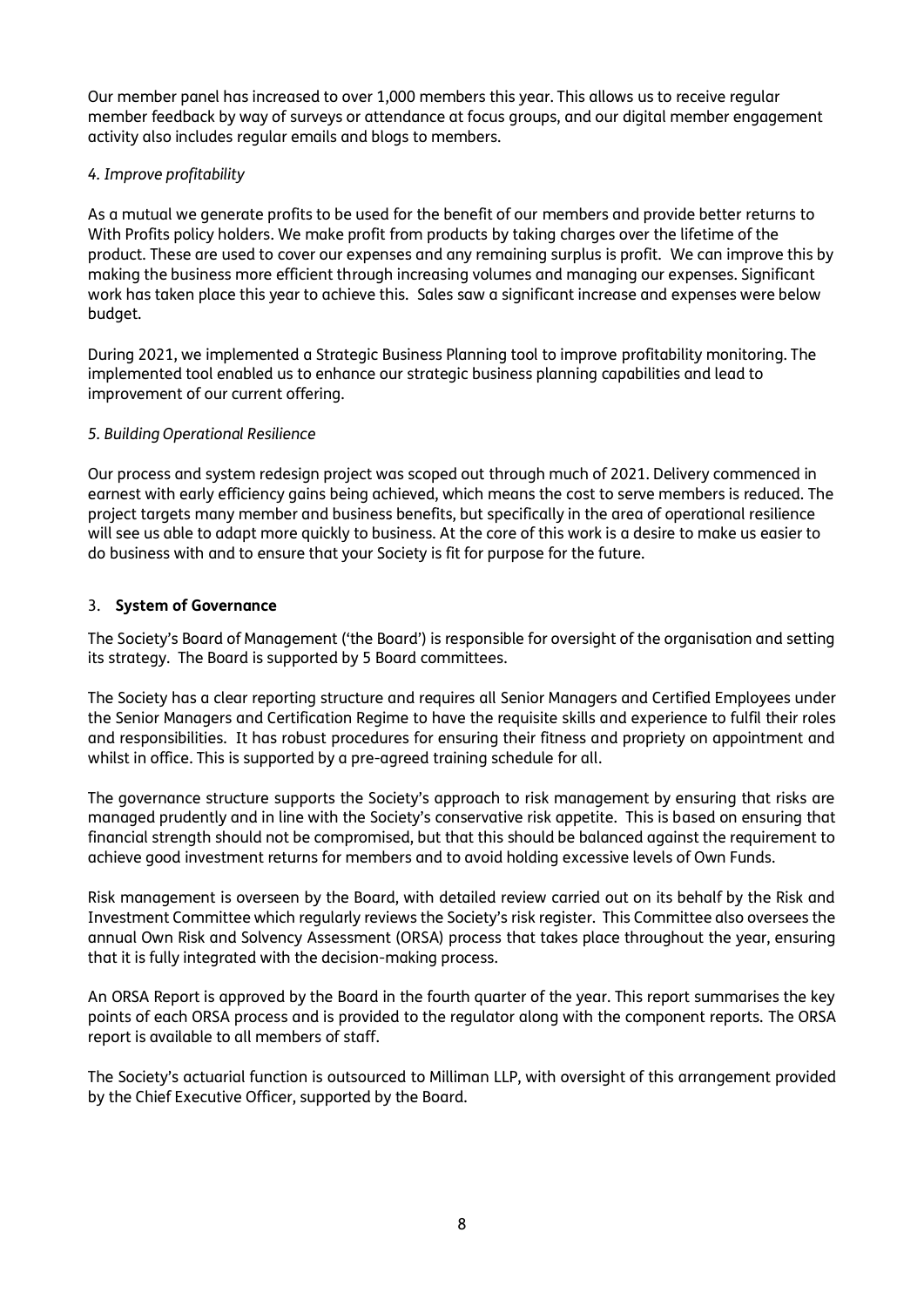Our member panel has increased to over 1,000 members this year. This allows us to receive regular member feedback by way of surveys or attendance at focus groups, and our digital member engagement activity also includes regular emails and blogs to members.

#### *4. Improve profitability*

As a mutual we generate profits to be used for the benefit of our members and provide better returns to With Profits policy holders. We make profit from products by taking charges over the lifetime of the product. These are used to cover our expenses and any remaining surplus is profit. We can improve this by making the business more efficient through increasing volumes and managing our expenses. Significant work has taken place this year to achieve this. Sales saw a significant increase and expenses were below budget.

During 2021, we implemented a Strategic Business Planning tool to improve profitability monitoring. The implemented tool enabled us to enhance our strategic business planning capabilities and lead to improvement of our current offering.

#### *5. Building Operational Resilience*

Our process and system redesign project was scoped out through much of 2021. Delivery commenced in earnest with early efficiency gains being achieved, which means the cost to serve members is reduced. The project targets many member and business benefits, but specifically in the area of operational resilience will see us able to adapt more quickly to business. At the core of this work is a desire to make us easier to do business with and to ensure that your Society is fit for purpose for the future.

#### 3. **System of Governance**

The Society's Board of Management ('the Board') is responsible for oversight of the organisation and setting its strategy. The Board is supported by 5 Board committees.

The Society has a clear reporting structure and requires all Senior Managers and Certified Employees under the Senior Managers and Certification Regime to have the requisite skills and experience to fulfil their roles and responsibilities. It has robust procedures for ensuring their fitness and propriety on appointment and whilst in office. This is supported by a pre-agreed training schedule for all.

The governance structure supports the Society's approach to risk management by ensuring that risks are managed prudently and in line with the Society's conservative risk appetite. This is based on ensuring that financial strength should not be compromised, but that this should be balanced against the requirement to achieve good investment returns for members and to avoid holding excessive levels of Own Funds.

Risk management is overseen by the Board, with detailed review carried out on its behalf by the Risk and Investment Committee which regularly reviews the Society's risk register. This Committee also oversees the annual Own Risk and Solvency Assessment (ORSA) process that takes place throughout the year, ensuring that it is fully integrated with the decision-making process.

An ORSA Report is approved by the Board in the fourth quarter of the year. This report summarises the key points of each ORSA process and is provided to the regulator along with the component reports. The ORSA report is available to all members of staff.

The Society's actuarial function is outsourced to Milliman LLP, with oversight of this arrangement provided by the Chief Executive Officer, supported by the Board.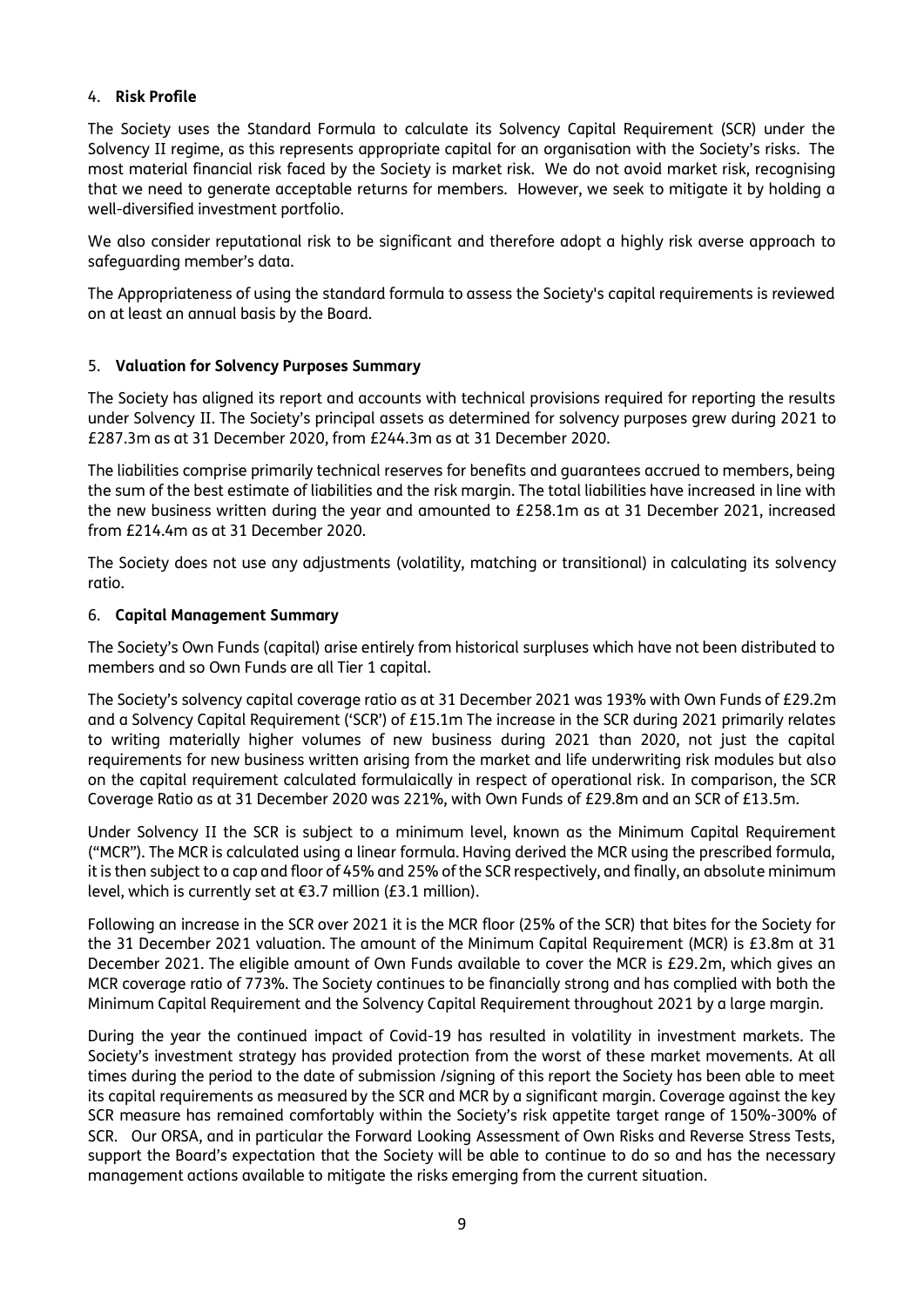#### 4. **Risk Profile**

The Society uses the Standard Formula to calculate its Solvency Capital Requirement (SCR) under the Solvency II regime, as this represents appropriate capital for an organisation with the Society's risks. The most material financial risk faced by the Society is market risk. We do not avoid market risk, recognising that we need to generate acceptable returns for members. However, we seek to mitigate it by holding a well-diversified investment portfolio.

We also consider reputational risk to be significant and therefore adopt a highly risk averse approach to safeguarding member's data.

The Appropriateness of using the standard formula to assess the Society's capital requirements is reviewed on at least an annual basis by the Board.

#### 5. **Valuation for Solvency Purposes Summary**

The Society has aligned its report and accounts with technical provisions required for reporting the results under Solvency II. The Society's principal assets as determined for solvency purposes grew during 2021 to £287.3m as at 31 December 2020, from £244.3m as at 31 December 2020.

The liabilities comprise primarily technical reserves for benefits and guarantees accrued to members, being the sum of the best estimate of liabilities and the risk margin. The total liabilities have increased in line with the new business written during the year and amounted to £258.1m as at 31 December 2021, increased from £214.4m as at 31 December 2020.

The Society does not use any adjustments (volatility, matching or transitional) in calculating its solvency ratio.

#### 6. **Capital Management Summary**

The Society's Own Funds (capital) arise entirely from historical surpluses which have not been distributed to members and so Own Funds are all Tier 1 capital.

The Society's solvency capital coverage ratio as at 31 December 2021 was 193% with Own Funds of £29.2m and a Solvency Capital Requirement ('SCR') of £15.1m The increase in the SCR during 2021 primarily relates to writing materially higher volumes of new business during 2021 than 2020, not just the capital requirements for new business written arising from the market and life underwriting risk modules but also on the capital requirement calculated formulaically in respect of operational risk. In comparison, the SCR Coverage Ratio as at 31 December 2020 was 221%, with Own Funds of £29.8m and an SCR of £13.5m.

Under Solvency II the SCR is subject to a minimum level, known as the Minimum Capital Requirement ("MCR"). The MCR is calculated using a linear formula. Having derived the MCR using the prescribed formula, it is then subject to a cap and floor of 45% and 25% of the SCR respectively, and finally, an absolute minimum level, which is currently set at €3.7 million (£3.1 million).

Following an increase in the SCR over 2021 it is the MCR floor (25% of the SCR) that bites for the Society for the 31 December 2021 valuation. The amount of the Minimum Capital Requirement (MCR) is £3.8m at 31 December 2021. The eligible amount of Own Funds available to cover the MCR is £29.2m, which gives an MCR coverage ratio of 773%. The Society continues to be financially strong and has complied with both the Minimum Capital Requirement and the Solvency Capital Requirement throughout 2021 by a large margin.

During the year the continued impact of Covid-19 has resulted in volatility in investment markets. The Society's investment strategy has provided protection from the worst of these market movements. At all times during the period to the date of submission /signing of this report the Society has been able to meet its capital requirements as measured by the SCR and MCR by a significant margin. Coverage against the key SCR measure has remained comfortably within the Society's risk appetite target range of 150%-300% of SCR. Our ORSA, and in particular the Forward Looking Assessment of Own Risks and Reverse Stress Tests, support the Board's expectation that the Society will be able to continue to do so and has the necessary management actions available to mitigate the risks emerging from the current situation.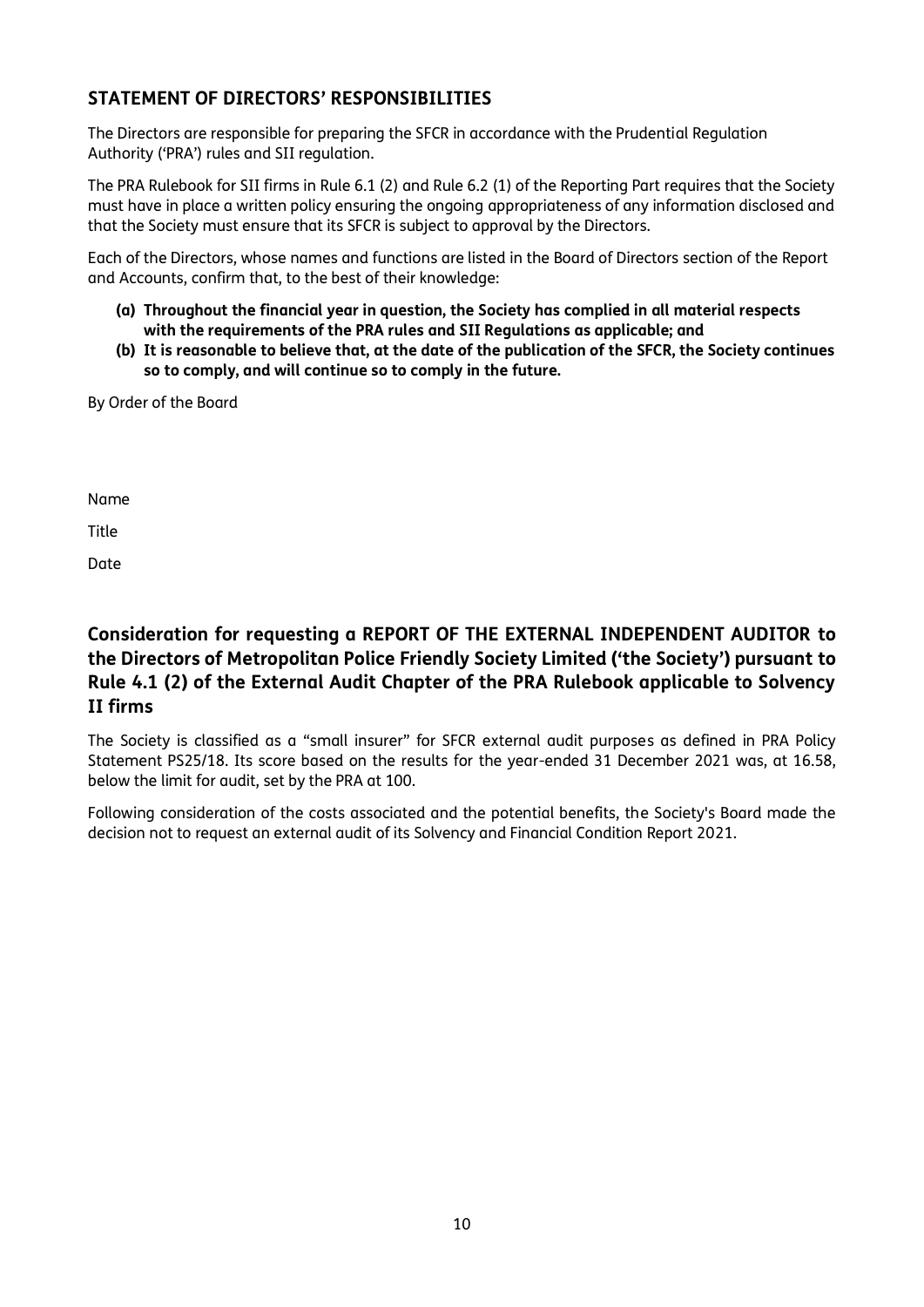# **STATEMENT OF DIRECTORS' RESPONSIBILITIES**

The Directors are responsible for preparing the SFCR in accordance with the Prudential Regulation Authority ('PRA') rules and SII regulation.

The PRA Rulebook for SII firms in Rule 6.1 (2) and Rule 6.2 (1) of the Reporting Part requires that the Society must have in place a written policy ensuring the ongoing appropriateness of any information disclosed and that the Society must ensure that its SFCR is subject to approval by the Directors.

Each of the Directors, whose names and functions are listed in the Board of Directors section of the Report and Accounts, confirm that, to the best of their knowledge:

- **(a) Throughout the financial year in question, the Society has complied in all material respects with the requirements of the PRA rules and SII Regulations as applicable; and**
- **(b) It is reasonable to believe that, at the date of the publication of the SFCR, the Society continues so to comply, and will continue so to comply in the future.**

By Order of the Board

Name

Title

Date

# **Consideration for requesting a REPORT OF THE EXTERNAL INDEPENDENT AUDITOR to the Directors of Metropolitan Police Friendly Society Limited ('the Society') pursuant to Rule 4.1 (2) of the External Audit Chapter of the PRA Rulebook applicable to Solvency II firms**

The Society is classified as a "small insurer" for SFCR external audit purposes as defined in PRA Policy Statement PS25/18. Its score based on the results for the year-ended 31 December 2021 was, at 16.58, below the limit for audit, set by the PRA at 100.

Following consideration of the costs associated and the potential benefits, the Society's Board made the decision not to request an external audit of its Solvency and Financial Condition Report 2021.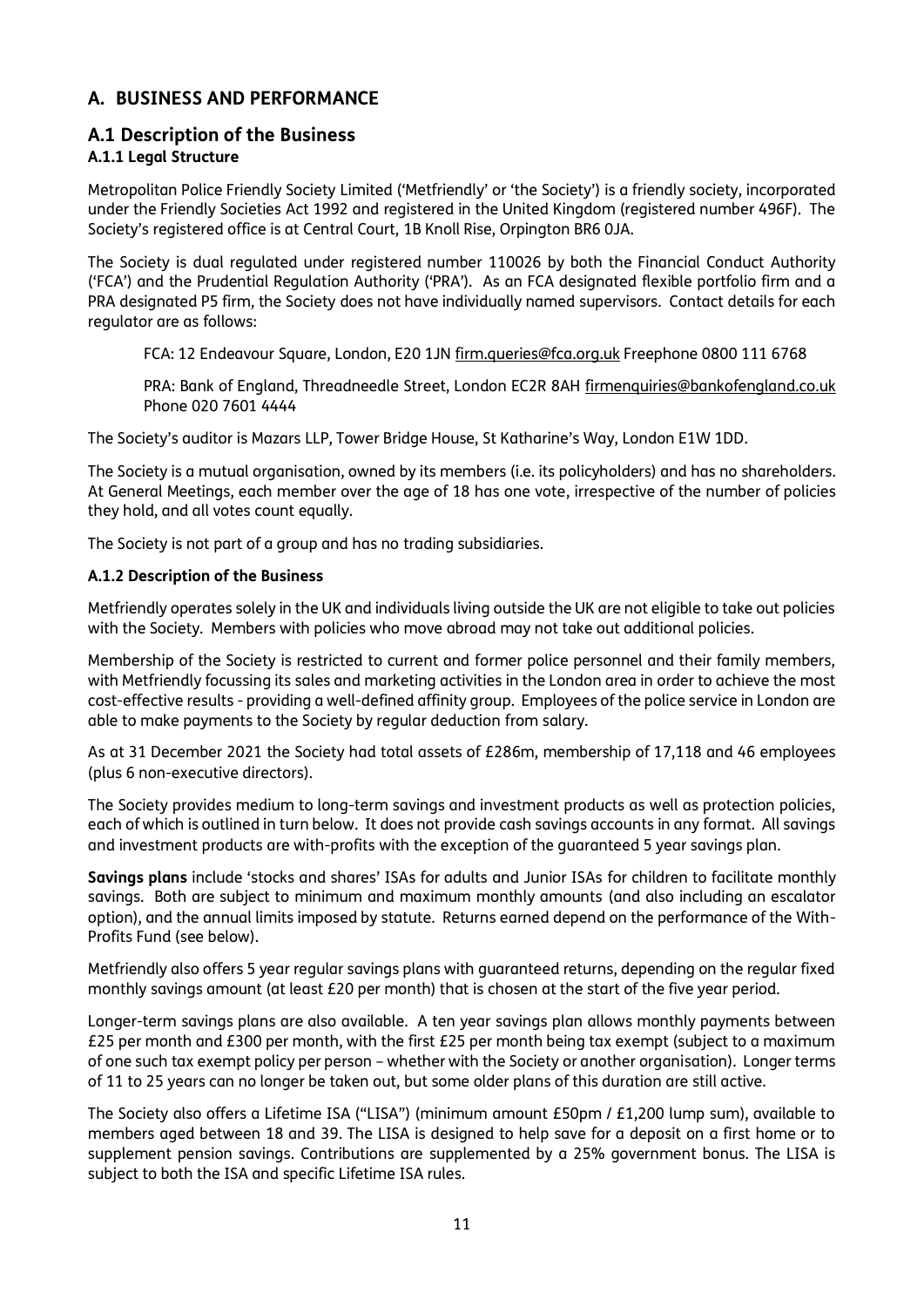# **A. BUSINESS AND PERFORMANCE**

# **A.1 Description of the Business**

# **A.1.1 Legal Structure**

Metropolitan Police Friendly Society Limited ('Metfriendly' or 'the Society') is a friendly society, incorporated under the Friendly Societies Act 1992 and registered in the United Kingdom (registered number 496F). The Society's registered office is at Central Court, 1B Knoll Rise, Orpington BR6 0JA.

The Society is dual regulated under registered number 110026 by both the Financial Conduct Authority ('FCA') and the Prudential Regulation Authority ('PRA'). As an FCA designated flexible portfolio firm and a PRA designated P5 firm, the Society does not have individually named supervisors. Contact details for each regulator are as follows:

FCA: 12 Endeavour Square, London, E20 1JN [firm.queries@fca.org.uk](mailto:firm.queries@fca.org.uk) Freephone 0800 111 6768

PRA: Bank of England, Threadneedle Street, London EC2R 8AH [firmenquiries@bankofengland.co.uk](mailto:firmenquiries@bankofengland.co.uk)  Phone 020 7601 4444

The Society's auditor is Mazars LLP, Tower Bridge House, St Katharine's Way, London E1W 1DD.

The Society is a mutual organisation, owned by its members (i.e. its policyholders) and has no shareholders. At General Meetings, each member over the age of 18 has one vote, irrespective of the number of policies they hold, and all votes count equally.

The Society is not part of a group and has no trading subsidiaries.

#### **A.1.2 Description of the Business**

Metfriendly operates solely in the UK and individuals living outside the UK are not eligible to take out policies with the Society. Members with policies who move abroad may not take out additional policies.

Membership of the Society is restricted to current and former police personnel and their family members, with Metfriendly focussing its sales and marketing activities in the London area in order to achieve the most cost-effective results - providing a well-defined affinity group. Employees of the police service in London are able to make payments to the Society by regular deduction from salary.

As at 31 December 2021 the Society had total assets of £286m, membership of 17,118 and 46 employees (plus 6 non-executive directors).

The Society provides medium to long-term savings and investment products as well as protection policies, each of which is outlined in turn below. It does not provide cash savings accounts in any format. All savings and investment products are with-profits with the exception of the guaranteed 5 year savings plan.

**Savings plans** include 'stocks and shares' ISAs for adults and Junior ISAs for children to facilitate monthly savings. Both are subject to minimum and maximum monthly amounts (and also including an escalator option), and the annual limits imposed by statute. Returns earned depend on the performance of the With-Profits Fund (see below).

Metfriendly also offers 5 year regular savings plans with guaranteed returns, depending on the regular fixed monthly savings amount (at least £20 per month) that is chosen at the start of the five year period.

Longer-term savings plans are also available. A ten year savings plan allows monthly payments between £25 per month and £300 per month, with the first £25 per month being tax exempt (subject to a maximum of one such tax exempt policy per person – whether with the Society or another organisation). Longer terms of 11 to 25 years can no longer be taken out, but some older plans of this duration are still active.

The Society also offers a Lifetime ISA ("LISA") (minimum amount £50pm / £1,200 lump sum), available to members aged between 18 and 39. The LISA is designed to help save for a deposit on a first home or to supplement pension savings. Contributions are supplemented by a 25% government bonus. The LISA is subject to both the ISA and specific Lifetime ISA rules.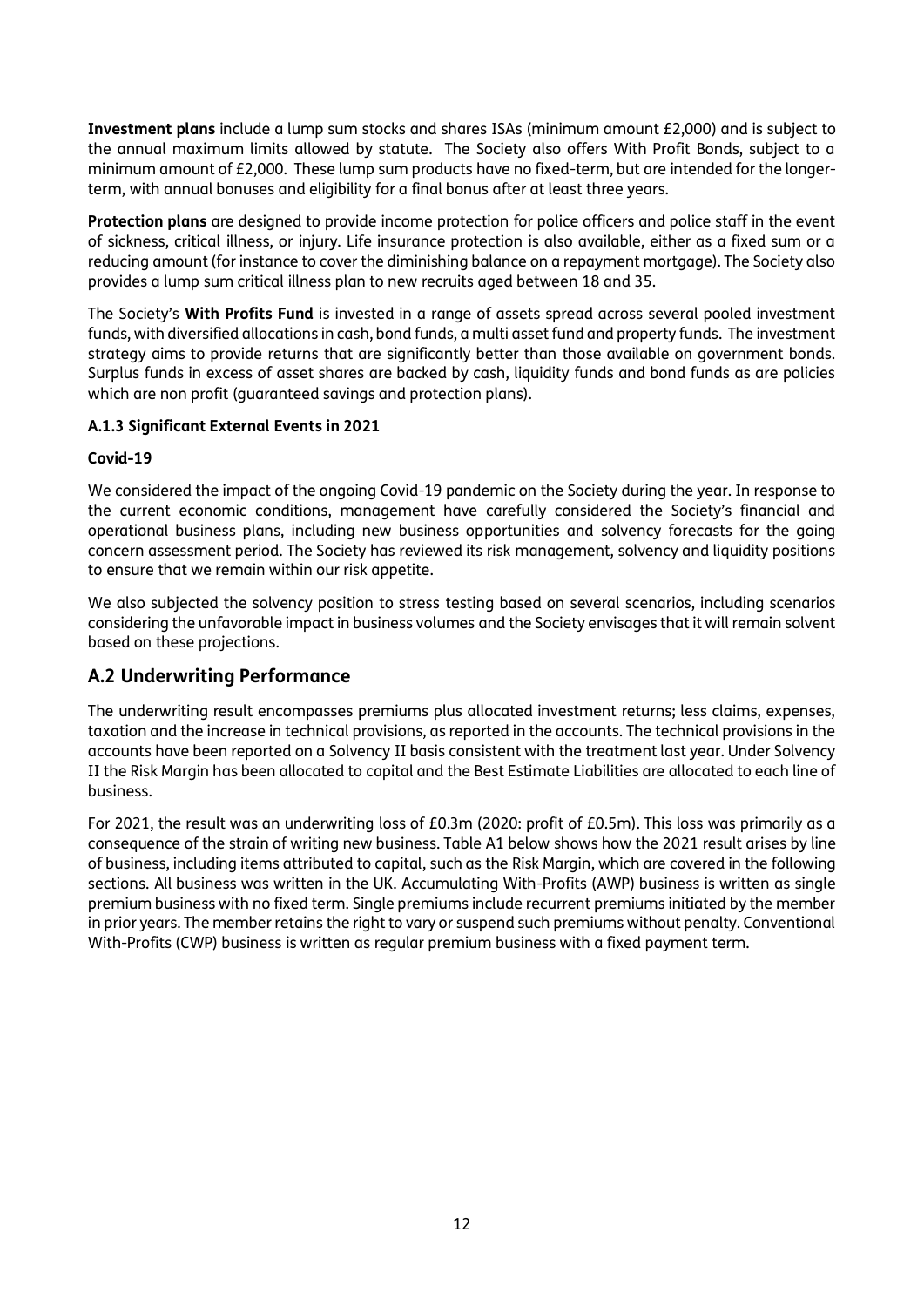**Investment plans** include a lump sum stocks and shares ISAs (minimum amount £2,000) and is subject to the annual maximum limits allowed by statute. The Society also offers With Profit Bonds, subject to a minimum amount of £2,000. These lump sum products have no fixed-term, but are intended for the longerterm, with annual bonuses and eligibility for a final bonus after at least three years.

**Protection plans** are designed to provide income protection for police officers and police staff in the event of sickness, critical illness, or injury. Life insurance protection is also available, either as a fixed sum or a reducing amount (for instance to cover the diminishing balance on a repayment mortgage). The Society also provides a lump sum critical illness plan to new recruits aged between 18 and 35.

The Society's **With Profits Fund** is invested in a range of assets spread across several pooled investment funds, with diversified allocations in cash, bond funds, a multi asset fund and property funds. The investment strategy aims to provide returns that are significantly better than those available on government bonds. Surplus funds in excess of asset shares are backed by cash, liquidity funds and bond funds as are policies which are non profit (guaranteed savings and protection plans).

### **A.1.3 Significant External Events in 2021**

### **Covid-19**

We considered the impact of the ongoing Covid-19 pandemic on the Society during the year. In response to the current economic conditions, management have carefully considered the Society's financial and operational business plans, including new business opportunities and solvency forecasts for the going concern assessment period. The Society has reviewed its risk management, solvency and liquidity positions to ensure that we remain within our risk appetite.

We also subjected the solvency position to stress testing based on several scenarios, including scenarios considering the unfavorable impact in business volumes and the Society envisages that it will remain solvent based on these projections.

# **A.2 Underwriting Performance**

The underwriting result encompasses premiums plus allocated investment returns; less claims, expenses, taxation and the increase in technical provisions, as reported in the accounts. The technical provisions in the accounts have been reported on a Solvency II basis consistent with the treatment last year. Under Solvency II the Risk Margin has been allocated to capital and the Best Estimate Liabilities are allocated to each line of business.

For 2021, the result was an underwriting loss of £0.3m (2020: profit of £0.5m). This loss was primarily as a consequence of the strain of writing new business. Table A1 below shows how the 2021 result arises by line of business, including items attributed to capital, such as the Risk Margin, which are covered in the following sections. All business was written in the UK. Accumulating With-Profits (AWP) business is written as single premium business with no fixed term. Single premiums include recurrent premiums initiated by the member in prior years. The member retains the right to vary or suspend such premiums without penalty. Conventional With-Profits (CWP) business is written as regular premium business with a fixed payment term.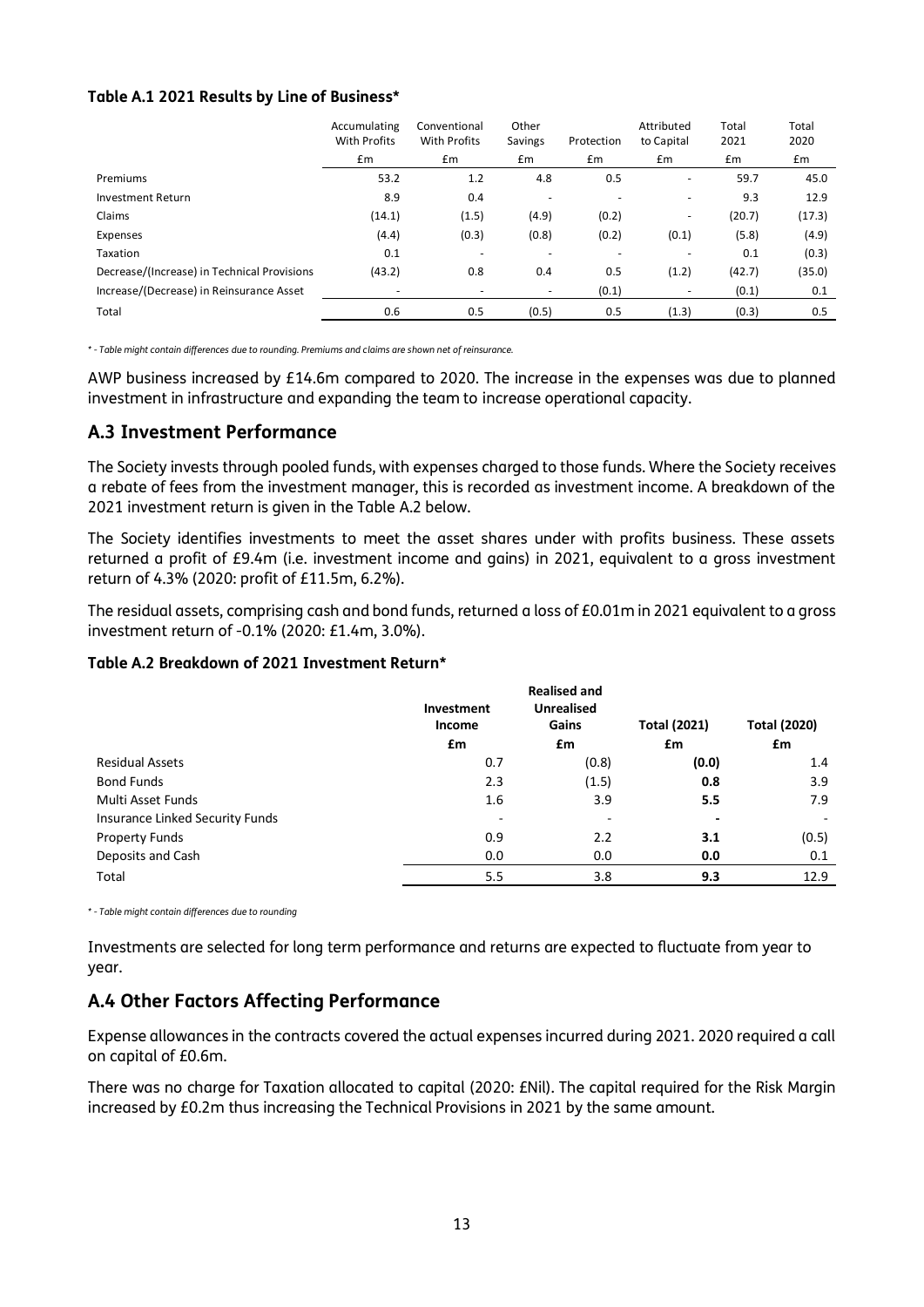#### **Table A.1 2021 Results by Line of Business\***

|                                             | Accumulating<br><b>With Profits</b> | Conventional<br>With Profits | Other<br>Savings         | Protection | Attributed<br>to Capital | Total<br>2021 | Total<br>2020 |
|---------------------------------------------|-------------------------------------|------------------------------|--------------------------|------------|--------------------------|---------------|---------------|
|                                             | £m                                  | Em                           | Em                       | Em         | Em                       | Em            | £m            |
| Premiums                                    | 53.2                                | 1.2                          | 4.8                      | 0.5        | -                        | 59.7          | 45.0          |
| <b>Investment Return</b>                    | 8.9                                 | 0.4                          |                          |            | $\overline{\phantom{a}}$ | 9.3           | 12.9          |
| Claims                                      | (14.1)                              | (1.5)                        | (4.9)                    | (0.2)      | $\overline{\phantom{m}}$ | (20.7)        | (17.3)        |
| Expenses                                    | (4.4)                               | (0.3)                        | (0.8)                    | (0.2)      | (0.1)                    | (5.8)         | (4.9)         |
| Taxation                                    | 0.1                                 | ۰                            |                          |            |                          | 0.1           | (0.3)         |
| Decrease/(Increase) in Technical Provisions | (43.2)                              | 0.8                          | 0.4                      | 0.5        | (1.2)                    | (42.7)        | (35.0)        |
| Increase/(Decrease) in Reinsurance Asset    |                                     |                              | $\overline{\phantom{a}}$ | (0.1)      |                          | (0.1)         | 0.1           |
| Total                                       | 0.6                                 | 0.5                          | (0.5)                    | 0.5        | (1.3)                    | (0.3)         | 0.5           |

*\* - Table might contain differences due to rounding. Premiums and claims are shown net of reinsurance.*

AWP business increased by £14.6m compared to 2020. The increase in the expenses was due to planned investment in infrastructure and expanding the team to increase operational capacity.

### **A.3 Investment Performance**

The Society invests through pooled funds, with expenses charged to those funds. Where the Society receives a rebate of fees from the investment manager, this is recorded as investment income. A breakdown of the 2021 investment return is given in the Table A.2 below.

The Society identifies investments to meet the asset shares under with profits business. These assets returned a profit of £9.4m (i.e. investment income and gains) in 2021, equivalent to a gross investment return of 4.3% (2020: profit of £11.5m, 6.2%).

The residual assets, comprising cash and bond funds, returned a loss of £0.01m in 2021 equivalent to a gross investment return of -0.1% (2020: £1.4m, 3.0%).

#### **Table A.2 Breakdown of 2021 Investment Return\***

|                                 |                          | <b>Realised and</b> |                     |                     |
|---------------------------------|--------------------------|---------------------|---------------------|---------------------|
|                                 | Investment               | <b>Unrealised</b>   |                     |                     |
|                                 | Income                   | Gains               | <b>Total (2021)</b> | <b>Total (2020)</b> |
|                                 | £m                       | £m                  | £m                  | £m                  |
| <b>Residual Assets</b>          | 0.7                      | (0.8)               | (0.0)               | 1.4                 |
| <b>Bond Funds</b>               | 2.3                      | (1.5)               | 0.8                 | 3.9                 |
| Multi Asset Funds               | 1.6                      | 3.9                 | 5.5                 | 7.9                 |
| Insurance Linked Security Funds | $\overline{\phantom{0}}$ |                     |                     |                     |
| <b>Property Funds</b>           | 0.9                      | 2.2                 | 3.1                 | (0.5)               |
| Deposits and Cash               | 0.0                      | 0.0                 | 0.0                 | 0.1                 |
| Total                           | 5.5                      | 3.8                 | 9.3                 | 12.9                |

*\* - Table might contain differences due to rounding*

Investments are selected for long term performance and returns are expected to fluctuate from year to year.

# **A.4 Other Factors Affecting Performance**

Expense allowances in the contracts covered the actual expenses incurred during 2021. 2020 required a call on capital of £0.6m.

There was no charge for Taxation allocated to capital (2020: £Nil). The capital required for the Risk Margin increased by £0.2m thus increasing the Technical Provisions in 2021 by the same amount.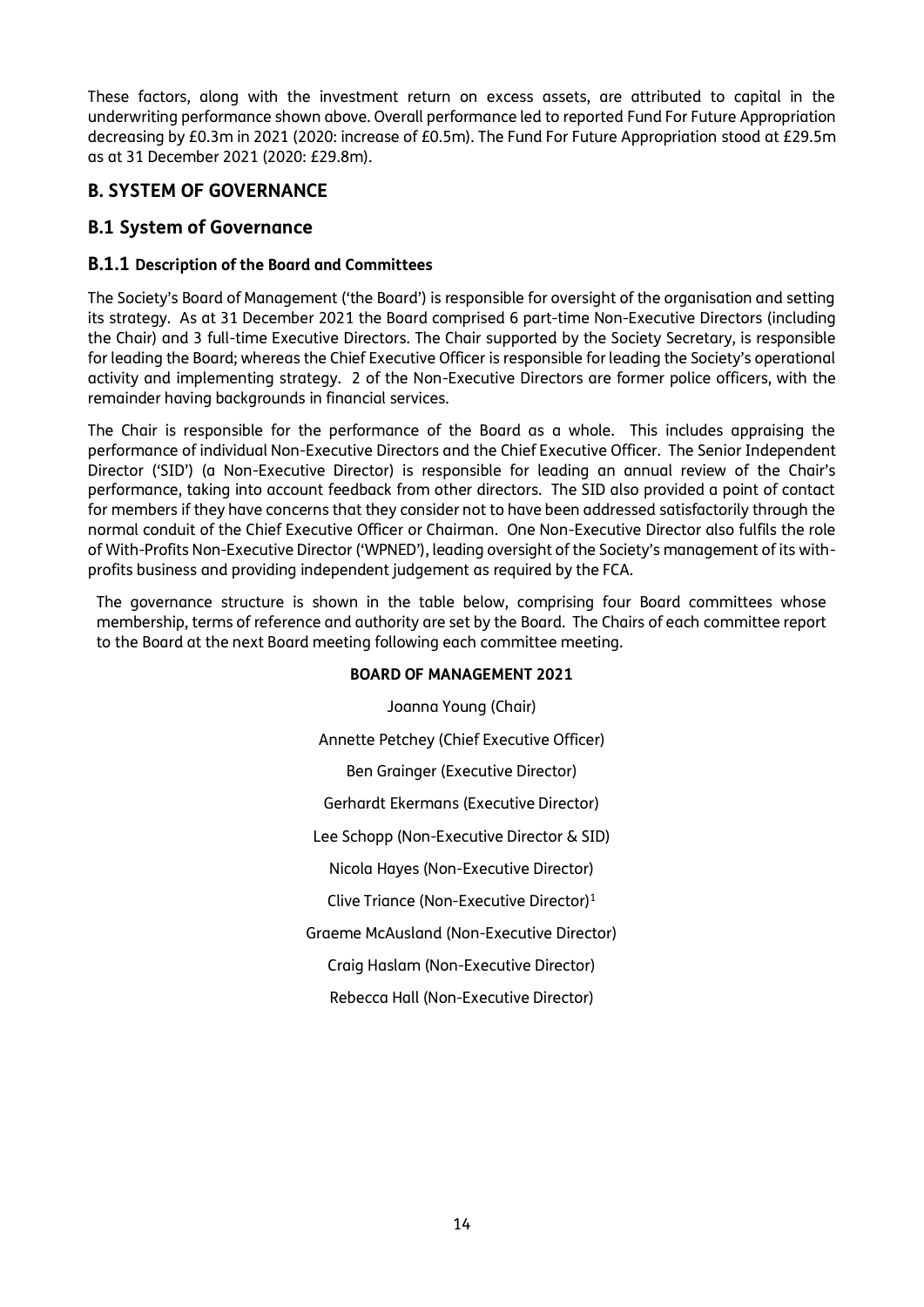These factors, along with the investment return on excess assets, are attributed to capital in the underwriting performance shown above. Overall performance led to reported Fund For Future Appropriation decreasing by £0.3m in 2021 (2020: increase of £0.5m). The Fund For Future Appropriation stood at £29.5m as at 31 December 2021 (2020: £29.8m).

# **B. SYSTEM OF GOVERNANCE**

# **B.1 System of Governance**

# **B.1.1 Description of the Board and Committees**

The Society's Board of Management ('the Board') is responsible for oversight of the organisation and setting its strategy. As at 31 December 2021 the Board comprised 6 part-time Non-Executive Directors (including the Chair) and 3 full-time Executive Directors. The Chair supported by the Society Secretary, is responsible for leading the Board; whereas the Chief Executive Officer is responsible for leading the Society's operational activity and implementing strategy. 2 of the Non-Executive Directors are former police officers, with the remainder having backgrounds in financial services.

The Chair is responsible for the performance of the Board as a whole. This includes appraising the performance of individual Non-Executive Directors and the Chief Executive Officer. The Senior Independent Director ('SID') (a Non-Executive Director) is responsible for leading an annual review of the Chair's performance, taking into account feedback from other directors. The SID also provided a point of contact for members if they have concerns that they consider not to have been addressed satisfactorily through the normal conduit of the Chief Executive Officer or Chairman. One Non-Executive Director also fulfils the role of With-Profits Non-Executive Director ('WPNED'), leading oversight of the Society's management of its withprofits business and providing independent judgement as required by the FCA.

The governance structure is shown in the table below, comprising four Board committees whose membership, terms of reference and authority are set by the Board. The Chairs of each committee report to the Board at the next Board meeting following each committee meeting.

#### **BOARD OF MANAGEMENT 2021**

Joanna Young (Chair)

Annette Petchey (Chief Executive Officer)

Ben Grainger (Executive Director)

Gerhardt Ekermans (Executive Director)

Lee Schopp (Non-Executive Director & SID)

Nicola Hayes (Non-Executive Director)

Clive Triance (Non-Executive Director)<sup>1</sup>

Graeme McAusland (Non-Executive Director)

Craig Haslam (Non-Executive Director)

Rebecca Hall (Non-Executive Director)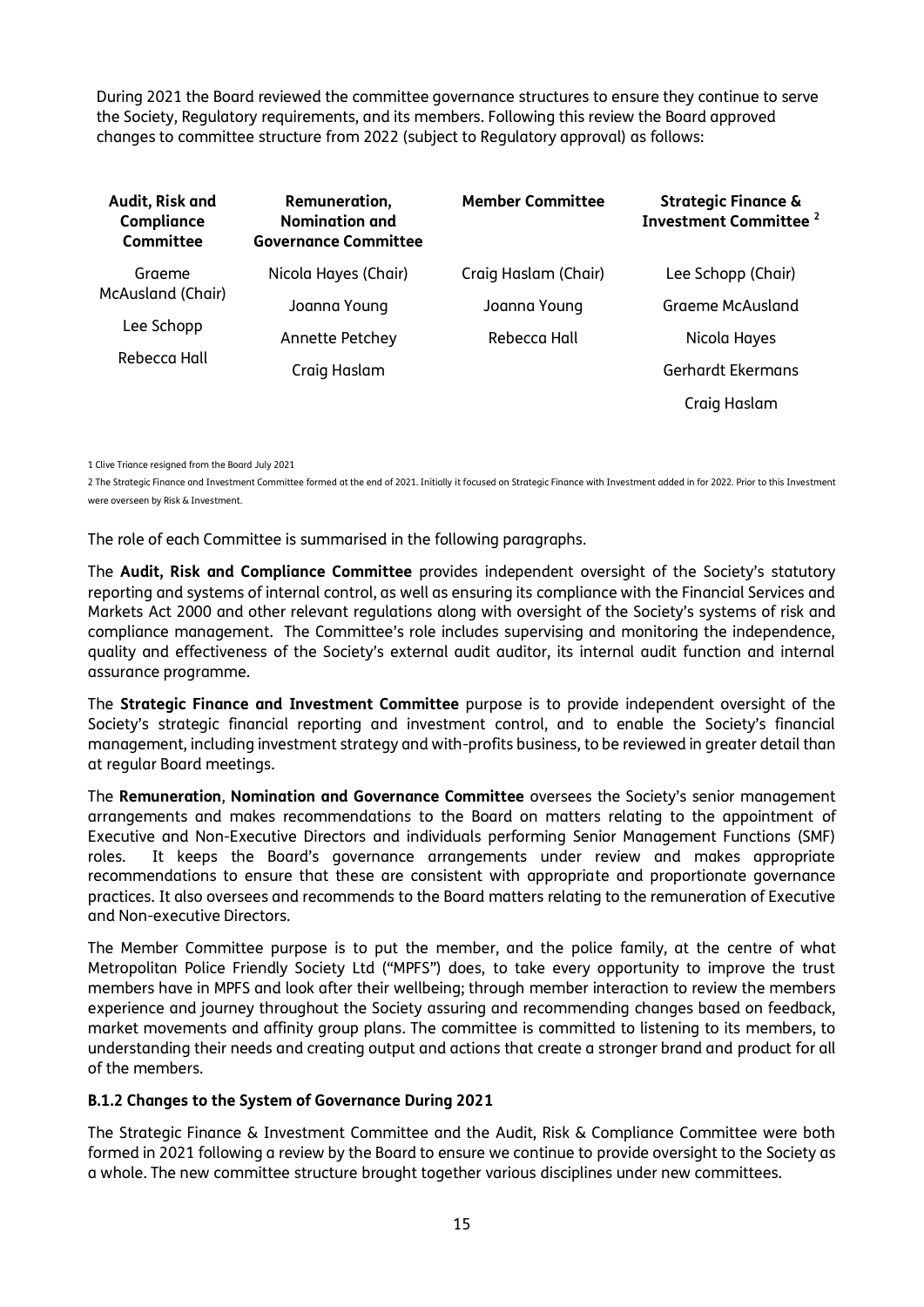During 2021 the Board reviewed the committee governance structures to ensure they continue to serve the Society, Regulatory requirements, and its members. Following this review the Board approved changes to committee structure from 2022 (subject to Regulatory approval) as follows:

| Audit, Risk and<br>Compliance<br>Committee | Remuneration,<br><b>Nomination and</b><br><b>Governance Committee</b> | <b>Member Committee</b> | <b>Strategic Finance &amp;</b><br><b>Investment Committee</b> <sup>2</sup> |
|--------------------------------------------|-----------------------------------------------------------------------|-------------------------|----------------------------------------------------------------------------|
| Graeme                                     | Nicola Hayes (Chair)                                                  | Craig Haslam (Chair)    | Lee Schopp (Chair)                                                         |
| McAusland (Chair)                          | Joanna Young                                                          | Joanna Young            | Graeme McAusland                                                           |
| Lee Schopp                                 | Annette Petchey                                                       | Rebecca Hall            | Nicola Hayes                                                               |
| Rebecca Hall                               | Craig Haslam                                                          |                         | Gerhardt Ekermans                                                          |
|                                            |                                                                       |                         | Craig Haslam                                                               |

1 Clive Triance resigned from the Board July 2021

2 The Strategic Finance and Investment Committee formed at the end of 2021. Initially it focused on Strategic Finance with Investment added in for 2022. Prior to this Investment were overseen by Risk & Investment.

The role of each Committee is summarised in the following paragraphs.

The **Audit, Risk and Compliance Committee** provides independent oversight of the Society's statutory reporting and systems of internal control, as well as ensuring its compliance with the Financial Services and Markets Act 2000 and other relevant regulations along with oversight of the Society's systems of risk and compliance management. The Committee's role includes supervising and monitoring the independence, quality and effectiveness of the Society's external audit auditor, its internal audit function and internal assurance programme.

The **Strategic Finance and Investment Committee** purpose is to provide independent oversight of the Society's strategic financial reporting and investment control, and to enable the Society's financial management, including investment strategy and with-profits business, to be reviewed in greater detail than at regular Board meetings.

The **Remuneration**, **Nomination and Governance Committee** oversees the Society's senior management arrangements and makes recommendations to the Board on matters relating to the appointment of Executive and Non-Executive Directors and individuals performing Senior Management Functions (SMF) roles. It keeps the Board's governance arrangements under review and makes appropriate recommendations to ensure that these are consistent with appropriate and proportionate governance practices. It also oversees and recommends to the Board matters relating to the remuneration of Executive and Non-executive Directors.

The Member Committee purpose is to put the member, and the police family, at the centre of what Metropolitan Police Friendly Society Ltd ("MPFS") does, to take every opportunity to improve the trust members have in MPFS and look after their wellbeing; through member interaction to review the members experience and journey throughout the Society assuring and recommending changes based on feedback, market movements and affinity group plans. The committee is committed to listening to its members, to understanding their needs and creating output and actions that create a stronger brand and product for all of the members.

#### **B.1.2 Changes to the System of Governance During 2021**

The Strategic Finance & Investment Committee and the Audit, Risk & Compliance Committee were both formed in 2021 following a review by the Board to ensure we continue to provide oversight to the Society as a whole. The new committee structure brought together various disciplines under new committees.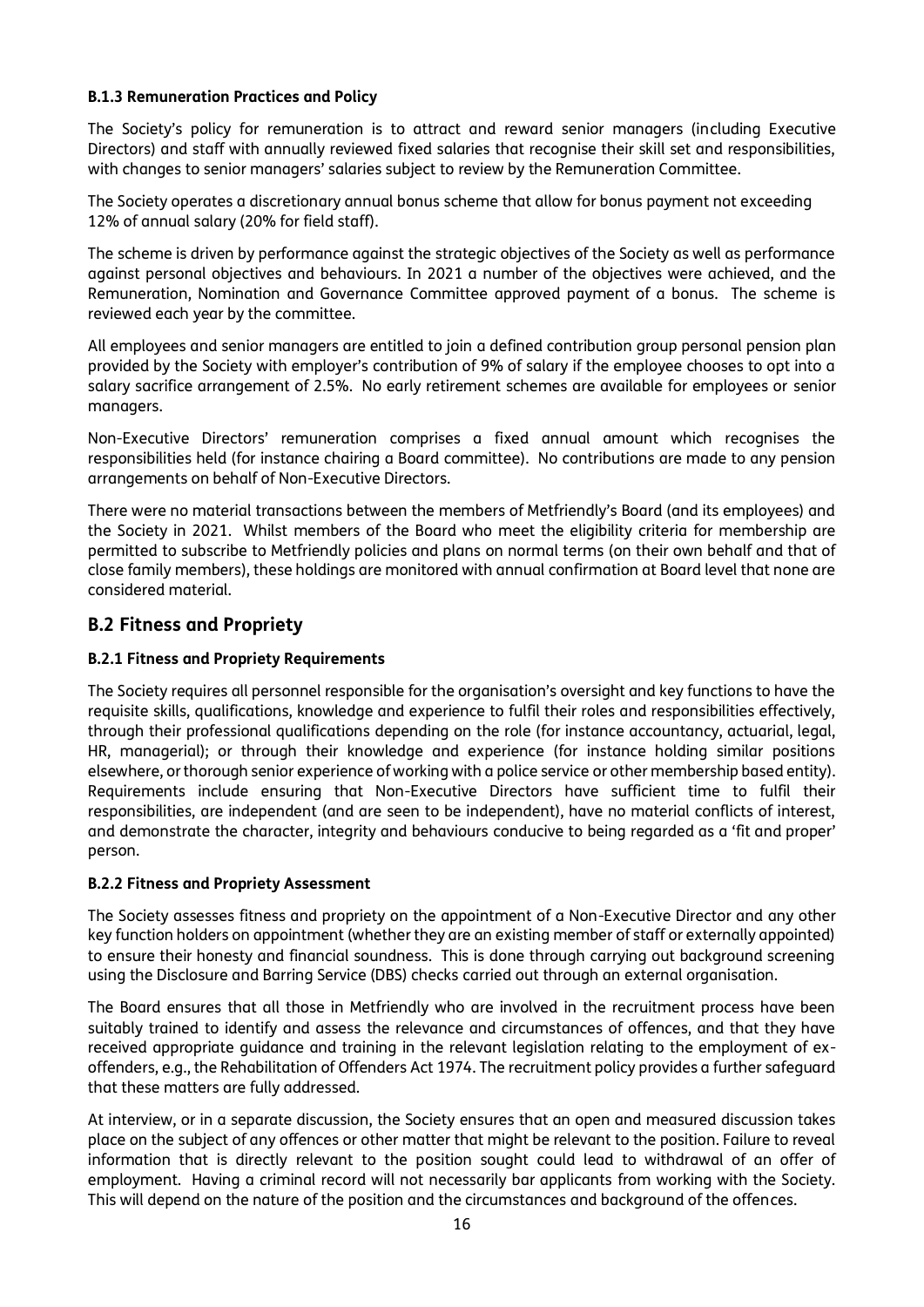#### **B.1.3 Remuneration Practices and Policy**

The Society's policy for remuneration is to attract and reward senior managers (including Executive Directors) and staff with annually reviewed fixed salaries that recognise their skill set and responsibilities, with changes to senior managers' salaries subject to review by the Remuneration Committee.

The Society operates a discretionary annual bonus scheme that allow for bonus payment not exceeding 12% of annual salary (20% for field staff).

The scheme is driven by performance against the strategic objectives of the Society as well as performance against personal objectives and behaviours. In 2021 a number of the objectives were achieved, and the Remuneration, Nomination and Governance Committee approved payment of a bonus. The scheme is reviewed each year by the committee.

All employees and senior managers are entitled to join a defined contribution group personal pension plan provided by the Society with employer's contribution of 9% of salary if the employee chooses to opt into a salary sacrifice arrangement of 2.5%. No early retirement schemes are available for employees or senior managers.

Non-Executive Directors' remuneration comprises a fixed annual amount which recognises the responsibilities held (for instance chairing a Board committee). No contributions are made to any pension arrangements on behalf of Non-Executive Directors.

There were no material transactions between the members of Metfriendly's Board (and its employees) and the Society in 2021. Whilst members of the Board who meet the eligibility criteria for membership are permitted to subscribe to Metfriendly policies and plans on normal terms (on their own behalf and that of close family members), these holdings are monitored with annual confirmation at Board level that none are considered material.

# **B.2 Fitness and Propriety**

### **B.2.1 Fitness and Propriety Requirements**

The Society requires all personnel responsible for the organisation's oversight and key functions to have the requisite skills, qualifications, knowledge and experience to fulfil their roles and responsibilities effectively, through their professional qualifications depending on the role (for instance accountancy, actuarial, legal, HR, managerial); or through their knowledge and experience (for instance holding similar positions elsewhere, or thorough senior experience of working with a police service or other membership based entity). Requirements include ensuring that Non-Executive Directors have sufficient time to fulfil their responsibilities, are independent (and are seen to be independent), have no material conflicts of interest, and demonstrate the character, integrity and behaviours conducive to being regarded as a 'fit and proper' person.

#### **B.2.2 Fitness and Propriety Assessment**

The Society assesses fitness and propriety on the appointment of a Non-Executive Director and any other key function holders on appointment (whether they are an existing member of staff or externally appointed) to ensure their honesty and financial soundness. This is done through carrying out background screening using the Disclosure and Barring Service (DBS) checks carried out through an external organisation.

The Board ensures that all those in Metfriendly who are involved in the recruitment process have been suitably trained to identify and assess the relevance and circumstances of offences, and that they have received appropriate guidance and training in the relevant legislation relating to the employment of exoffenders, e.g., the Rehabilitation of Offenders Act 1974. The recruitment policy provides a further safeguard that these matters are fully addressed.

At interview, or in a separate discussion, the Society ensures that an open and measured discussion takes place on the subject of any offences or other matter that might be relevant to the position. Failure to reveal information that is directly relevant to the position sought could lead to withdrawal of an offer of employment. Having a criminal record will not necessarily bar applicants from working with the Society. This will depend on the nature of the position and the circumstances and background of the offences.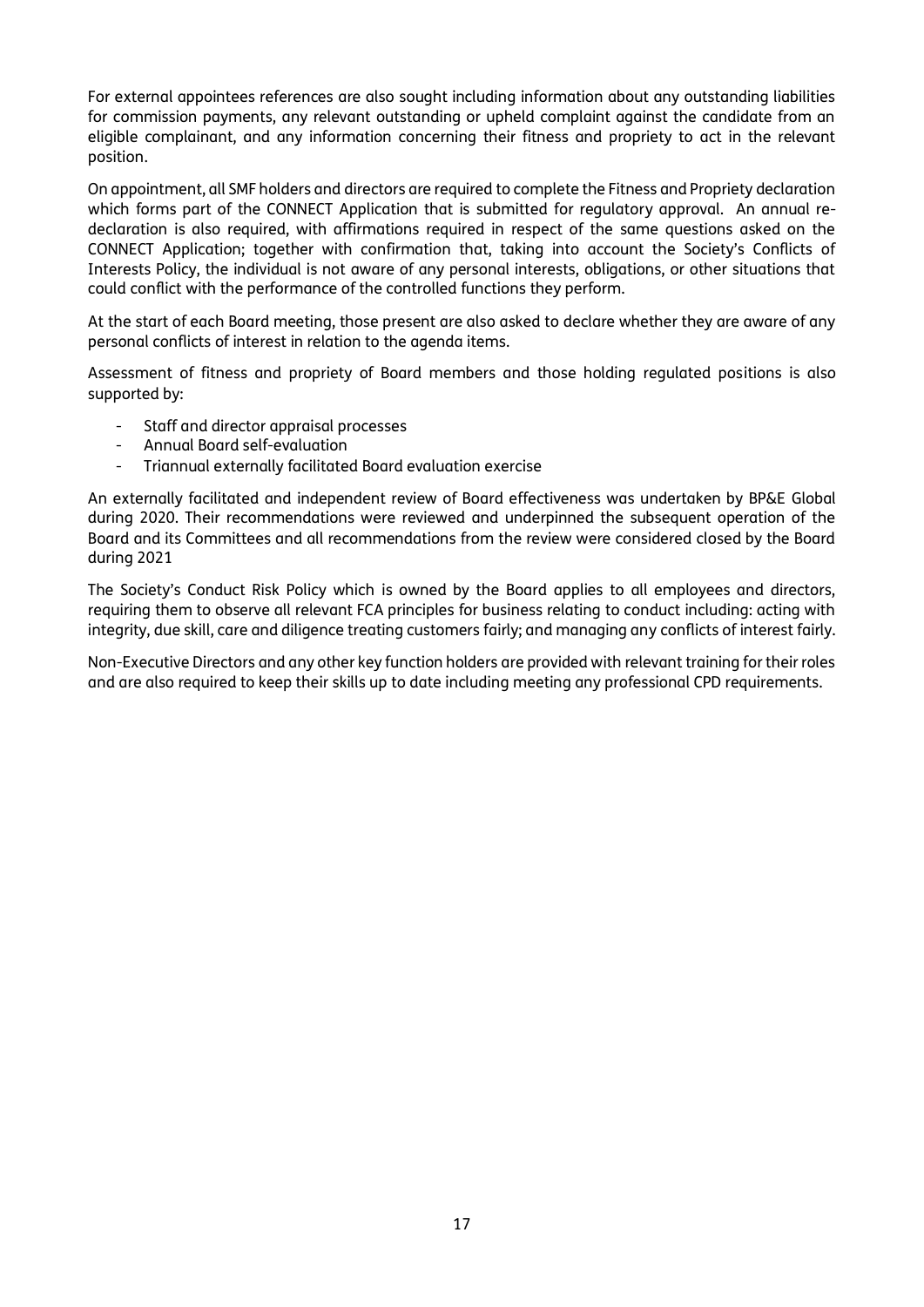For external appointees references are also sought including information about any outstanding liabilities for commission payments, any relevant outstanding or upheld complaint against the candidate from an eligible complainant, and any information concerning their fitness and propriety to act in the relevant position.

On appointment, all SMF holders and directors are required to complete the Fitness and Propriety declaration which forms part of the CONNECT Application that is submitted for regulatory approval. An annual redeclaration is also required, with affirmations required in respect of the same questions asked on the CONNECT Application; together with confirmation that, taking into account the Society's Conflicts of Interests Policy, the individual is not aware of any personal interests, obligations, or other situations that could conflict with the performance of the controlled functions they perform.

At the start of each Board meeting, those present are also asked to declare whether they are aware of any personal conflicts of interest in relation to the agenda items.

Assessment of fitness and propriety of Board members and those holding regulated positions is also supported by:

- Staff and director appraisal processes
- Annual Board self-evaluation
- Triannual externally facilitated Board evaluation exercise

An externally facilitated and independent review of Board effectiveness was undertaken by BP&E Global during 2020. Their recommendations were reviewed and underpinned the subsequent operation of the Board and its Committees and all recommendations from the review were considered closed by the Board during 2021

The Society's Conduct Risk Policy which is owned by the Board applies to all employees and directors, requiring them to observe all relevant FCA principles for business relating to conduct including: acting with integrity, due skill, care and diligence treating customers fairly; and managing any conflicts of interest fairly.

Non-Executive Directors and any other key function holders are provided with relevant training for their roles and are also required to keep their skills up to date including meeting any professional CPD requirements.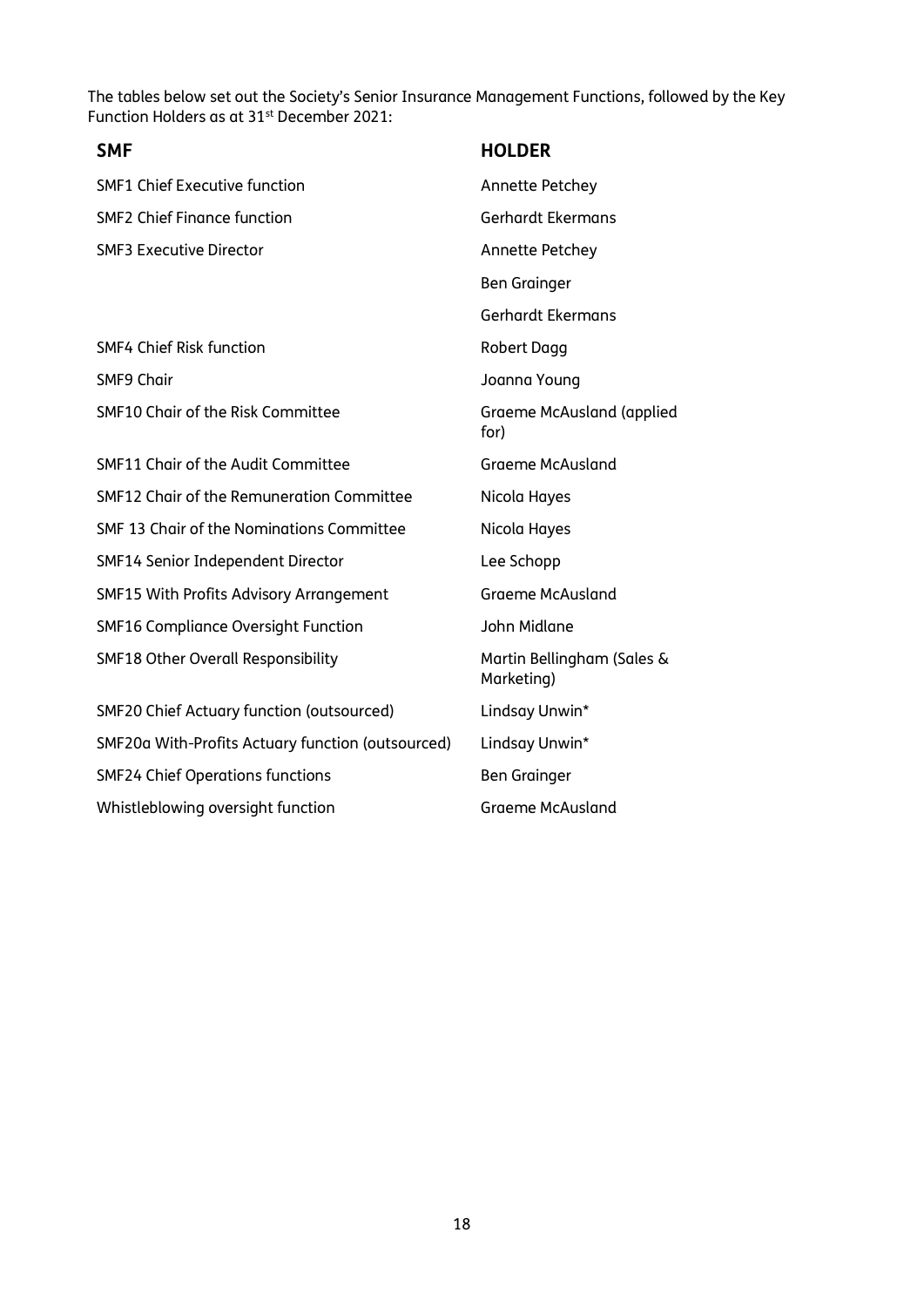The tables below set out the Society's Senior Insurance Management Functions, followed by the Key Function Holders as at 31<sup>st</sup> December 2021:

| <b>SMF</b>                                        | <b>HOLDER</b>                            |
|---------------------------------------------------|------------------------------------------|
| <b>SMF1 Chief Executive function</b>              | Annette Petchey                          |
| <b>SMF2 Chief Finance function</b>                | Gerhardt Ekermans                        |
| <b>SMF3 Executive Director</b>                    | Annette Petchey                          |
|                                                   | <b>Ben Grainger</b>                      |
|                                                   | Gerhardt Ekermans                        |
| <b>SMF4 Chief Risk function</b>                   | <b>Robert Dagg</b>                       |
| <b>SMF9 Chair</b>                                 | Joanna Young                             |
| SMF10 Chair of the Risk Committee                 | Graeme McAusland (applied<br>for)        |
| SMF11 Chair of the Audit Committee                | <b>Graeme McAusland</b>                  |
| SMF12 Chair of the Remuneration Committee         | Nicola Hayes                             |
| SMF 13 Chair of the Nominations Committee         | Nicola Hayes                             |
| SMF14 Senior Independent Director                 | Lee Schopp                               |
| SMF15 With Profits Advisory Arrangement           | <b>Graeme McAusland</b>                  |
| <b>SMF16 Compliance Oversight Function</b>        | John Midlane                             |
| SMF18 Other Overall Responsibility                | Martin Bellingham (Sales &<br>Marketing) |
| <b>SMF20 Chief Actuary function (outsourced)</b>  | Lindsay Unwin*                           |
| SMF20a With-Profits Actuary function (outsourced) | Lindsay Unwin*                           |
| <b>SMF24 Chief Operations functions</b>           | <b>Ben Grainger</b>                      |
| Whistleblowing oversight function                 | <b>Graeme McAusland</b>                  |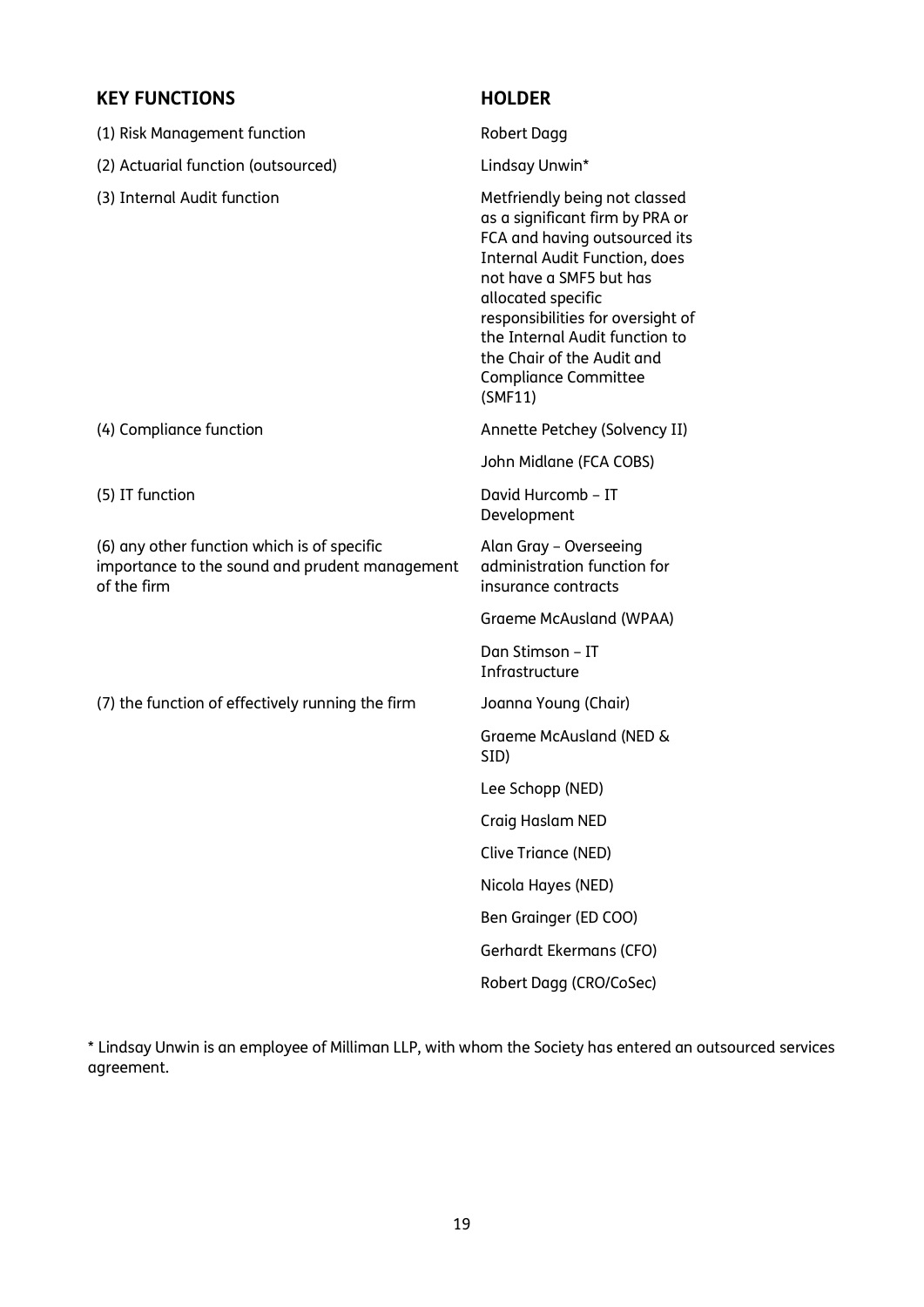# **KEY FUNCTIONS HOLDER**

| טיוטגונטונים ו                                                                                               |                                                                                                                                                                                                                                                                                                                                    |
|--------------------------------------------------------------------------------------------------------------|------------------------------------------------------------------------------------------------------------------------------------------------------------------------------------------------------------------------------------------------------------------------------------------------------------------------------------|
| (1) Risk Management function                                                                                 | <b>Robert Dagg</b>                                                                                                                                                                                                                                                                                                                 |
| (2) Actuarial function (outsourced)                                                                          | Lindsay Unwin*                                                                                                                                                                                                                                                                                                                     |
| (3) Internal Audit function                                                                                  | Metfriendly being not classed<br>as a significant firm by PRA or<br>FCA and having outsourced its<br><b>Internal Audit Function, does</b><br>not have a SMF5 but has<br>allocated specific<br>responsibilities for oversight of<br>the Internal Audit function to<br>the Chair of the Audit and<br>Compliance Committee<br>(SMF11) |
| (4) Compliance function                                                                                      | Annette Petchey (Solvency II)                                                                                                                                                                                                                                                                                                      |
|                                                                                                              | John Midlane (FCA COBS)                                                                                                                                                                                                                                                                                                            |
| (5) IT function                                                                                              | David Hurcomb - IT<br>Development                                                                                                                                                                                                                                                                                                  |
| (6) any other function which is of specific<br>importance to the sound and prudent management<br>of the firm | Alan Gray - Overseeing<br>administration function for<br>insurance contracts                                                                                                                                                                                                                                                       |
|                                                                                                              | Graeme McAusland (WPAA)                                                                                                                                                                                                                                                                                                            |
|                                                                                                              | Dan Stimson - IT<br>Infrastructure                                                                                                                                                                                                                                                                                                 |
| (7) the function of effectively running the firm                                                             | Joanna Young (Chair)                                                                                                                                                                                                                                                                                                               |
|                                                                                                              | Graeme McAusland (NED &<br>SID)                                                                                                                                                                                                                                                                                                    |
|                                                                                                              | Lee Schopp (NED)                                                                                                                                                                                                                                                                                                                   |
|                                                                                                              | Craig Haslam NED                                                                                                                                                                                                                                                                                                                   |
|                                                                                                              | Clive Triance (NED)                                                                                                                                                                                                                                                                                                                |
|                                                                                                              | Nicola Hayes (NED)                                                                                                                                                                                                                                                                                                                 |
|                                                                                                              | Ben Grainger (ED COO)                                                                                                                                                                                                                                                                                                              |
|                                                                                                              | Gerhardt Ekermans (CFO)                                                                                                                                                                                                                                                                                                            |
|                                                                                                              | Robert Dagg (CRO/CoSec)                                                                                                                                                                                                                                                                                                            |

\* Lindsay Unwin is an employee of Milliman LLP, with whom the Society has entered an outsourced services agreement.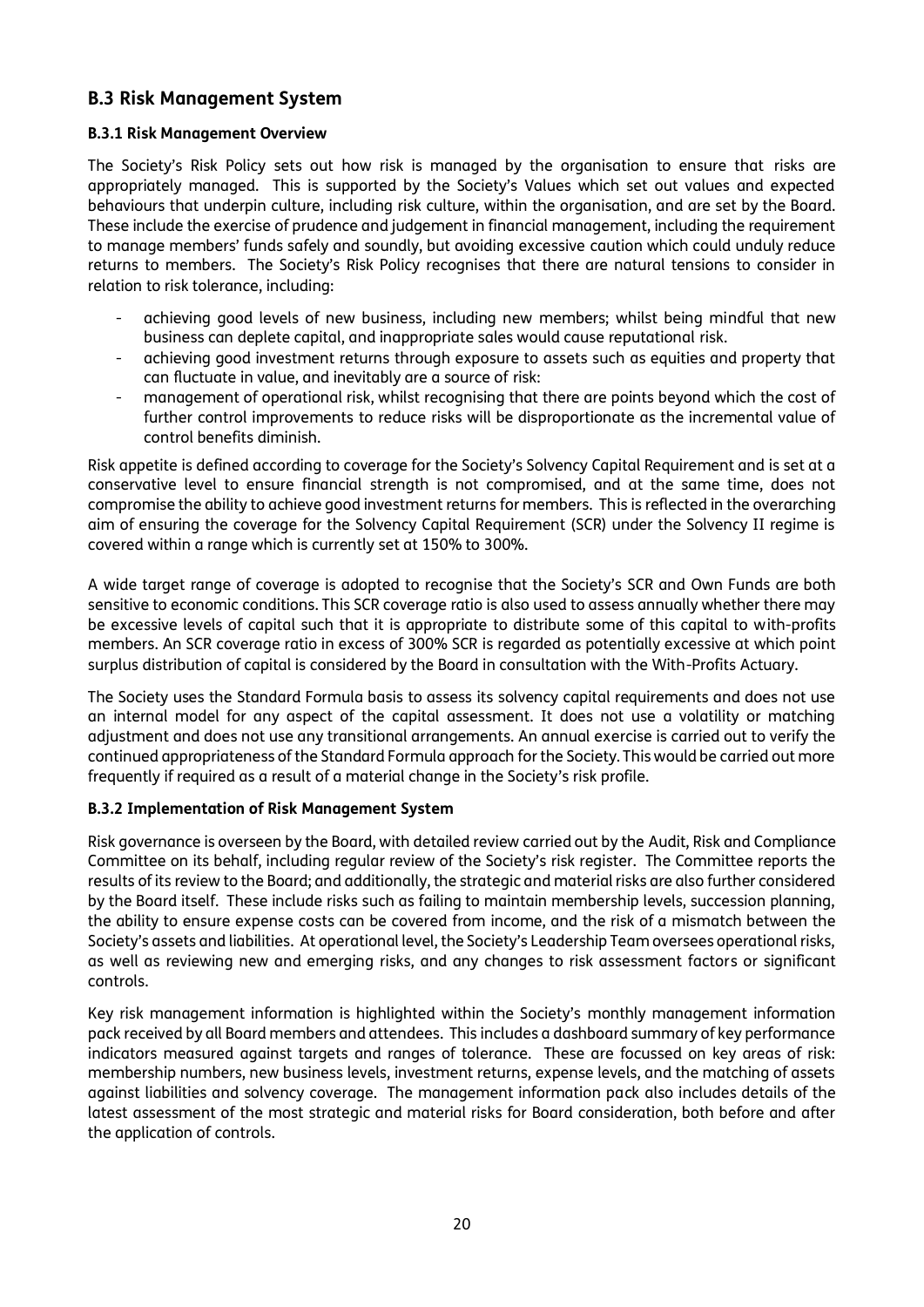# **B.3 Risk Management System**

#### **B.3.1 Risk Management Overview**

The Society's Risk Policy sets out how risk is managed by the organisation to ensure that risks are appropriately managed. This is supported by the Society's Values which set out values and expected behaviours that underpin culture, including risk culture, within the organisation, and are set by the Board. These include the exercise of prudence and judgement in financial management, including the requirement to manage members' funds safely and soundly, but avoiding excessive caution which could unduly reduce returns to members. The Society's Risk Policy recognises that there are natural tensions to consider in relation to risk tolerance, including:

- achieving good levels of new business, including new members; whilst being mindful that new business can deplete capital, and inappropriate sales would cause reputational risk.
- achieving good investment returns through exposure to assets such as equities and property that can fluctuate in value, and inevitably are a source of risk:
- management of operational risk, whilst recognising that there are points beyond which the cost of further control improvements to reduce risks will be disproportionate as the incremental value of control benefits diminish.

Risk appetite is defined according to coverage for the Society's Solvency Capital Requirement and is set at a conservative level to ensure financial strength is not compromised, and at the same time, does not compromise the ability to achieve good investment returns for members. This is reflected in the overarching aim of ensuring the coverage for the Solvency Capital Requirement (SCR) under the Solvency II regime is covered within a range which is currently set at 150% to 300%.

A wide target range of coverage is adopted to recognise that the Society's SCR and Own Funds are both sensitive to economic conditions. This SCR coverage ratio is also used to assess annually whether there may be excessive levels of capital such that it is appropriate to distribute some of this capital to with-profits members. An SCR coverage ratio in excess of 300% SCR is regarded as potentially excessive at which point surplus distribution of capital is considered by the Board in consultation with the With-Profits Actuary.

The Society uses the Standard Formula basis to assess its solvency capital requirements and does not use an internal model for any aspect of the capital assessment. It does not use a volatility or matching adjustment and does not use any transitional arrangements. An annual exercise is carried out to verify the continued appropriateness of the Standard Formula approach for the Society. This would be carried out more frequently if required as a result of a material change in the Society's risk profile.

#### **B.3.2 Implementation of Risk Management System**

Risk governance is overseen by the Board, with detailed review carried out by the Audit, Risk and Compliance Committee on its behalf, including regular review of the Society's risk register. The Committee reports the results of its review to the Board; and additionally, the strategic and material risks are also further considered by the Board itself. These include risks such as failing to maintain membership levels, succession planning, the ability to ensure expense costs can be covered from income, and the risk of a mismatch between the Society's assets and liabilities. At operational level, the Society's Leadership Team oversees operational risks, as well as reviewing new and emerging risks, and any changes to risk assessment factors or significant controls.

Key risk management information is highlighted within the Society's monthly management information pack received by all Board members and attendees. This includes a dashboard summary of key performance indicators measured against targets and ranges of tolerance. These are focussed on key areas of risk: membership numbers, new business levels, investment returns, expense levels, and the matching of assets against liabilities and solvency coverage. The management information pack also includes details of the latest assessment of the most strategic and material risks for Board consideration, both before and after the application of controls.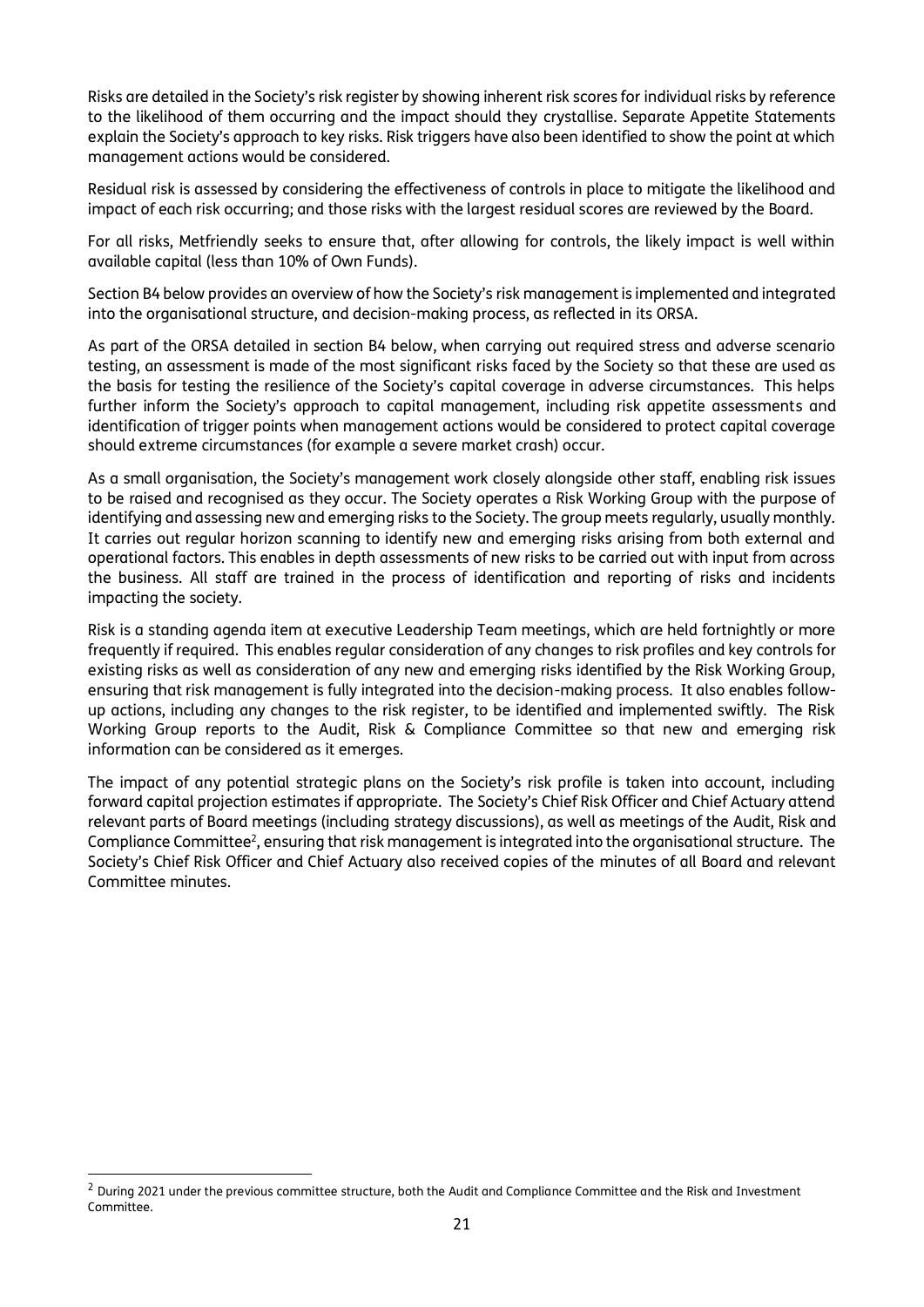Risks are detailed in the Society's risk register by showing inherent risk scores for individual risks by reference to the likelihood of them occurring and the impact should they crystallise. Separate Appetite Statements explain the Society's approach to key risks. Risk triggers have also been identified to show the point at which management actions would be considered.

Residual risk is assessed by considering the effectiveness of controls in place to mitigate the likelihood and impact of each risk occurring; and those risks with the largest residual scores are reviewed by the Board.

For all risks, Metfriendly seeks to ensure that, after allowing for controls, the likely impact is well within available capital (less than 10% of Own Funds).

Section B4 below provides an overview of how the Society's risk management is implemented and integrated into the organisational structure, and decision-making process, as reflected in its ORSA.

As part of the ORSA detailed in section B4 below, when carrying out required stress and adverse scenario testing, an assessment is made of the most significant risks faced by the Society so that these are used as the basis for testing the resilience of the Society's capital coverage in adverse circumstances. This helps further inform the Society's approach to capital management, including risk appetite assessments and identification of trigger points when management actions would be considered to protect capital coverage should extreme circumstances (for example a severe market crash) occur.

As a small organisation, the Society's management work closely alongside other staff, enabling risk issues to be raised and recognised as they occur. The Society operates a Risk Working Group with the purpose of identifying and assessing new and emerging risks to the Society. The group meets regularly, usually monthly. It carries out regular horizon scanning to identify new and emerging risks arising from both external and operational factors. This enables in depth assessments of new risks to be carried out with input from across the business. All staff are trained in the process of identification and reporting of risks and incidents impacting the society.

Risk is a standing agenda item at executive Leadership Team meetings, which are held fortnightly or more frequently if required. This enables regular consideration of any changes to risk profiles and key controls for existing risks as well as consideration of any new and emerging risks identified by the Risk Working Group, ensuring that risk management is fully integrated into the decision-making process. It also enables followup actions, including any changes to the risk register, to be identified and implemented swiftly. The Risk Working Group reports to the Audit, Risk & Compliance Committee so that new and emerging risk information can be considered as it emerges.

The impact of any potential strategic plans on the Society's risk profile is taken into account, including forward capital projection estimates if appropriate. The Society's Chief Risk Officer and Chief Actuary attend relevant parts of Board meetings (including strategy discussions), as well as meetings of the Audit, Risk and Compliance Committee<sup>2</sup>, ensuring that risk management is integrated into the organisational structure. The Society's Chief Risk Officer and Chief Actuary also received copies of the minutes of all Board and relevant Committee minutes.

<sup>&</sup>lt;sup>2</sup> During 2021 under the previous committee structure, both the Audit and Compliance Committee and the Risk and Investment Committee.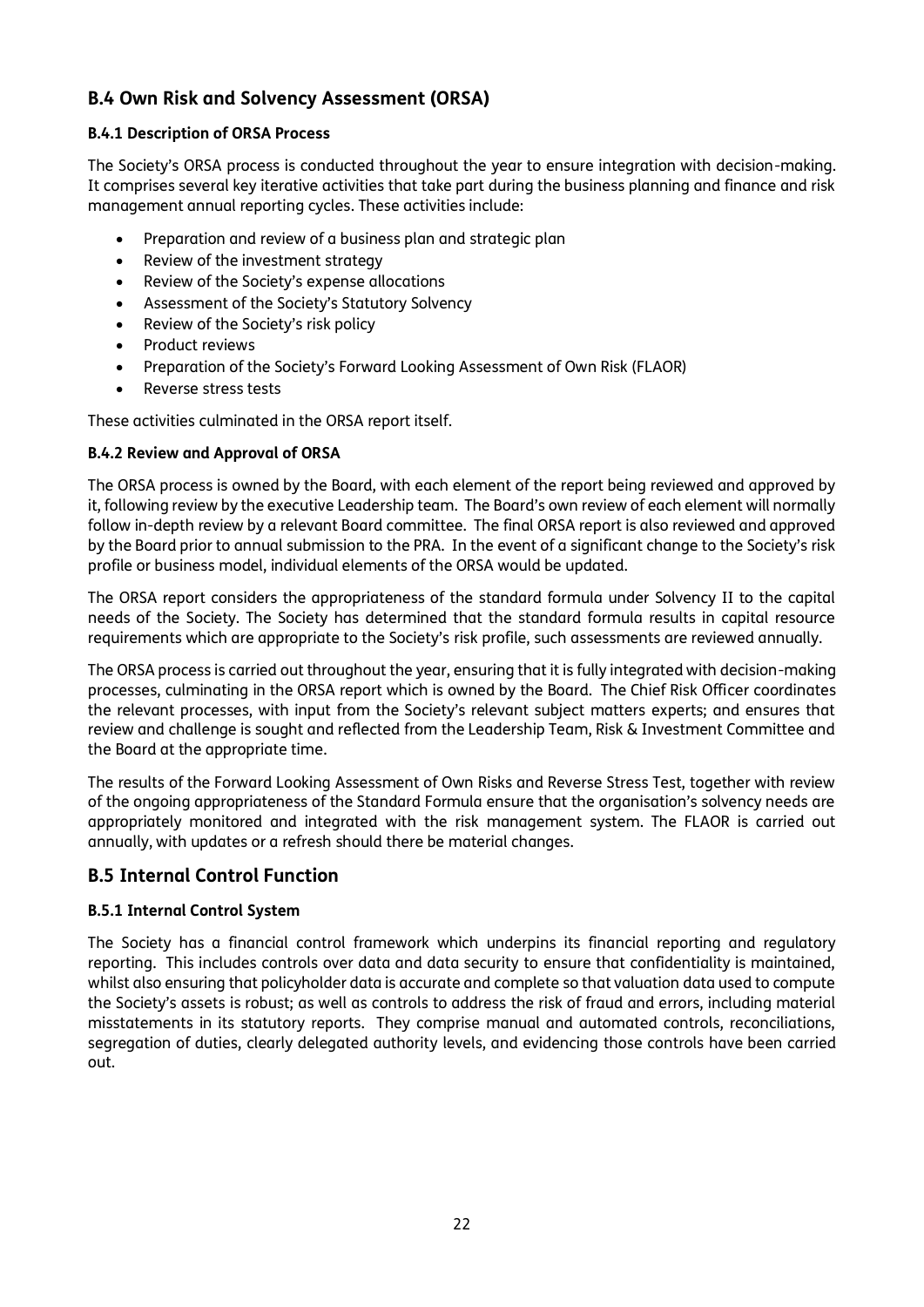# **B.4 Own Risk and Solvency Assessment (ORSA)**

### **B.4.1 Description of ORSA Process**

The Society's ORSA process is conducted throughout the year to ensure integration with decision-making. It comprises several key iterative activities that take part during the business planning and finance and risk management annual reporting cycles. These activities include:

- Preparation and review of a business plan and strategic plan
- Review of the investment strategy
- Review of the Society's expense allocations
- Assessment of the Society's Statutory Solvency
- Review of the Society's risk policy
- Product reviews
- Preparation of the Society's Forward Looking Assessment of Own Risk (FLAOR)
- Reverse stress tests

These activities culminated in the ORSA report itself.

### **B.4.2 Review and Approval of ORSA**

The ORSA process is owned by the Board, with each element of the report being reviewed and approved by it, following review by the executive Leadership team. The Board's own review of each element will normally follow in-depth review by a relevant Board committee. The final ORSA report is also reviewed and approved by the Board prior to annual submission to the PRA. In the event of a significant change to the Society's risk profile or business model, individual elements of the ORSA would be updated.

The ORSA report considers the appropriateness of the standard formula under Solvency II to the capital needs of the Society. The Society has determined that the standard formula results in capital resource requirements which are appropriate to the Society's risk profile, such assessments are reviewed annually.

The ORSA process is carried out throughout the year, ensuring that it is fully integrated with decision-making processes, culminating in the ORSA report which is owned by the Board. The Chief Risk Officer coordinates the relevant processes, with input from the Society's relevant subject matters experts; and ensures that review and challenge is sought and reflected from the Leadership Team, Risk & Investment Committee and the Board at the appropriate time.

The results of the Forward Looking Assessment of Own Risks and Reverse Stress Test, together with review of the ongoing appropriateness of the Standard Formula ensure that the organisation's solvency needs are appropriately monitored and integrated with the risk management system. The FLAOR is carried out annually, with updates or a refresh should there be material changes.

# **B.5 Internal Control Function**

#### **B.5.1 Internal Control System**

The Society has a financial control framework which underpins its financial reporting and regulatory reporting. This includes controls over data and data security to ensure that confidentiality is maintained, whilst also ensuring that policyholder data is accurate and complete so that valuation data used to compute the Society's assets is robust; as well as controls to address the risk of fraud and errors, including material misstatements in its statutory reports. They comprise manual and automated controls, reconciliations, segregation of duties, clearly delegated authority levels, and evidencing those controls have been carried out.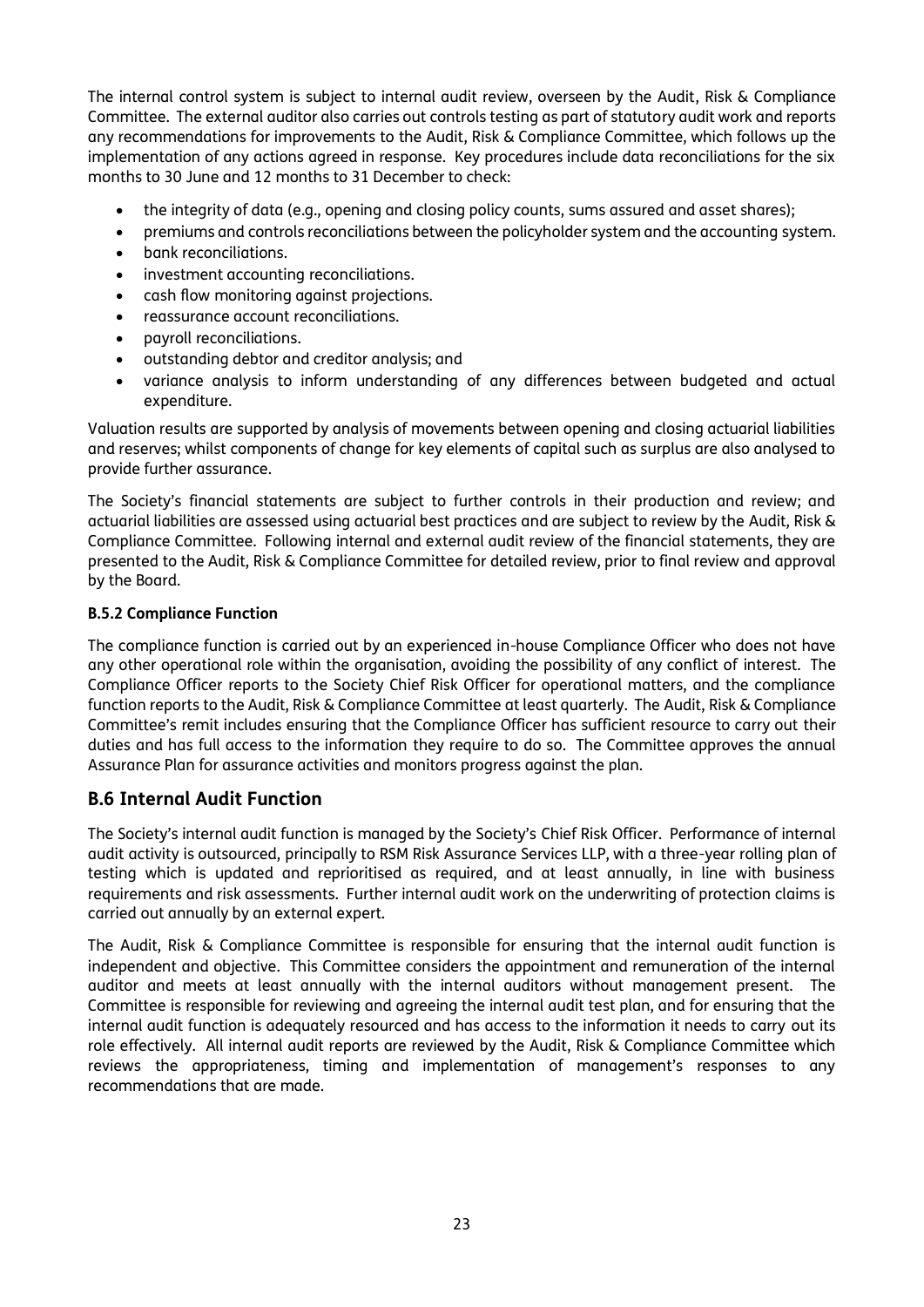The internal control system is subject to internal audit review, overseen by the Audit, Risk & Compliance Committee. The external auditor also carries out controls testing as part of statutory audit work and reports any recommendations for improvements to the Audit, Risk & Compliance Committee, which follows up the implementation of any actions agreed in response. Key procedures include data reconciliations for the six months to 30 June and 12 months to 31 December to check:

- the integrity of data (e.g., opening and closing policy counts, sums assured and asset shares);
- premiums and controls reconciliations between the policyholder system and the accounting system.
- bank reconciliations.
- investment accounting reconciliations.
- cash flow monitoring against projections.
- reassurance account reconciliations.
- payroll reconciliations.
- outstanding debtor and creditor analysis; and
- variance analysis to inform understanding of any differences between budgeted and actual expenditure.

Valuation results are supported by analysis of movements between opening and closing actuarial liabilities and reserves; whilst components of change for key elements of capital such as surplus are also analysed to provide further assurance.

The Society's financial statements are subject to further controls in their production and review; and actuarial liabilities are assessed using actuarial best practices and are subject to review by the Audit, Risk & Compliance Committee. Following internal and external audit review of the financial statements, they are presented to the Audit, Risk & Compliance Committee for detailed review, prior to final review and approval by the Board.

#### **B.5.2 Compliance Function**

The compliance function is carried out by an experienced in-house Compliance Officer who does not have any other operational role within the organisation, avoiding the possibility of any conflict of interest. The Compliance Officer reports to the Society Chief Risk Officer for operational matters, and the compliance function reports to the Audit, Risk & Compliance Committee at least quarterly. The Audit, Risk & Compliance Committee's remit includes ensuring that the Compliance Officer has sufficient resource to carry out their duties and has full access to the information they require to do so. The Committee approves the annual Assurance Plan for assurance activities and monitors progress against the plan.

# **B.6 Internal Audit Function**

The Society's internal audit function is managed by the Society's Chief Risk Officer. Performance of internal audit activity is outsourced, principally to RSM Risk Assurance Services LLP, with a three-year rolling plan of testing which is updated and reprioritised as required, and at least annually, in line with business requirements and risk assessments. Further internal audit work on the underwriting of protection claims is carried out annually by an external expert.

The Audit, Risk & Compliance Committee is responsible for ensuring that the internal audit function is independent and objective. This Committee considers the appointment and remuneration of the internal auditor and meets at least annually with the internal auditors without management present. The Committee is responsible for reviewing and agreeing the internal audit test plan, and for ensuring that the internal audit function is adequately resourced and has access to the information it needs to carry out its role effectively. All internal audit reports are reviewed by the Audit, Risk & Compliance Committee which reviews the appropriateness, timing and implementation of management's responses to any recommendations that are made.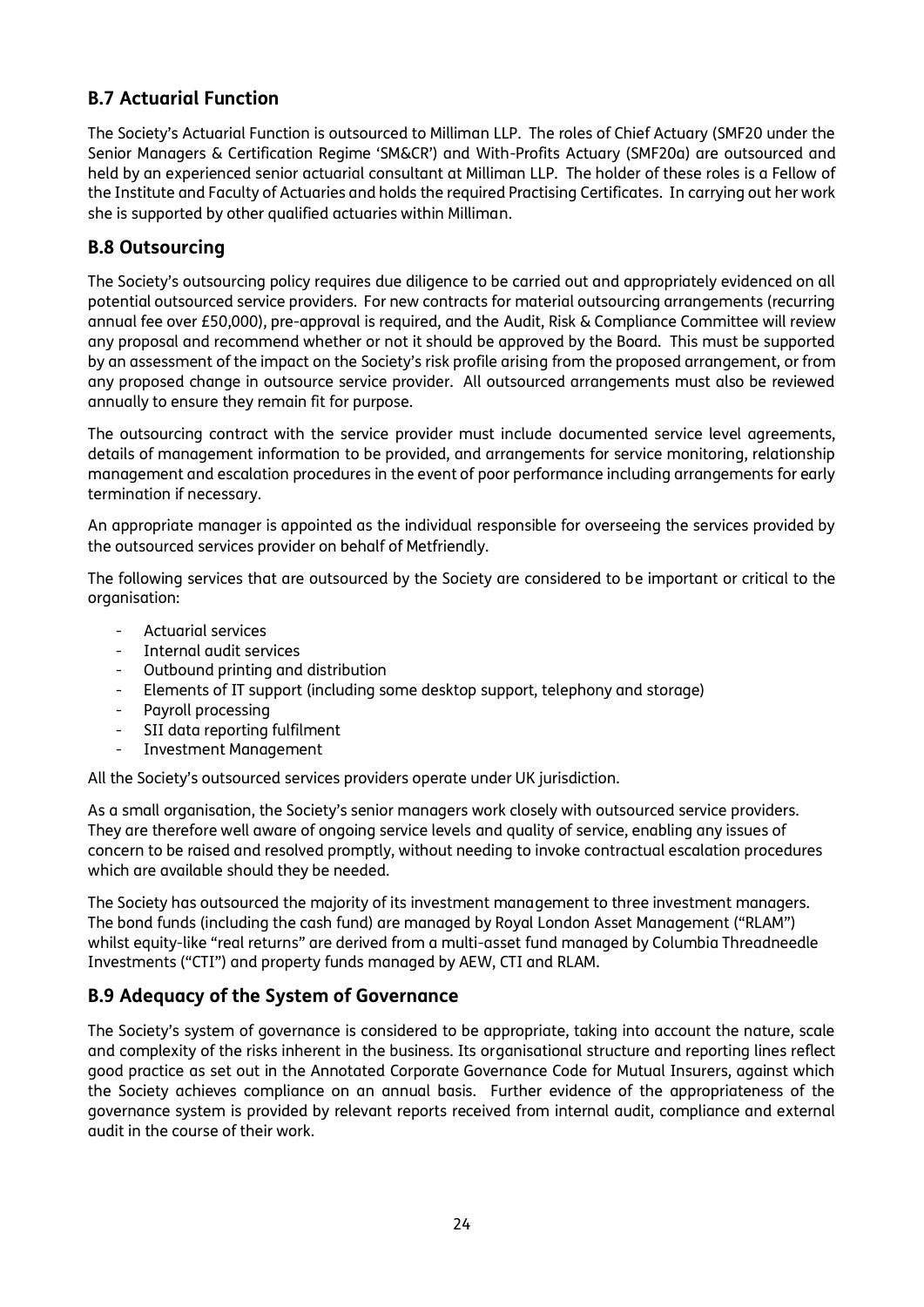# **B.7 Actuarial Function**

The Society's Actuarial Function is outsourced to Milliman LLP. The roles of Chief Actuary (SMF20 under the Senior Managers & Certification Regime 'SM&CR') and With-Profits Actuary (SMF20a) are outsourced and held by an experienced senior actuarial consultant at Milliman LLP. The holder of these roles is a Fellow of the Institute and Faculty of Actuaries and holds the required Practising Certificates. In carrying out her work she is supported by other qualified actuaries within Milliman.

# **B.8 Outsourcing**

The Society's outsourcing policy requires due diligence to be carried out and appropriately evidenced on all potential outsourced service providers. For new contracts for material outsourcing arrangements (recurring annual fee over £50,000), pre-approval is required, and the Audit, Risk & Compliance Committee will review any proposal and recommend whether or not it should be approved by the Board. This must be supported by an assessment of the impact on the Society's risk profile arising from the proposed arrangement, or from any proposed change in outsource service provider. All outsourced arrangements must also be reviewed annually to ensure they remain fit for purpose.

The outsourcing contract with the service provider must include documented service level agreements, details of management information to be provided, and arrangements for service monitoring, relationship management and escalation procedures in the event of poor performance including arrangements for early termination if necessary.

An appropriate manager is appointed as the individual responsible for overseeing the services provided by the outsourced services provider on behalf of Metfriendly.

The following services that are outsourced by the Society are considered to be important or critical to the organisation:

- Actuarial services
- Internal audit services
- Outbound printing and distribution
- Elements of IT support (including some desktop support, telephony and storage)
- Payroll processing
- SII data reporting fulfilment
- Investment Management

All the Society's outsourced services providers operate under UK jurisdiction.

As a small organisation, the Society's senior managers work closely with outsourced service providers. They are therefore well aware of ongoing service levels and quality of service, enabling any issues of concern to be raised and resolved promptly, without needing to invoke contractual escalation procedures which are available should they be needed.

The Society has outsourced the majority of its investment management to three investment managers. The bond funds (including the cash fund) are managed by Royal London Asset Management ("RLAM") whilst equity-like "real returns" are derived from a multi-asset fund managed by Columbia Threadneedle Investments ("CTI") and property funds managed by AEW, CTI and RLAM.

# **B.9 Adequacy of the System of Governance**

The Society's system of governance is considered to be appropriate, taking into account the nature, scale and complexity of the risks inherent in the business. Its organisational structure and reporting lines reflect good practice as set out in the Annotated Corporate Governance Code for Mutual Insurers, against which the Society achieves compliance on an annual basis. Further evidence of the appropriateness of the governance system is provided by relevant reports received from internal audit, compliance and external audit in the course of their work.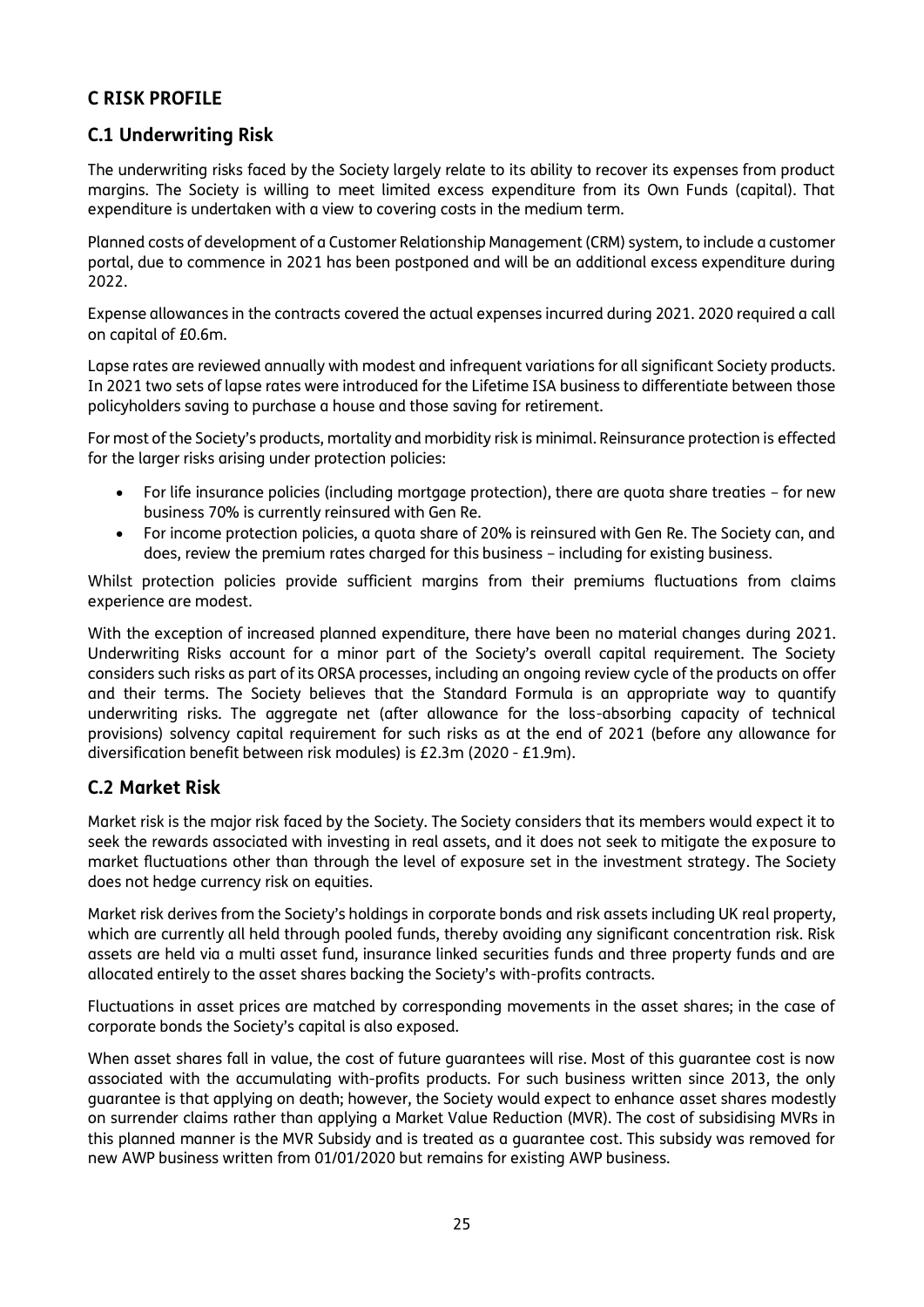# **C RISK PROFILE**

# **C.1 Underwriting Risk**

The underwriting risks faced by the Society largely relate to its ability to recover its expenses from product margins. The Society is willing to meet limited excess expenditure from its Own Funds (capital). That expenditure is undertaken with a view to covering costs in the medium term.

Planned costs of development of a Customer Relationship Management (CRM) system, to include a customer portal, due to commence in 2021 has been postponed and will be an additional excess expenditure during 2022.

Expense allowances in the contracts covered the actual expenses incurred during 2021. 2020 required a call on capital of £0.6m.

Lapse rates are reviewed annually with modest and infrequent variations for all significant Society products. In 2021 two sets of lapse rates were introduced for the Lifetime ISA business to differentiate between those policyholders saving to purchase a house and those saving for retirement.

For most of the Society's products, mortality and morbidity risk is minimal. Reinsurance protection is effected for the larger risks arising under protection policies:

- For life insurance policies (including mortgage protection), there are quota share treaties for new business 70% is currently reinsured with Gen Re.
- For income protection policies, a quota share of 20% is reinsured with Gen Re. The Society can, and does, review the premium rates charged for this business – including for existing business.

Whilst protection policies provide sufficient margins from their premiums fluctuations from claims experience are modest.

With the exception of increased planned expenditure, there have been no material changes during 2021. Underwriting Risks account for a minor part of the Society's overall capital requirement. The Society considers such risks as part of its ORSA processes, including an ongoing review cycle of the products on offer and their terms. The Society believes that the Standard Formula is an appropriate way to quantify underwriting risks. The aggregate net (after allowance for the loss-absorbing capacity of technical provisions) solvency capital requirement for such risks as at the end of 2021 (before any allowance for diversification benefit between risk modules) is £2.3m (2020 - £1.9m).

# **C.2 Market Risk**

Market risk is the major risk faced by the Society. The Society considers that its members would expect it to seek the rewards associated with investing in real assets, and it does not seek to mitigate the exposure to market fluctuations other than through the level of exposure set in the investment strategy. The Society does not hedge currency risk on equities.

Market risk derives from the Society's holdings in corporate bonds and risk assets including UK real property, which are currently all held through pooled funds, thereby avoiding any significant concentration risk. Risk assets are held via a multi asset fund, insurance linked securities funds and three property funds and are allocated entirely to the asset shares backing the Society's with-profits contracts.

Fluctuations in asset prices are matched by corresponding movements in the asset shares; in the case of corporate bonds the Society's capital is also exposed.

When asset shares fall in value, the cost of future guarantees will rise. Most of this guarantee cost is now associated with the accumulating with-profits products. For such business written since 2013, the only guarantee is that applying on death; however, the Society would expect to enhance asset shares modestly on surrender claims rather than applying a Market Value Reduction (MVR). The cost of subsidising MVRs in this planned manner is the MVR Subsidy and is treated as a guarantee cost. This subsidy was removed for new AWP business written from 01/01/2020 but remains for existing AWP business.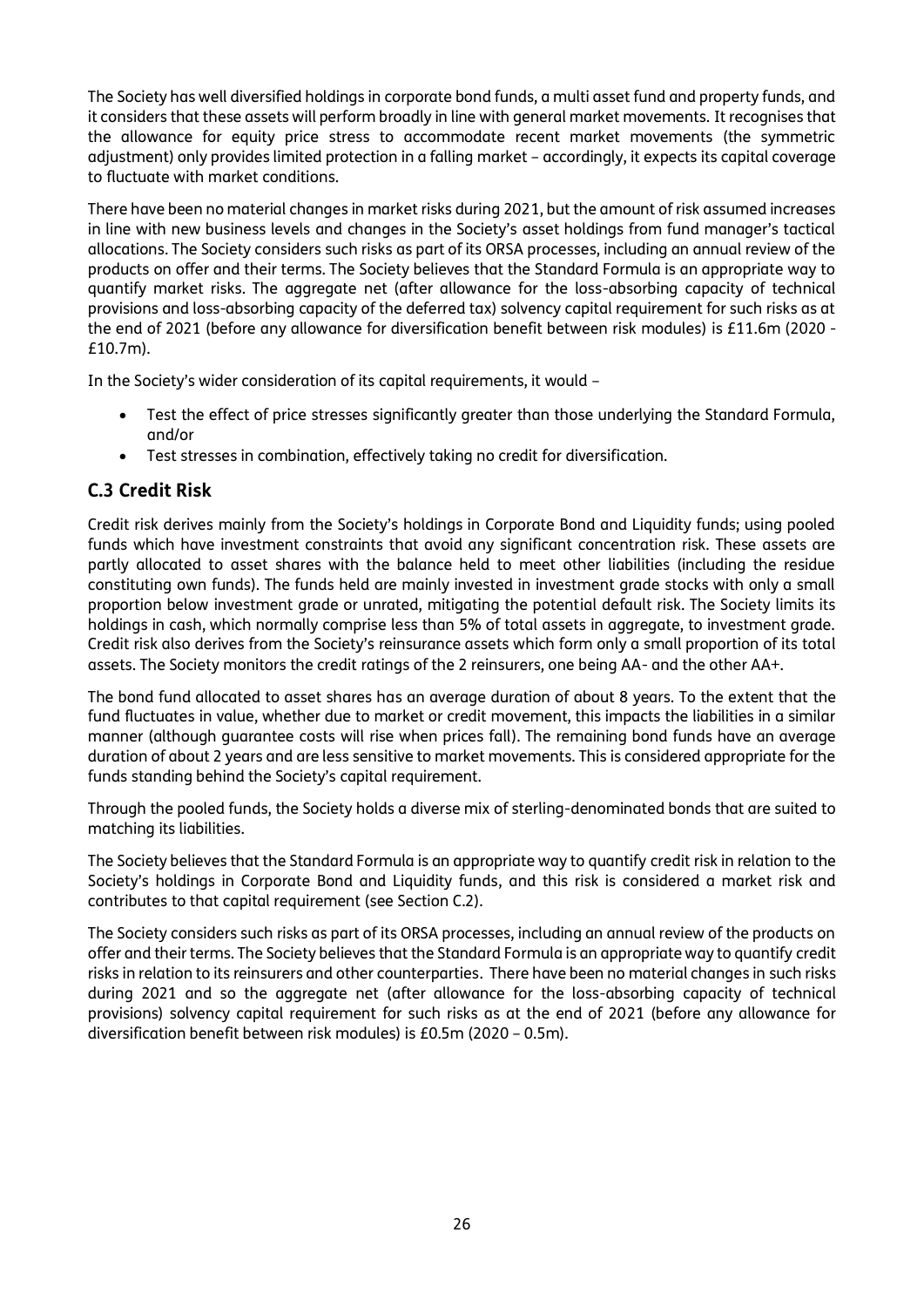The Society has well diversified holdings in corporate bond funds, a multi asset fund and property funds, and it considers that these assets will perform broadly in line with general market movements. It recognises that the allowance for equity price stress to accommodate recent market movements (the symmetric adjustment) only provides limited protection in a falling market – accordingly, it expects its capital coverage to fluctuate with market conditions.

There have been no material changes in market risks during 2021, but the amount of risk assumed increases in line with new business levels and changes in the Society's asset holdings from fund manager's tactical allocations. The Society considers such risks as part of its ORSA processes, including an annual review of the products on offer and their terms. The Society believes that the Standard Formula is an appropriate way to quantify market risks. The aggregate net (after allowance for the loss-absorbing capacity of technical provisions and loss-absorbing capacity of the deferred tax) solvency capital requirement for such risks as at the end of 2021 (before any allowance for diversification benefit between risk modules) is £11.6m (2020 - £10.7m).

In the Society's wider consideration of its capital requirements, it would –

- Test the effect of price stresses significantly greater than those underlying the Standard Formula, and/or
- Test stresses in combination, effectively taking no credit for diversification.

# **C.3 Credit Risk**

Credit risk derives mainly from the Society's holdings in Corporate Bond and Liquidity funds; using pooled funds which have investment constraints that avoid any significant concentration risk. These assets are partly allocated to asset shares with the balance held to meet other liabilities (including the residue constituting own funds). The funds held are mainly invested in investment grade stocks with only a small proportion below investment grade or unrated, mitigating the potential default risk. The Society limits its holdings in cash, which normally comprise less than 5% of total assets in aggregate, to investment grade. Credit risk also derives from the Society's reinsurance assets which form only a small proportion of its total assets. The Society monitors the credit ratings of the 2 reinsurers, one being AA- and the other AA+.

The bond fund allocated to asset shares has an average duration of about 8 years. To the extent that the fund fluctuates in value, whether due to market or credit movement, this impacts the liabilities in a similar manner (although guarantee costs will rise when prices fall). The remaining bond funds have an average duration of about 2 years and are less sensitive to market movements. This is considered appropriate for the funds standing behind the Society's capital requirement.

Through the pooled funds, the Society holds a diverse mix of sterling-denominated bonds that are suited to matching its liabilities.

The Society believes that the Standard Formula is an appropriate way to quantify credit risk in relation to the Society's holdings in Corporate Bond and Liquidity funds, and this risk is considered a market risk and contributes to that capital requirement (see Section C.2).

The Society considers such risks as part of its ORSA processes, including an annual review of the products on offer and their terms. The Society believes that the Standard Formula is an appropriate way to quantify credit risks in relation to its reinsurers and other counterparties. There have been no material changes in such risks during 2021 and so the aggregate net (after allowance for the loss-absorbing capacity of technical provisions) solvency capital requirement for such risks as at the end of 2021 (before any allowance for diversification benefit between risk modules) is £0.5m (2020 – 0.5m).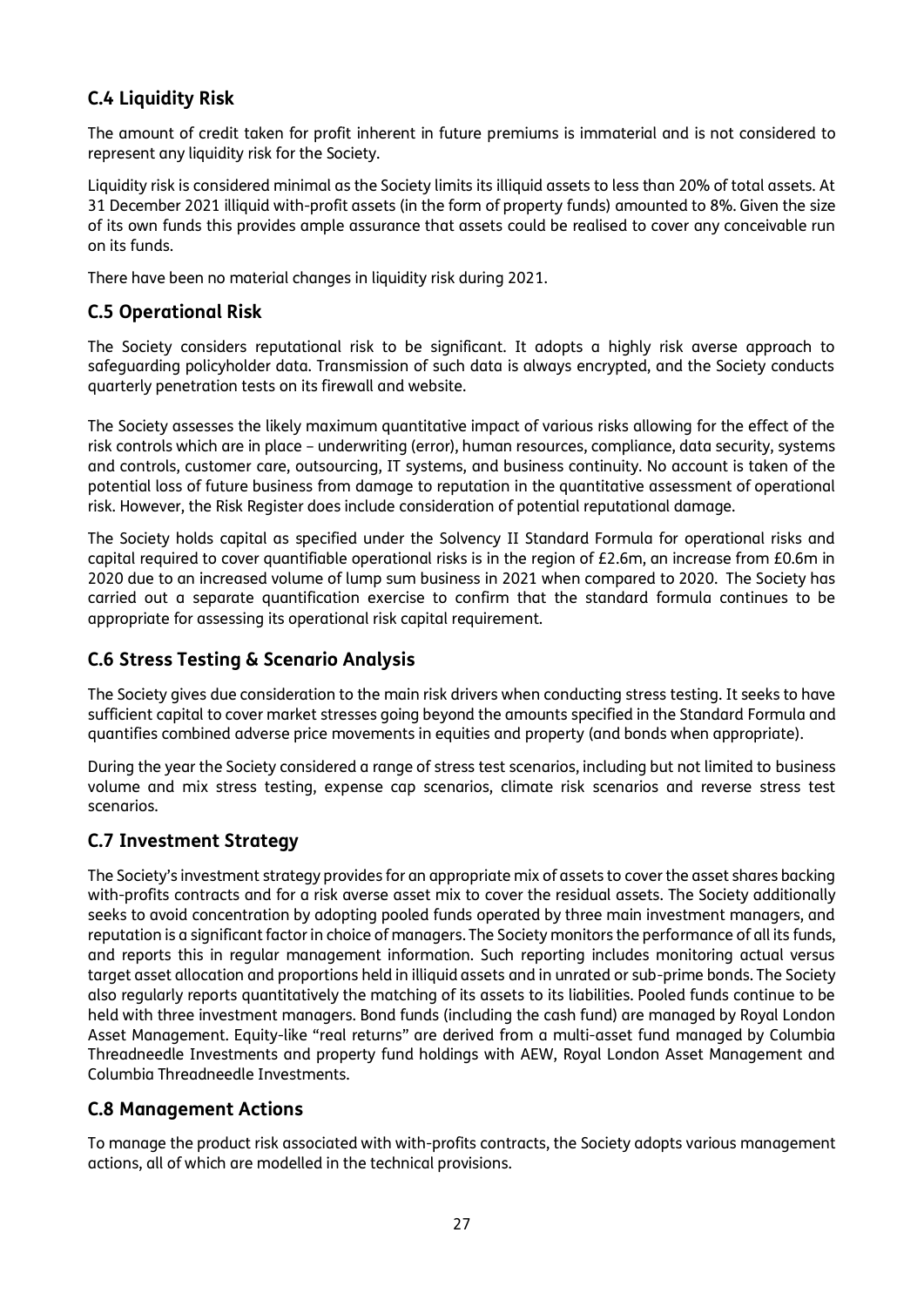# **C.4 Liquidity Risk**

The amount of credit taken for profit inherent in future premiums is immaterial and is not considered to represent any liquidity risk for the Society.

Liquidity risk is considered minimal as the Society limits its illiquid assets to less than 20% of total assets. At 31 December 2021 illiquid with-profit assets (in the form of property funds) amounted to 8%. Given the size of its own funds this provides ample assurance that assets could be realised to cover any conceivable run on its funds.

There have been no material changes in liquidity risk during 2021.

# **C.5 Operational Risk**

The Society considers reputational risk to be significant. It adopts a highly risk averse approach to safeguarding policyholder data. Transmission of such data is always encrypted, and the Society conducts quarterly penetration tests on its firewall and website.

The Society assesses the likely maximum quantitative impact of various risks allowing for the effect of the risk controls which are in place – underwriting (error), human resources, compliance, data security, systems and controls, customer care, outsourcing, IT systems, and business continuity. No account is taken of the potential loss of future business from damage to reputation in the quantitative assessment of operational risk. However, the Risk Register does include consideration of potential reputational damage.

The Society holds capital as specified under the Solvency II Standard Formula for operational risks and capital required to cover quantifiable operational risks is in the region of £2.6m, an increase from £0.6m in 2020 due to an increased volume of lump sum business in 2021 when compared to 2020. The Society has carried out a separate quantification exercise to confirm that the standard formula continues to be appropriate for assessing its operational risk capital requirement.

# **C.6 Stress Testing & Scenario Analysis**

The Society gives due consideration to the main risk drivers when conducting stress testing. It seeks to have sufficient capital to cover market stresses going beyond the amounts specified in the Standard Formula and quantifies combined adverse price movements in equities and property (and bonds when appropriate).

During the year the Society considered a range of stress test scenarios, including but not limited to business volume and mix stress testing, expense cap scenarios, climate risk scenarios and reverse stress test scenarios.

# **C.7 Investment Strategy**

The Society's investment strategy provides for an appropriate mix of assets to cover the asset shares backing with-profits contracts and for a risk averse asset mix to cover the residual assets. The Society additionally seeks to avoid concentration by adopting pooled funds operated by three main investment managers, and reputation is a significant factor in choice of managers. The Society monitors the performance of all its funds, and reports this in regular management information. Such reporting includes monitoring actual versus target asset allocation and proportions held in illiquid assets and in unrated or sub-prime bonds. The Society also regularly reports quantitatively the matching of its assets to its liabilities. Pooled funds continue to be held with three investment managers. Bond funds (including the cash fund) are managed by Royal London Asset Management. Equity-like "real returns" are derived from a multi-asset fund managed by Columbia Threadneedle Investments and property fund holdings with AEW, Royal London Asset Management and Columbia Threadneedle Investments.

# **C.8 Management Actions**

To manage the product risk associated with with-profits contracts, the Society adopts various management actions, all of which are modelled in the technical provisions.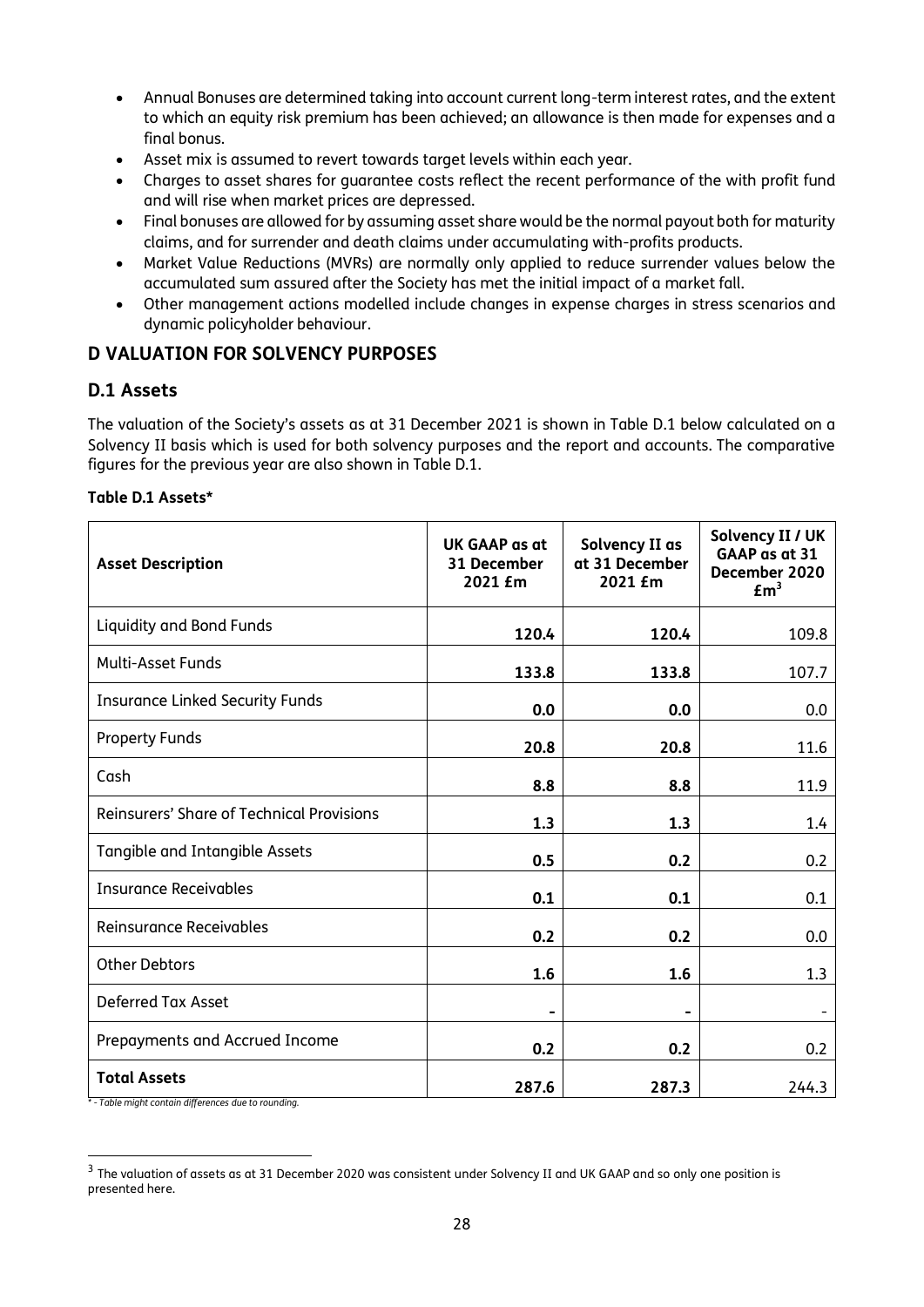- Annual Bonuses are determined taking into account current long-term interest rates, and the extent to which an equity risk premium has been achieved; an allowance is then made for expenses and a final bonus.
- Asset mix is assumed to revert towards target levels within each year.
- Charges to asset shares for guarantee costs reflect the recent performance of the with profit fund and will rise when market prices are depressed.
- Final bonuses are allowed for by assuming asset share would be the normal payout both for maturity claims, and for surrender and death claims under accumulating with-profits products.
- Market Value Reductions (MVRs) are normally only applied to reduce surrender values below the accumulated sum assured after the Society has met the initial impact of a market fall.
- Other management actions modelled include changes in expense charges in stress scenarios and dynamic policyholder behaviour.

# **D VALUATION FOR SOLVENCY PURPOSES**

# **D.1 Assets**

The valuation of the Society's assets as at 31 December 2021 is shown in Table D.1 below calculated on a Solvency II basis which is used for both solvency purposes and the report and accounts. The comparative figures for the previous year are also shown in Table D.1.

#### **Table D.1 Assets\***

| <b>Asset Description</b>                                                                     | UK GAAP as at<br>31 December<br>2021 £m | Solvency II as<br>at 31 December<br>2021 £m | Solvency II / UK<br>GAAP as at 31<br>December 2020<br>Em <sup>3</sup> |
|----------------------------------------------------------------------------------------------|-----------------------------------------|---------------------------------------------|-----------------------------------------------------------------------|
| Liquidity and Bond Funds                                                                     | 120.4                                   | 120.4                                       | 109.8                                                                 |
| <b>Multi-Asset Funds</b>                                                                     | 133.8                                   | 133.8                                       | 107.7                                                                 |
| <b>Insurance Linked Security Funds</b>                                                       | 0.0                                     | 0.0                                         | 0.0                                                                   |
| <b>Property Funds</b>                                                                        | 20.8                                    | 20.8                                        | 11.6                                                                  |
| Cash                                                                                         | 8.8                                     | 8.8                                         | 11.9                                                                  |
| Reinsurers' Share of Technical Provisions                                                    | 1.3                                     | 1.3                                         | 1.4                                                                   |
| Tangible and Intangible Assets                                                               | 0.5                                     | 0.2                                         | 0.2                                                                   |
| <b>Insurance Receivables</b>                                                                 | 0.1                                     | 0.1                                         | 0.1                                                                   |
| Reinsurance Receivables                                                                      | 0.2                                     | 0.2                                         | 0.0                                                                   |
| <b>Other Debtors</b>                                                                         | 1.6                                     | 1.6                                         | 1.3                                                                   |
| Deferred Tax Asset                                                                           | $\blacksquare$                          |                                             |                                                                       |
| Prepayments and Accrued Income                                                               | 0.2                                     | 0.2                                         | 0.2                                                                   |
| <b>Total Assets</b><br>$\sim$ decoded<br>$\mathcal{L} = \mathcal{L} \mathcal{L} \mathcal{L}$ | 287.6                                   | 287.3                                       | 244.3                                                                 |

*\* - Table might contain differences due to rounding.*

 $3$  The valuation of assets as at 31 December 2020 was consistent under Solvency II and UK GAAP and so only one position is presented here.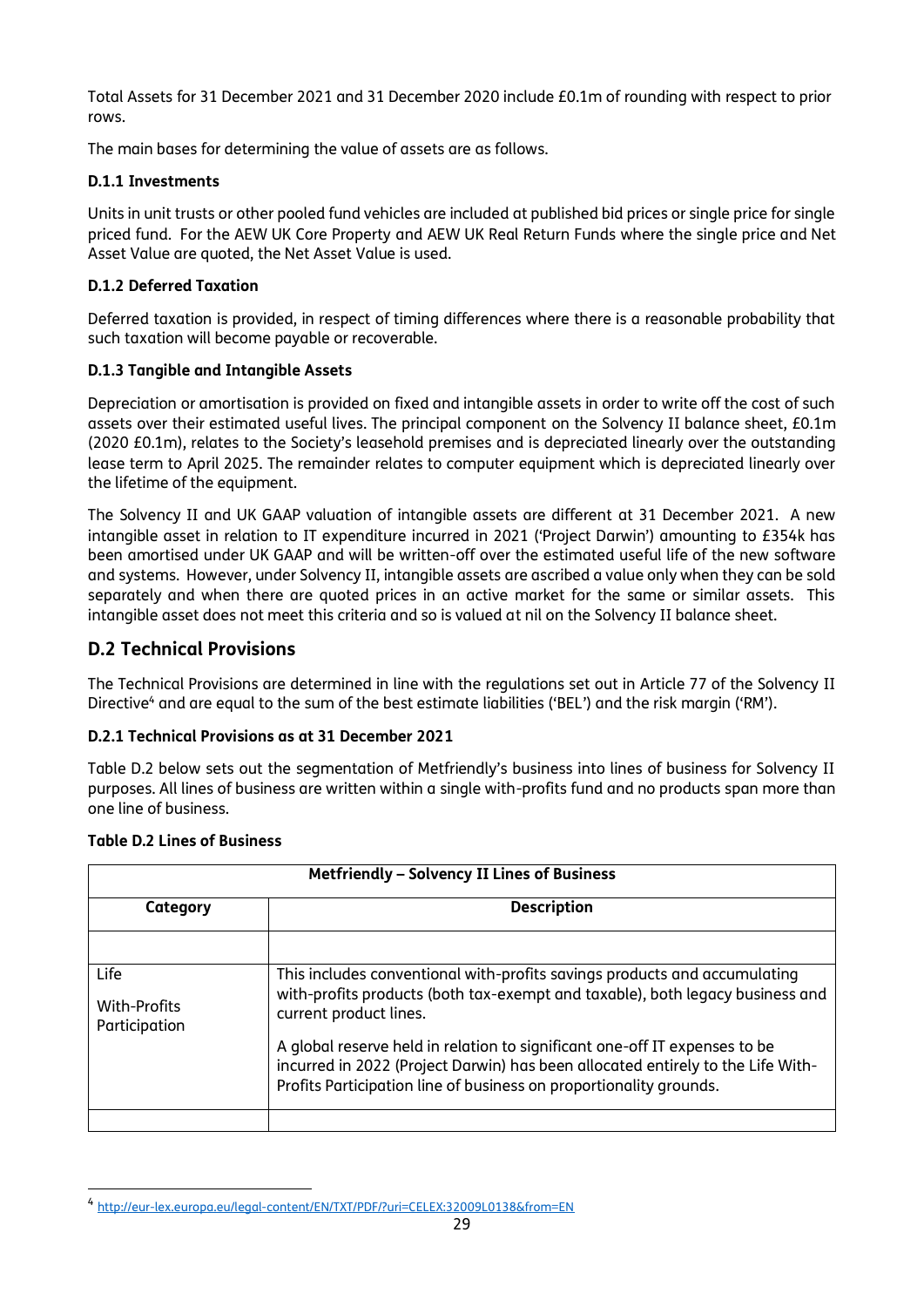Total Assets for 31 December 2021 and 31 December 2020 include £0.1m of rounding with respect to prior rows.

The main bases for determining the value of assets are as follows.

#### **D.1.1 Investments**

Units in unit trusts or other pooled fund vehicles are included at published bid prices or single price for single priced fund. For the AEW UK Core Property and AEW UK Real Return Funds where the single price and Net Asset Value are quoted, the Net Asset Value is used.

#### **D.1.2 Deferred Taxation**

Deferred taxation is provided, in respect of timing differences where there is a reasonable probability that such taxation will become payable or recoverable.

### **D.1.3 Tangible and Intangible Assets**

Depreciation or amortisation is provided on fixed and intangible assets in order to write off the cost of such assets over their estimated useful lives. The principal component on the Solvency II balance sheet, £0.1m (2020 £0.1m), relates to the Society's leasehold premises and is depreciated linearly over the outstanding lease term to April 2025. The remainder relates to computer equipment which is depreciated linearly over the lifetime of the equipment.

The Solvency II and UK GAAP valuation of intangible assets are different at 31 December 2021. A new intangible asset in relation to IT expenditure incurred in 2021 ('Project Darwin') amounting to £354k has been amortised under UK GAAP and will be written-off over the estimated useful life of the new software and systems. However, under Solvency II, intangible assets are ascribed a value only when they can be sold separately and when there are quoted prices in an active market for the same or similar assets. This intangible asset does not meet this criteria and so is valued at nil on the Solvency II balance sheet.

# **D.2 Technical Provisions**

The Technical Provisions are determined in line with the regulations set out in Article 77 of the Solvency II Directive<sup>4</sup> and are equal to the sum of the best estimate liabilities ('BEL') and the risk margin ('RM').

#### **D.2.1 Technical Provisions as at 31 December 2021**

Table D.2 below sets out the segmentation of Metfriendly's business into lines of business for Solvency II purposes. All lines of business are written within a single with-profits fund and no products span more than one line of business.

|  |  |  |  | <b>Table D.2 Lines of Business</b> |
|--|--|--|--|------------------------------------|
|--|--|--|--|------------------------------------|

| Metfriendly - Solvency II Lines of Business |                                                                                                                                                                                                                                     |  |  |
|---------------------------------------------|-------------------------------------------------------------------------------------------------------------------------------------------------------------------------------------------------------------------------------------|--|--|
| Category                                    | <b>Description</b>                                                                                                                                                                                                                  |  |  |
|                                             |                                                                                                                                                                                                                                     |  |  |
| Life<br>With-Profits<br>Participation       | This includes conventional with-profits savings products and accumulating<br>with-profits products (both tax-exempt and taxable), both legacy business and<br>current product lines.                                                |  |  |
|                                             | A global reserve held in relation to significant one-off IT expenses to be<br>incurred in 2022 (Project Darwin) has been allocated entirely to the Life With-<br>Profits Participation line of business on proportionality grounds. |  |  |
|                                             |                                                                                                                                                                                                                                     |  |  |

<sup>4</sup> <http://eur-lex.europa.eu/legal-content/EN/TXT/PDF/?uri=CELEX:32009L0138&from=EN>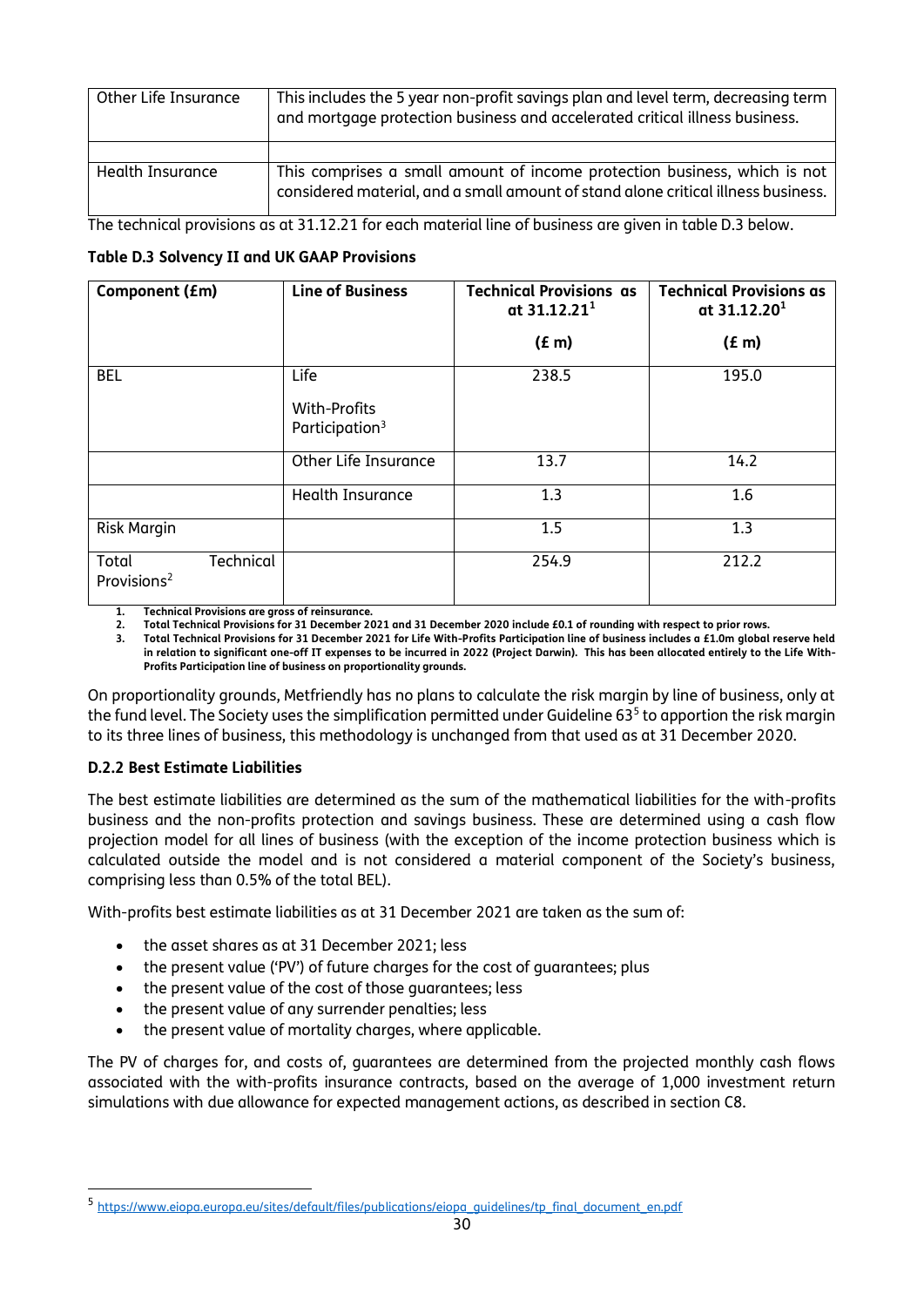| Other Life Insurance | This includes the 5 year non-profit savings plan and level term, decreasing term<br>and mortgage protection business and accelerated critical illness business. |
|----------------------|-----------------------------------------------------------------------------------------------------------------------------------------------------------------|
|                      |                                                                                                                                                                 |
| Health Insurance     | This comprises a small amount of income protection business, which is not<br>considered material, and a small amount of stand alone critical illness business.  |

The technical provisions as at 31.12.21 for each material line of business are given in table D.3 below.

### **Table D.3 Solvency II and UK GAAP Provisions**

| Component (£m)                                | <b>Line of Business</b>                            | <b>Technical Provisions as</b><br>at $31.12.211$ | <b>Technical Provisions as</b><br>at $31.12.201$ |
|-----------------------------------------------|----------------------------------------------------|--------------------------------------------------|--------------------------------------------------|
|                                               |                                                    | (f m)                                            | (E <sub>m</sub> )                                |
| <b>BEL</b>                                    | Life<br>With-Profits<br>Participation <sup>3</sup> | 238.5                                            | 195.0                                            |
|                                               | Other Life Insurance                               | 13.7                                             | 14.2                                             |
|                                               | Health Insurance                                   | 1.3                                              | 1.6                                              |
| <b>Risk Margin</b>                            |                                                    | 1.5                                              | 1.3                                              |
| Technical<br>Total<br>Provisions <sup>2</sup> |                                                    | 254.9                                            | 212.2                                            |

**1. Technical Provisions are gross of reinsurance.** 

**2. Total Technical Provisions for 31 December 2021 and 31 December 2020 include £0.1 of rounding with respect to prior rows.**

**3. Total Technical Provisions for 31 December 2021 for Life With-Profits Participation line of business includes a £1.0m global reserve held in relation to significant one-off IT expenses to be incurred in 2022 (Project Darwin). This has been allocated entirely to the Life With-Profits Participation line of business on proportionality grounds.**

On proportionality grounds, Metfriendly has no plans to calculate the risk margin by line of business, only at the fund level. The Society uses the simplification permitted under Guideline 63<sup>5</sup> to apportion the risk margin to its three lines of business, this methodology is unchanged from that used as at 31 December 2020.

#### **D.2.2 Best Estimate Liabilities**

The best estimate liabilities are determined as the sum of the mathematical liabilities for the with-profits business and the non-profits protection and savings business. These are determined using a cash flow projection model for all lines of business (with the exception of the income protection business which is calculated outside the model and is not considered a material component of the Society's business, comprising less than 0.5% of the total BEL).

With-profits best estimate liabilities as at 31 December 2021 are taken as the sum of:

- the asset shares as at 31 December 2021; less
- the present value ('PV') of future charges for the cost of guarantees; plus
- the present value of the cost of those guarantees; less
- the present value of any surrender penalties; less
- the present value of mortality charges, where applicable.

The PV of charges for, and costs of, guarantees are determined from the projected monthly cash flows associated with the with-profits insurance contracts, based on the average of 1,000 investment return simulations with due allowance for expected management actions, as described in section C8.

<sup>5</sup> [https://www.eiopa.europa.eu/sites/default/files/publications/eiopa\\_guidelines/tp\\_final\\_document\\_en.pdf](https://www.eiopa.europa.eu/sites/default/files/publications/eiopa_guidelines/tp_final_document_en.pdf)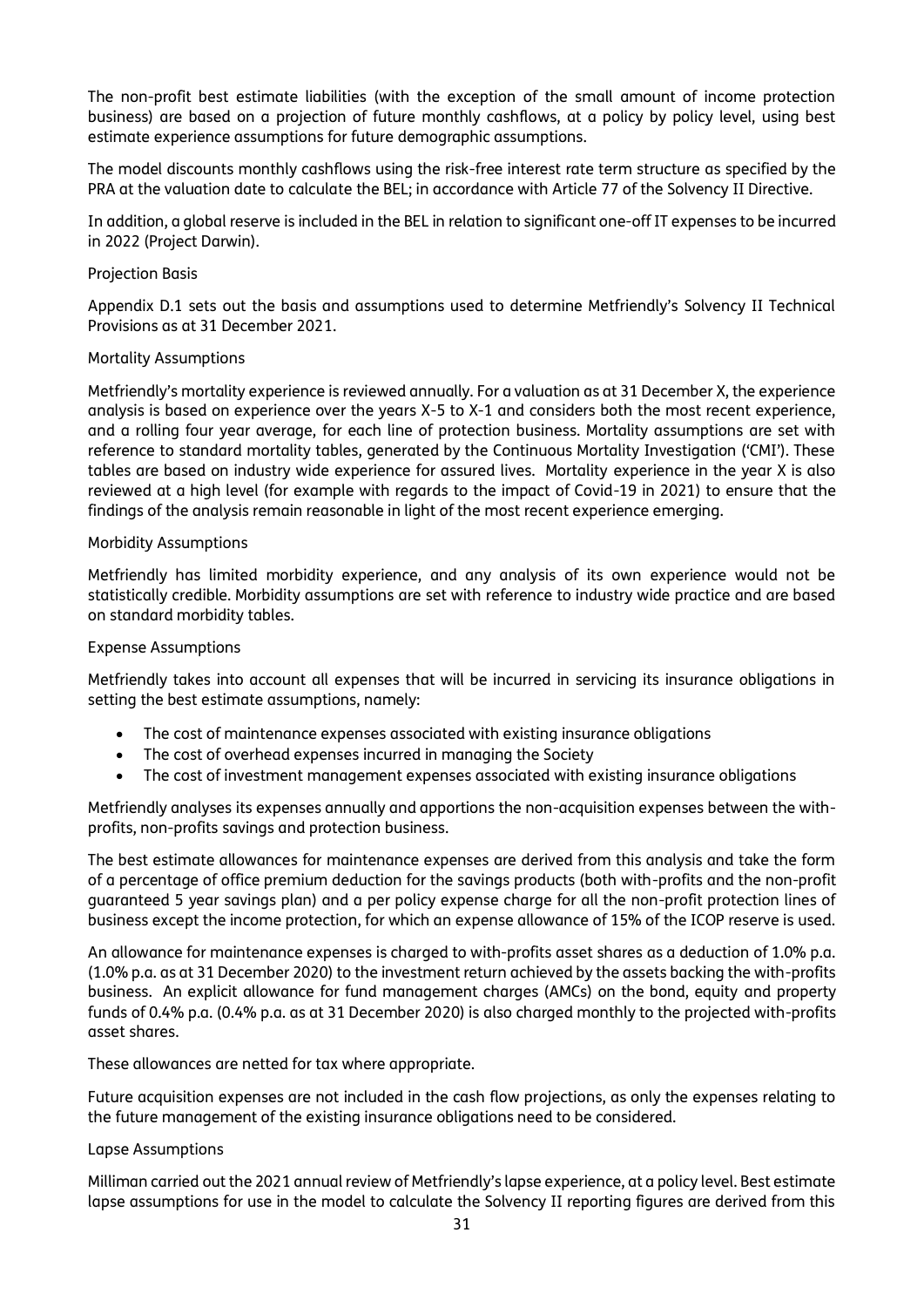The non-profit best estimate liabilities (with the exception of the small amount of income protection business) are based on a projection of future monthly cashflows, at a policy by policy level, using best estimate experience assumptions for future demographic assumptions.

The model discounts monthly cashflows using the risk-free interest rate term structure as specified by the PRA at the valuation date to calculate the BEL; in accordance with Article 77 of the Solvency II Directive.

In addition, a global reserve is included in the BEL in relation to significant one-off IT expenses to be incurred in 2022 (Project Darwin).

#### Projection Basis

Appendix D.1 sets out the basis and assumptions used to determine Metfriendly's Solvency II Technical Provisions as at 31 December 2021.

#### Mortality Assumptions

Metfriendly's mortality experience is reviewed annually. For a valuation as at 31 December X, the experience analysis is based on experience over the years X-5 to X-1 and considers both the most recent experience, and a rolling four year average, for each line of protection business. Mortality assumptions are set with reference to standard mortality tables, generated by the Continuous Mortality Investigation ('CMI'). These tables are based on industry wide experience for assured lives. Mortality experience in the year X is also reviewed at a high level (for example with regards to the impact of Covid-19 in 2021) to ensure that the findings of the analysis remain reasonable in light of the most recent experience emerging.

#### Morbidity Assumptions

Metfriendly has limited morbidity experience, and any analysis of its own experience would not be statistically credible. Morbidity assumptions are set with reference to industry wide practice and are based on standard morbidity tables.

#### Expense Assumptions

Metfriendly takes into account all expenses that will be incurred in servicing its insurance obligations in setting the best estimate assumptions, namely:

- The cost of maintenance expenses associated with existing insurance obligations
- The cost of overhead expenses incurred in managing the Society
- The cost of investment management expenses associated with existing insurance obligations

Metfriendly analyses its expenses annually and apportions the non-acquisition expenses between the withprofits, non-profits savings and protection business.

The best estimate allowances for maintenance expenses are derived from this analysis and take the form of a percentage of office premium deduction for the savings products (both with-profits and the non-profit guaranteed 5 year savings plan) and a per policy expense charge for all the non-profit protection lines of business except the income protection, for which an expense allowance of 15% of the ICOP reserve is used.

An allowance for maintenance expenses is charged to with-profits asset shares as a deduction of 1.0% p.a. (1.0% p.a. as at 31 December 2020) to the investment return achieved by the assets backing the with-profits business. An explicit allowance for fund management charges (AMCs) on the bond, equity and property funds of 0.4% p.a. (0.4% p.a. as at 31 December 2020) is also charged monthly to the projected with-profits asset shares.

These allowances are netted for tax where appropriate.

Future acquisition expenses are not included in the cash flow projections, as only the expenses relating to the future management of the existing insurance obligations need to be considered.

#### Lapse Assumptions

Milliman carried out the 2021 annual review of Metfriendly's lapse experience, at a policy level. Best estimate lapse assumptions for use in the model to calculate the Solvency II reporting figures are derived from this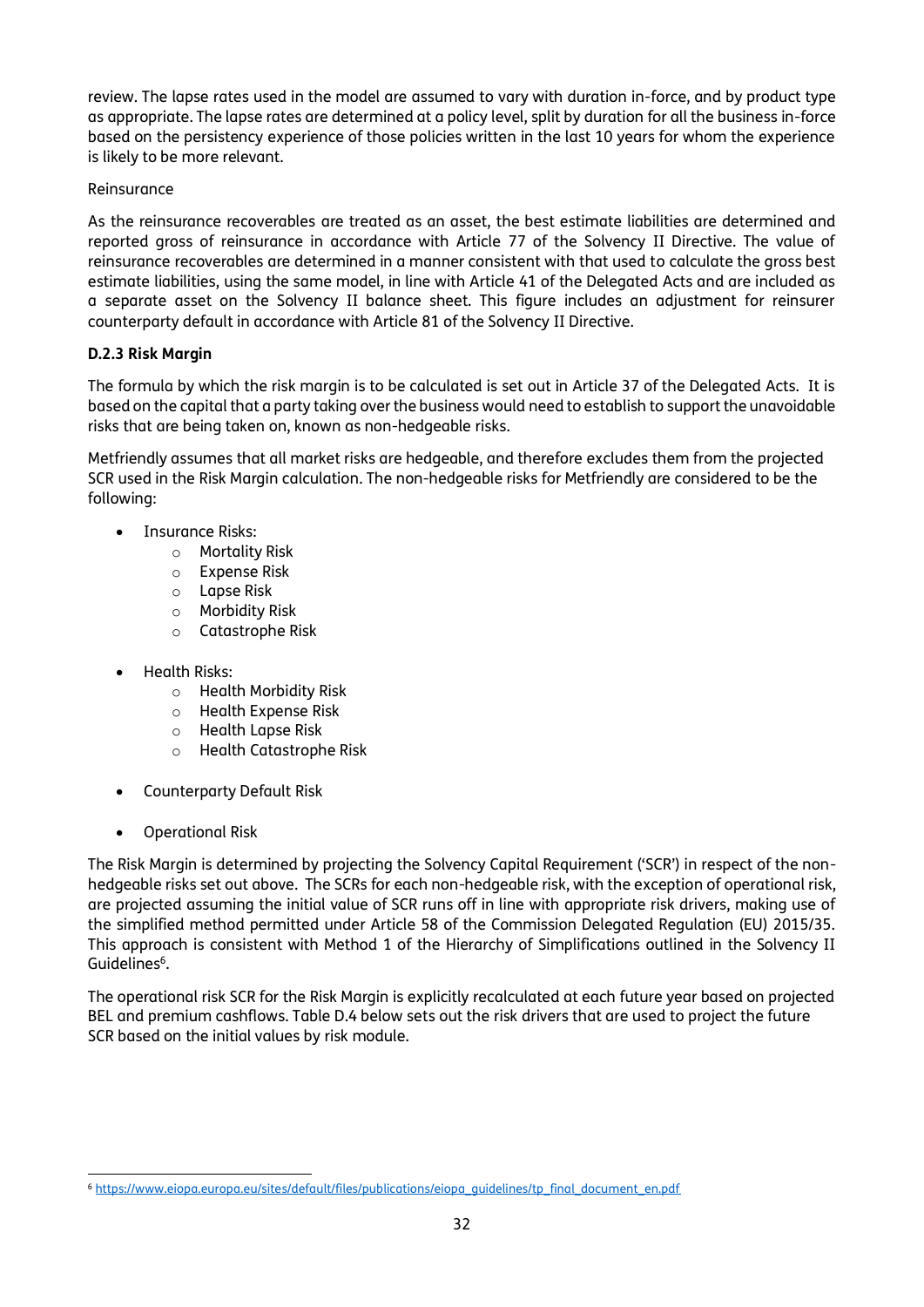review. The lapse rates used in the model are assumed to vary with duration in-force, and by product type as appropriate. The lapse rates are determined at a policy level, split by duration for all the business in-force based on the persistency experience of those policies written in the last 10 years for whom the experience is likely to be more relevant.

#### Reinsurance

As the reinsurance recoverables are treated as an asset, the best estimate liabilities are determined and reported gross of reinsurance in accordance with Article 77 of the Solvency II Directive. The value of reinsurance recoverables are determined in a manner consistent with that used to calculate the gross best estimate liabilities, using the same model, in line with Article 41 of the Delegated Acts and are included as a separate asset on the Solvency II balance sheet. This figure includes an adjustment for reinsurer counterparty default in accordance with Article 81 of the Solvency II Directive.

#### **D.2.3 Risk Margin**

The formula by which the risk margin is to be calculated is set out in Article 37 of the Delegated Acts. It is based on the capital that a party taking over the business would need to establish to support the unavoidable risks that are being taken on, known as non-hedgeable risks.

Metfriendly assumes that all market risks are hedgeable, and therefore excludes them from the projected SCR used in the Risk Margin calculation. The non-hedgeable risks for Metfriendly are considered to be the following:

- Insurance Risks:
	- o Mortality Risk
	- o Expense Risk
	- o Lapse Risk
	- o Morbidity Risk
	- o Catastrophe Risk
- Health Risks:
	- o Health Morbidity Risk
	- o Health Expense Risk
	- o Health Lapse Risk
	- o Health Catastrophe Risk
- Counterparty Default Risk
- Operational Risk

The Risk Margin is determined by projecting the Solvency Capital Requirement ('SCR') in respect of the nonhedgeable risks set out above. The SCRs for each non-hedgeable risk, with the exception of operational risk, are projected assuming the initial value of SCR runs off in line with appropriate risk drivers, making use of the simplified method permitted under Article 58 of the Commission Delegated Regulation (EU) 2015/35. This approach is consistent with Method 1 of the Hierarchy of Simplifications outlined in the Solvency II Guidelines<sup>6</sup>.

The operational risk SCR for the Risk Margin is explicitly recalculated at each future year based on projected BEL and premium cashflows. Table D.4 below sets out the risk drivers that are used to project the future SCR based on the initial values by risk module.

<sup>6</sup> [https://www.eiopa.europa.eu/sites/default/files/publications/eiopa\\_guidelines/tp\\_final\\_document\\_en.pdf](https://www.eiopa.europa.eu/sites/default/files/publications/eiopa_guidelines/tp_final_document_en.pdf)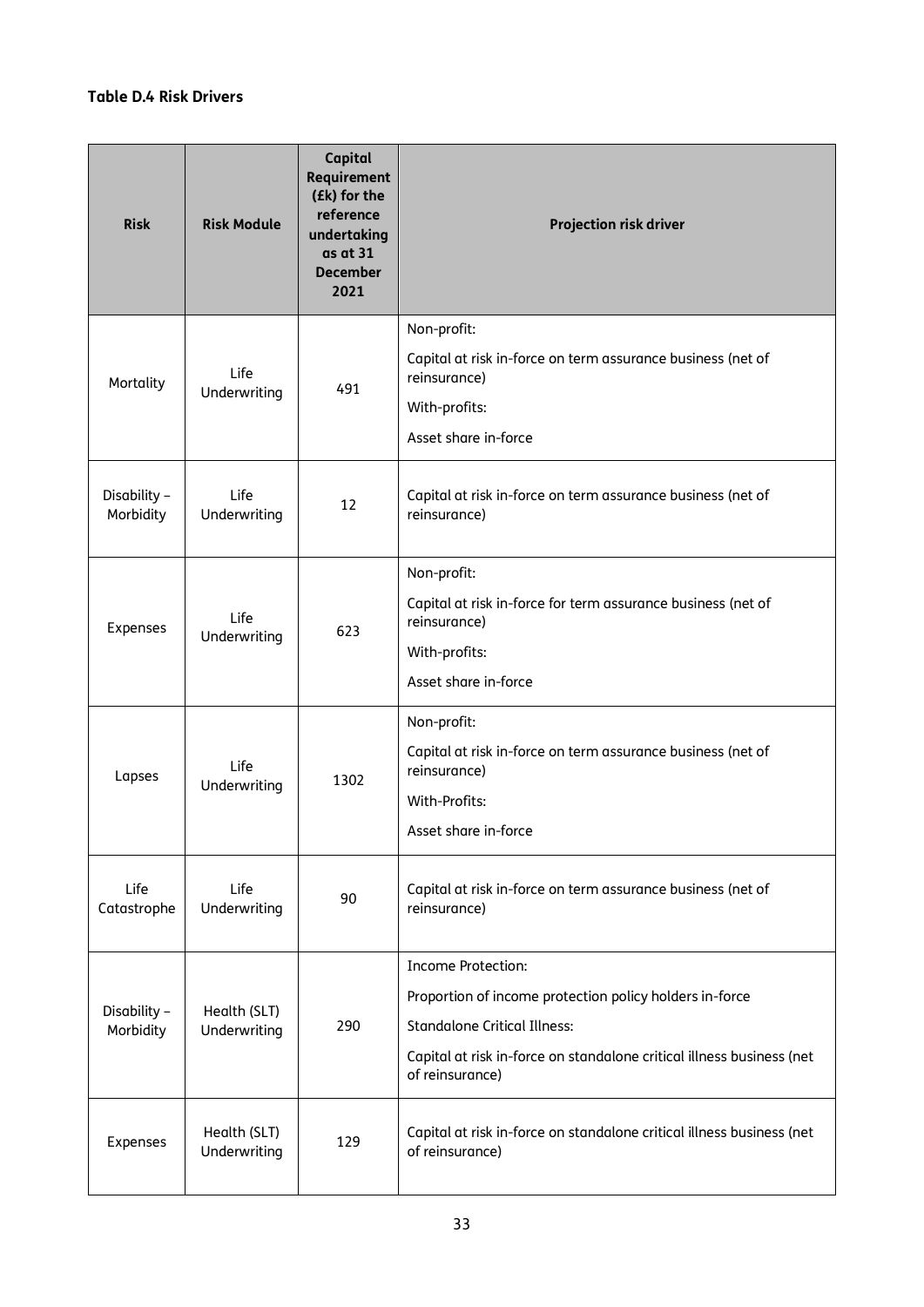### **Table D.4 Risk Drivers**

| <b>Risk</b>               | <b>Risk Module</b>           | Capital<br>Requirement<br>(£k) for the<br>reference<br>undertaking<br>as at 31<br><b>December</b><br>2021 | Projection risk driver                                                                                                                                                                                                  |
|---------------------------|------------------------------|-----------------------------------------------------------------------------------------------------------|-------------------------------------------------------------------------------------------------------------------------------------------------------------------------------------------------------------------------|
| Mortality                 | Life<br>Underwriting         | 491                                                                                                       | Non-profit:<br>Capital at risk in-force on term assurance business (net of<br>reinsurance)<br>With-profits:<br>Asset share in-force                                                                                     |
| Disability -<br>Morbidity | Life<br>Underwriting         | 12                                                                                                        | Capital at risk in-force on term assurance business (net of<br>reinsurance)                                                                                                                                             |
| Expenses                  | Life<br>Underwriting         | 623                                                                                                       | Non-profit:<br>Capital at risk in-force for term assurance business (net of<br>reinsurance)<br>With-profits:<br>Asset share in-force                                                                                    |
| Lapses                    | Life<br>Underwriting         | 1302                                                                                                      | Non-profit:<br>Capital at risk in-force on term assurance business (net of<br>reinsurance)<br>With-Profits:<br>Asset share in-force                                                                                     |
| Life<br>Catastrophe       | Life<br>Underwriting         | 90                                                                                                        | Capital at risk in-force on term assurance business (net of<br>reinsurance)                                                                                                                                             |
| Disability -<br>Morbidity | Health (SLT)<br>Underwriting | 290                                                                                                       | <b>Income Protection:</b><br>Proportion of income protection policy holders in-force<br><b>Standalone Critical Illness:</b><br>Capital at risk in-force on standalone critical illness business (net<br>of reinsurance) |
| Expenses                  | Health (SLT)<br>Underwriting | 129                                                                                                       | Capital at risk in-force on standalone critical illness business (net<br>of reinsurance)                                                                                                                                |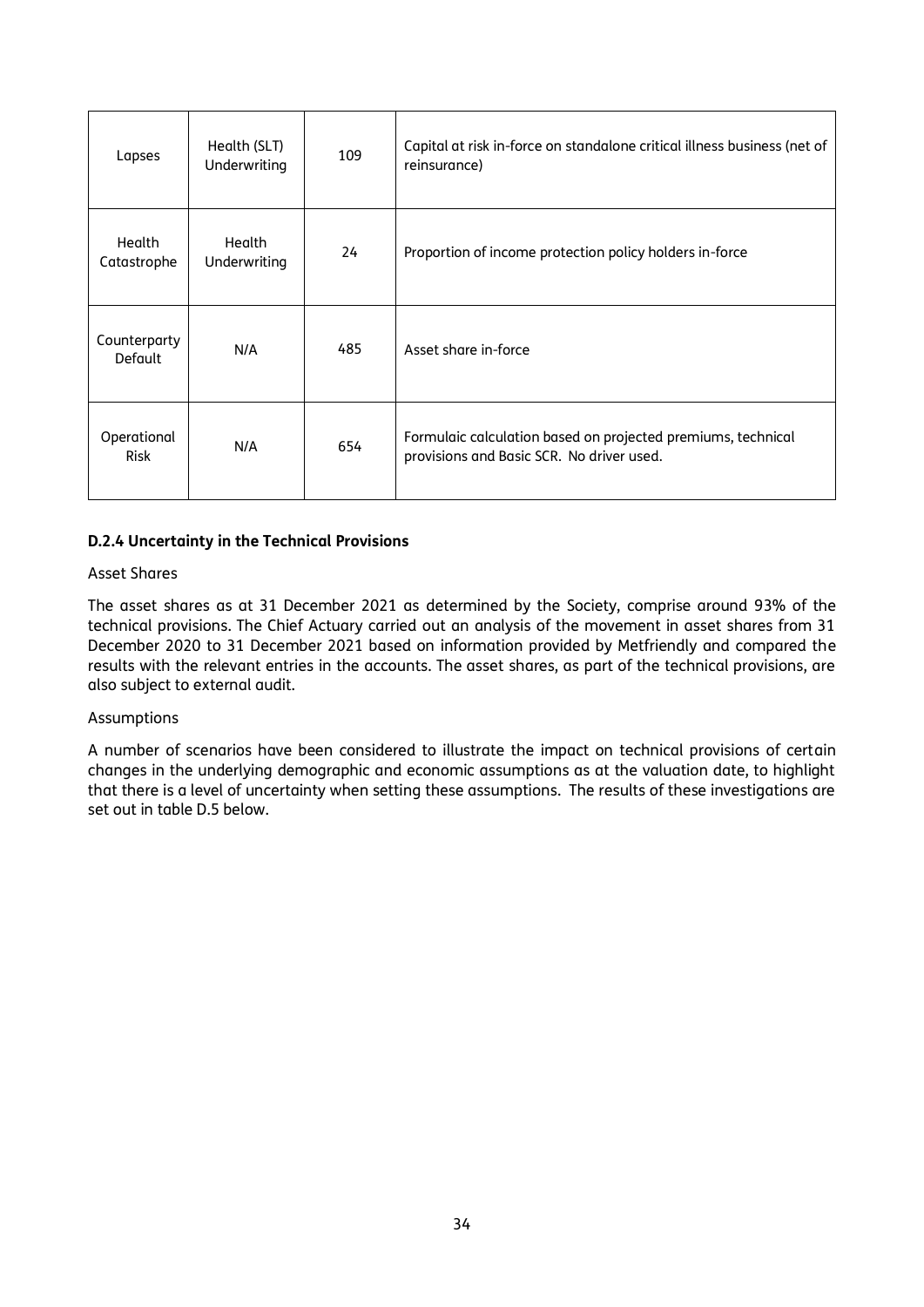| Lapses                         | Health (SLT)<br>Underwriting | 109 | Capital at risk in-force on standalone critical illness business (net of<br>reinsurance)                  |
|--------------------------------|------------------------------|-----|-----------------------------------------------------------------------------------------------------------|
| Health<br>Catastrophe          | Health<br>Underwriting       | 24  | Proportion of income protection policy holders in-force                                                   |
| Counterparty<br><b>Default</b> | N/A                          | 485 | Asset share in-force                                                                                      |
| Operational<br><b>Risk</b>     | N/A                          | 654 | Formulaic calculation based on projected premiums, technical<br>provisions and Basic SCR. No driver used. |

#### **D.2.4 Uncertainty in the Technical Provisions**

### Asset Shares

The asset shares as at 31 December 2021 as determined by the Society, comprise around 93% of the technical provisions. The Chief Actuary carried out an analysis of the movement in asset shares from 31 December 2020 to 31 December 2021 based on information provided by Metfriendly and compared the results with the relevant entries in the accounts. The asset shares, as part of the technical provisions, are also subject to external audit.

#### Assumptions

A number of scenarios have been considered to illustrate the impact on technical provisions of certain changes in the underlying demographic and economic assumptions as at the valuation date, to highlight that there is a level of uncertainty when setting these assumptions. The results of these investigations are set out in table D.5 below.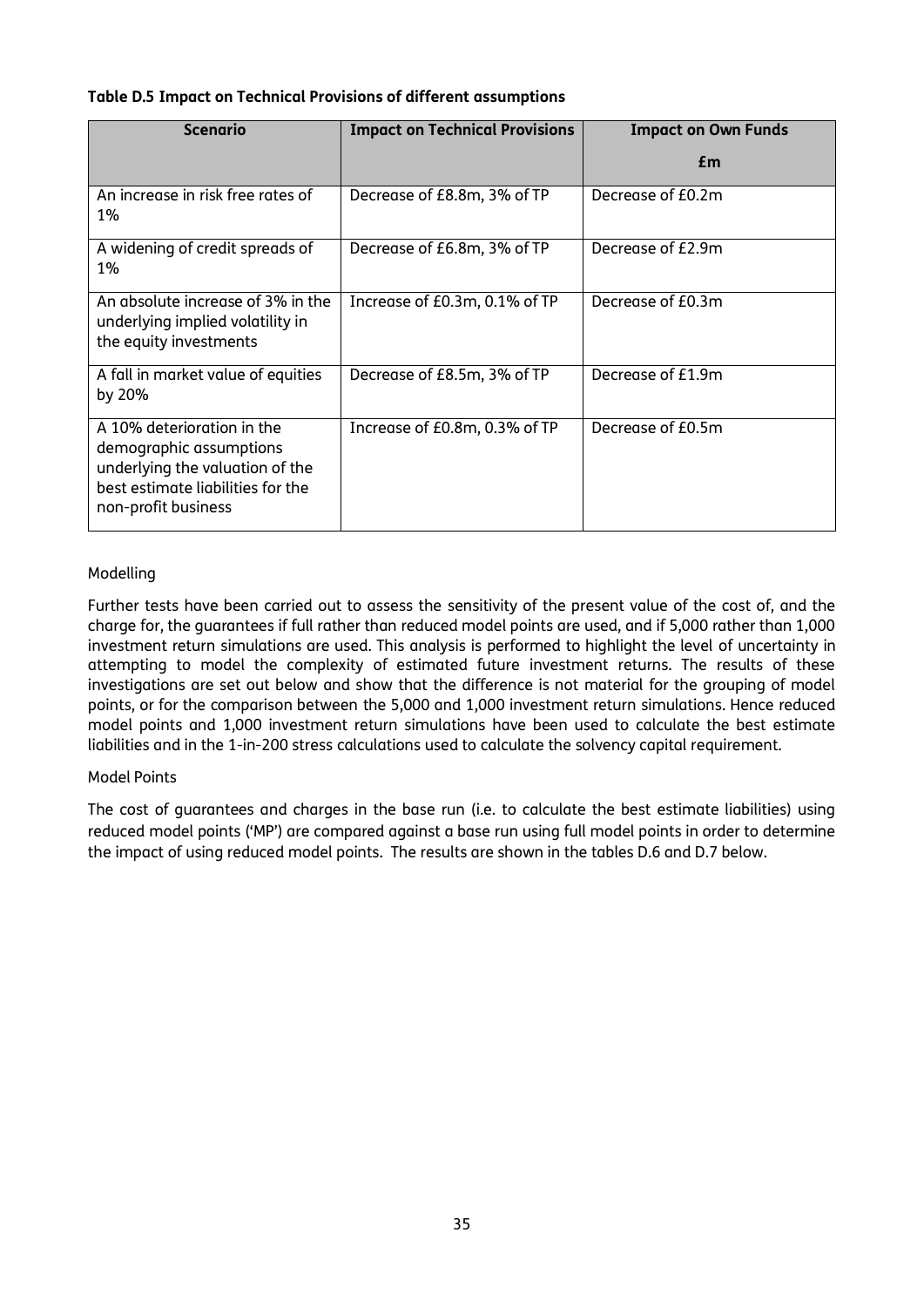#### **Table D.5 Impact on Technical Provisions of different assumptions**

| Scenario                                                                                                                                             | <b>Impact on Technical Provisions</b> | <b>Impact on Own Funds</b> |
|------------------------------------------------------------------------------------------------------------------------------------------------------|---------------------------------------|----------------------------|
|                                                                                                                                                      |                                       | £m                         |
| An increase in risk free rates of<br><b>1%</b>                                                                                                       | Decrease of £8.8m, 3% of TP           | Decrease of £0.2m          |
| A widening of credit spreads of<br>1%                                                                                                                | Decrease of £6.8m, 3% of TP           | Decrease of £2.9m          |
| An absolute increase of 3% in the<br>underlying implied volatility in<br>the equity investments                                                      | Increase of £0.3m, 0.1% of TP         | Decrease of £0.3m          |
| A fall in market value of equities<br>by 20%                                                                                                         | Decrease of £8.5m, 3% of TP           | Decrease of £1.9m          |
| A 10% deterioration in the<br>demographic assumptions<br>underlying the valuation of the<br>best estimate liabilities for the<br>non-profit business | Increase of £0.8m, 0.3% of TP         | Decrease of £0.5m          |

#### Modelling

Further tests have been carried out to assess the sensitivity of the present value of the cost of, and the charge for, the guarantees if full rather than reduced model points are used, and if 5,000 rather than 1,000 investment return simulations are used. This analysis is performed to highlight the level of uncertainty in attempting to model the complexity of estimated future investment returns. The results of these investigations are set out below and show that the difference is not material for the grouping of model points, or for the comparison between the 5,000 and 1,000 investment return simulations. Hence reduced model points and 1,000 investment return simulations have been used to calculate the best estimate liabilities and in the 1-in-200 stress calculations used to calculate the solvency capital requirement.

#### Model Points

The cost of guarantees and charges in the base run (i.e. to calculate the best estimate liabilities) using reduced model points ('MP') are compared against a base run using full model points in order to determine the impact of using reduced model points. The results are shown in the tables D.6 and D.7 below.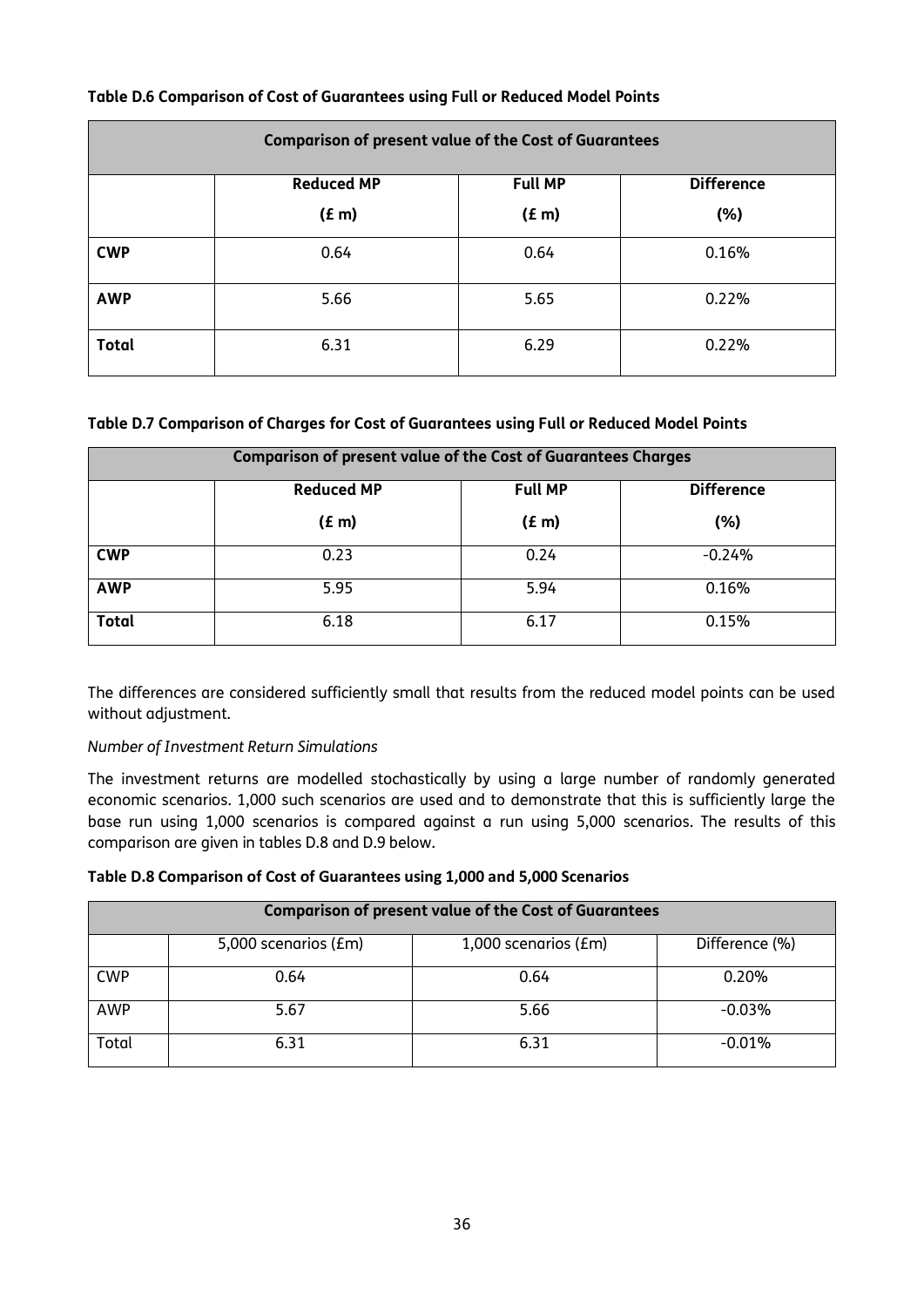| <b>Comparison of present value of the Cost of Guarantees</b> |                                                          |       |       |
|--------------------------------------------------------------|----------------------------------------------------------|-------|-------|
|                                                              | <b>Reduced MP</b><br><b>Difference</b><br><b>Full MP</b> |       |       |
|                                                              | (f m)                                                    | (f m) | (% )  |
| <b>CWP</b>                                                   | 0.64                                                     | 0.64  | 0.16% |
| <b>AWP</b>                                                   | 5.66                                                     | 5.65  | 0.22% |
| <b>Total</b>                                                 | 6.31                                                     | 6.29  | 0.22% |

### **Table D.6 Comparison of Cost of Guarantees using Full or Reduced Model Points**

#### **Table D.7 Comparison of Charges for Cost of Guarantees using Full or Reduced Model Points**

| <b>Comparison of present value of the Cost of Guarantees Charges</b> |                   |                   |          |
|----------------------------------------------------------------------|-------------------|-------------------|----------|
|                                                                      | <b>Reduced MP</b> | <b>Difference</b> |          |
|                                                                      | (f m)             | (E <sub>m</sub> ) | (%)      |
| <b>CWP</b>                                                           | 0.23              | 0.24              | $-0.24%$ |
| <b>AWP</b>                                                           | 5.95              | 5.94              | 0.16%    |
| <b>Total</b>                                                         | 6.18              | 6.17              | 0.15%    |

The differences are considered sufficiently small that results from the reduced model points can be used without adjustment.

#### *Number of Investment Return Simulations*

The investment returns are modelled stochastically by using a large number of randomly generated economic scenarios. 1,000 such scenarios are used and to demonstrate that this is sufficiently large the base run using 1,000 scenarios is compared against a run using 5,000 scenarios. The results of this comparison are given in tables D.8 and D.9 below.

#### **Table D.8 Comparison of Cost of Guarantees using 1,000 and 5,000 Scenarios**

| <b>Comparison of present value of the Cost of Guarantees</b> |                      |                      |                |
|--------------------------------------------------------------|----------------------|----------------------|----------------|
|                                                              | 5,000 scenarios (£m) | 1,000 scenarios (£m) | Difference (%) |
| <b>CWP</b>                                                   | 0.64                 | 0.64                 | 0.20%          |
| <b>AWP</b>                                                   | 5.67                 | 5.66                 | $-0.03%$       |
| Total                                                        | 6.31                 | 6.31                 | $-0.01%$       |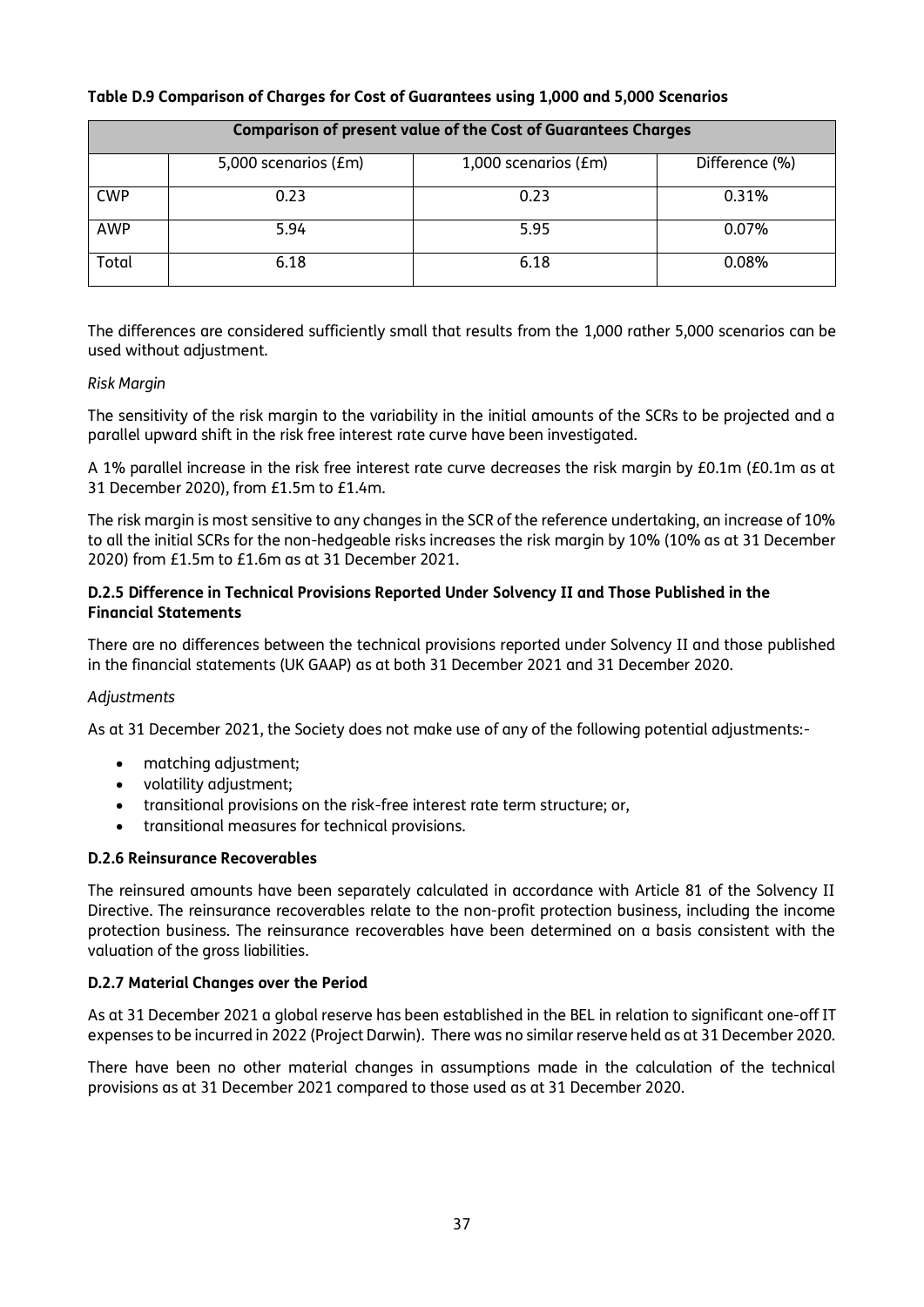| <b>Comparison of present value of the Cost of Guarantees Charges</b> |                      |                      |                |
|----------------------------------------------------------------------|----------------------|----------------------|----------------|
|                                                                      | 5,000 scenarios (£m) | 1,000 scenarios (£m) | Difference (%) |
| <b>CWP</b>                                                           | 0.23                 | 0.23                 | 0.31%          |
| <b>AWP</b>                                                           | 5.94                 | 5.95                 | 0.07%          |
| Total                                                                | 6.18                 | 6.18                 | 0.08%          |

#### **Table D.9 Comparison of Charges for Cost of Guarantees using 1,000 and 5,000 Scenarios**

The differences are considered sufficiently small that results from the 1,000 rather 5,000 scenarios can be used without adjustment.

#### *Risk Margin*

The sensitivity of the risk margin to the variability in the initial amounts of the SCRs to be projected and a parallel upward shift in the risk free interest rate curve have been investigated.

A 1% parallel increase in the risk free interest rate curve decreases the risk margin by £0.1m (£0.1m as at 31 December 2020), from £1.5m to £1.4m.

The risk margin is most sensitive to any changes in the SCR of the reference undertaking, an increase of 10% to all the initial SCRs for the non-hedgeable risks increases the risk margin by 10% (10% as at 31 December 2020) from £1.5m to £1.6m as at 31 December 2021.

#### **D.2.5 Difference in Technical Provisions Reported Under Solvency II and Those Published in the Financial Statements**

There are no differences between the technical provisions reported under Solvency II and those published in the financial statements (UK GAAP) as at both 31 December 2021 and 31 December 2020.

#### *Adjustments*

As at 31 December 2021, the Society does not make use of any of the following potential adjustments:-

- matching adjustment;
- volatility adjustment;
- transitional provisions on the risk-free interest rate term structure; or,
- transitional measures for technical provisions.

#### **D.2.6 Reinsurance Recoverables**

The reinsured amounts have been separately calculated in accordance with Article 81 of the Solvency II Directive. The reinsurance recoverables relate to the non-profit protection business, including the income protection business. The reinsurance recoverables have been determined on a basis consistent with the valuation of the gross liabilities.

#### **D.2.7 Material Changes over the Period**

As at 31 December 2021 a global reserve has been established in the BEL in relation to significant one-off IT expenses to be incurred in 2022 (Project Darwin). There was no similar reserve held as at 31 December 2020.

There have been no other material changes in assumptions made in the calculation of the technical provisions as at 31 December 2021 compared to those used as at 31 December 2020.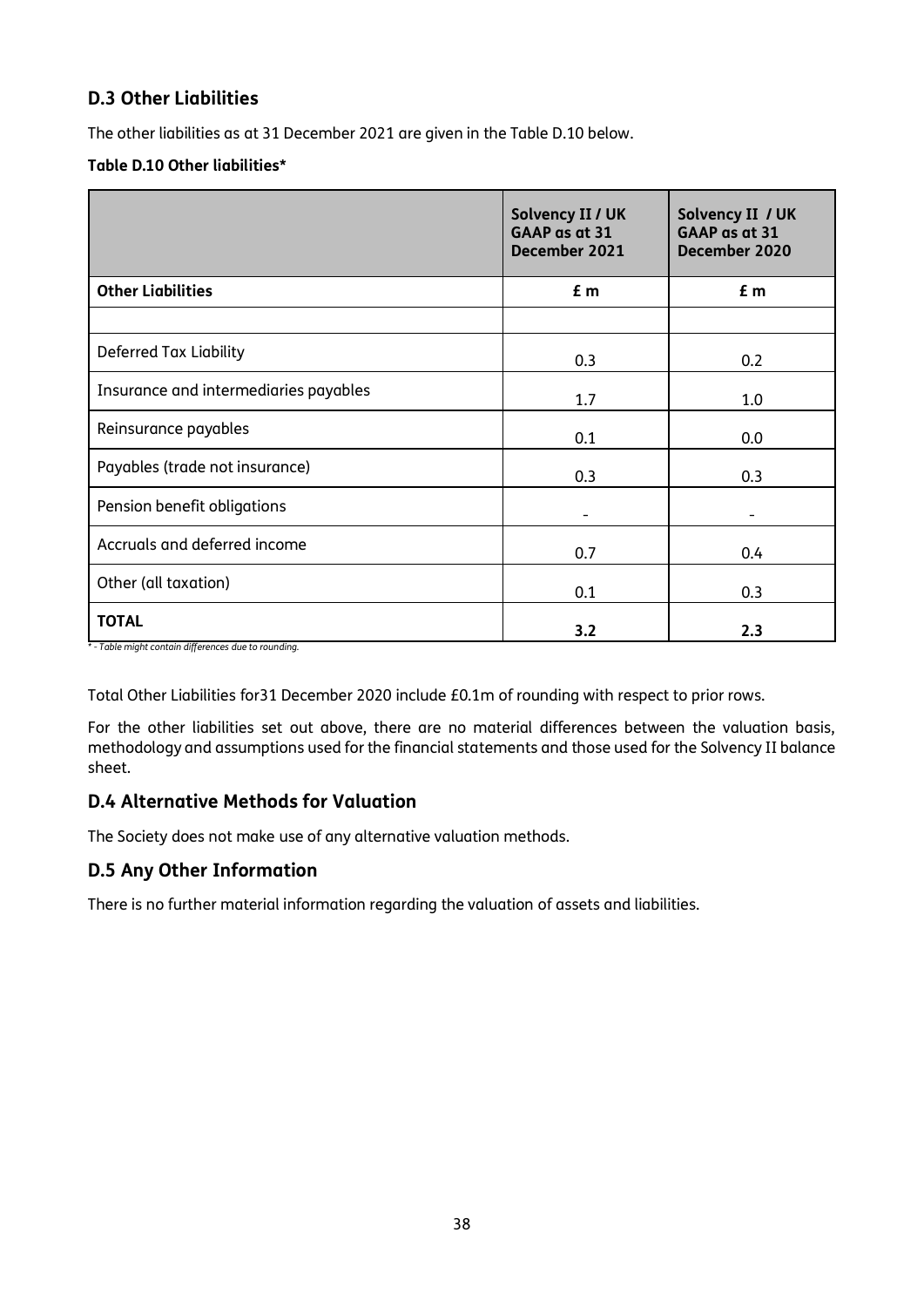# **D.3 Other Liabilities**

The other liabilities as at 31 December 2021 are given in the Table D.10 below.

### **Table D.10 Other liabilities\***

|                                       | Solvency II / UK<br>GAAP as at 31<br>December 2021 | Solvency II / UK<br>GAAP as at 31<br>December 2020 |
|---------------------------------------|----------------------------------------------------|----------------------------------------------------|
| <b>Other Liabilities</b>              | £ m                                                | £ m                                                |
|                                       |                                                    |                                                    |
| Deferred Tax Liability                | 0.3                                                | 0.2                                                |
| Insurance and intermediaries payables | 1.7                                                | 1.0                                                |
| Reinsurance payables                  | 0.1                                                | 0.0                                                |
| Payables (trade not insurance)        | 0.3                                                | 0.3                                                |
| Pension benefit obligations           |                                                    |                                                    |
| Accruals and deferred income          | 0.7                                                | 0.4                                                |
| Other (all taxation)                  | 0.1                                                | 0.3                                                |
| <b>TOTAL</b>                          | 3.2                                                | 2.3                                                |

*\* - Table might contain differences due to rounding.*

Total Other Liabilities for31 December 2020 include £0.1m of rounding with respect to prior rows.

For the other liabilities set out above, there are no material differences between the valuation basis, methodology and assumptions used for the financial statements and those used for the Solvency II balance sheet.

# **D.4 Alternative Methods for Valuation**

The Society does not make use of any alternative valuation methods.

# **D.5 Any Other Information**

There is no further material information regarding the valuation of assets and liabilities.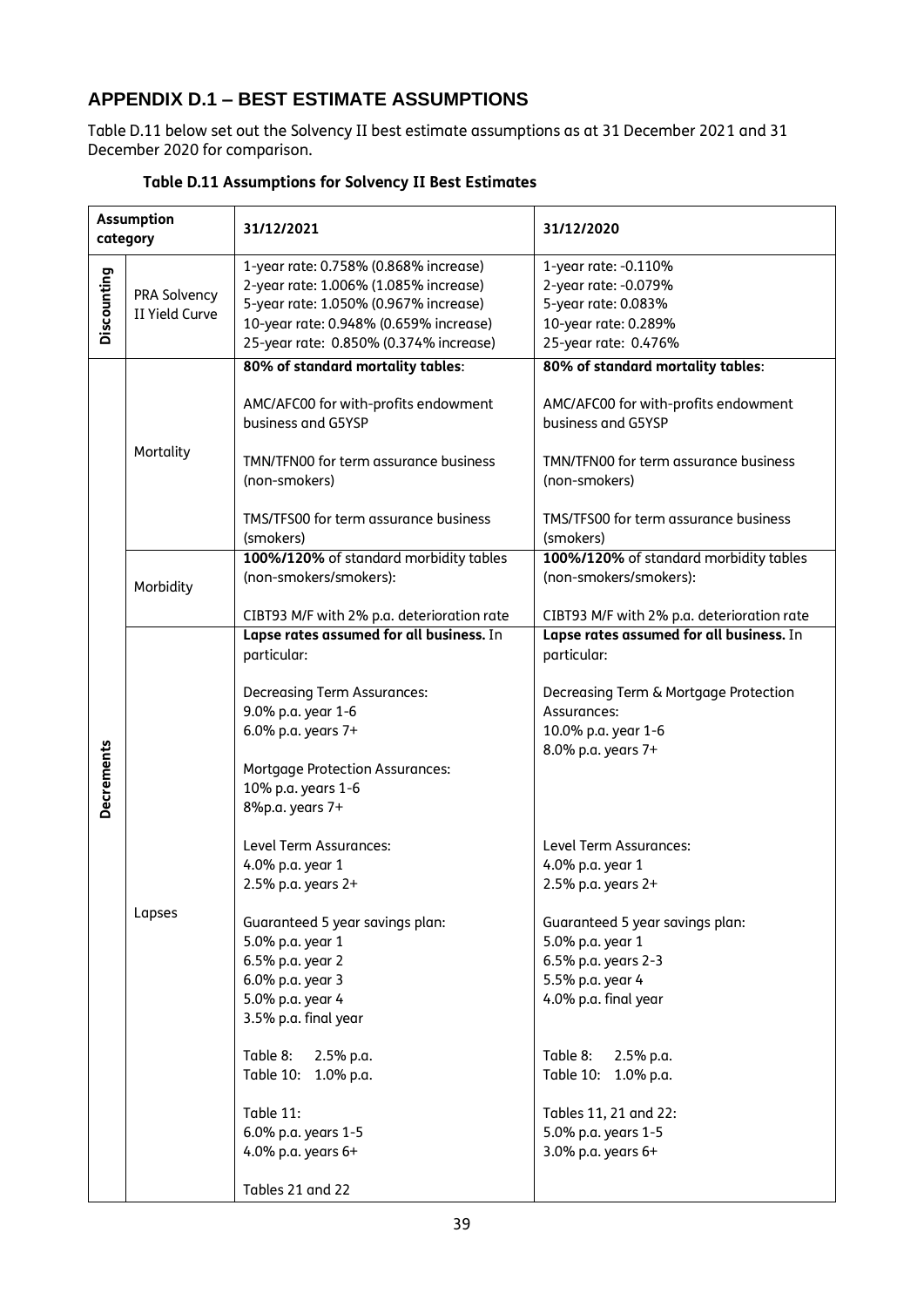# **APPENDIX D.1 – BEST ESTIMATE ASSUMPTIONS**

Table D.11 below set out the Solvency II best estimate assumptions as at 31 December 2021 and 31 December 2020 for comparison.

|                   | <b>Assumption</b><br>category  | 31/12/2021                                                                                                                                                                                                                                                                                                                                                                                                                                                               | 31/12/2020                                                                                                                                                                                                                                                                                                                                                                                                                            |
|-------------------|--------------------------------|--------------------------------------------------------------------------------------------------------------------------------------------------------------------------------------------------------------------------------------------------------------------------------------------------------------------------------------------------------------------------------------------------------------------------------------------------------------------------|---------------------------------------------------------------------------------------------------------------------------------------------------------------------------------------------------------------------------------------------------------------------------------------------------------------------------------------------------------------------------------------------------------------------------------------|
| Discounting       | PRA Solvency<br>II Yield Curve | 1-year rate: 0.758% (0.868% increase)<br>2-year rate: 1.006% (1.085% increase)<br>5-year rate: 1.050% (0.967% increase)<br>10-year rate: 0.948% (0.659% increase)<br>25-year rate: 0.850% (0.374% increase)                                                                                                                                                                                                                                                              | 1-year rate: -0.110%<br>2-year rate: -0.079%<br>5-year rate: 0.083%<br>10-year rate: 0.289%<br>25-year rate: 0.476%                                                                                                                                                                                                                                                                                                                   |
|                   | Mortality<br>Morbidity         | 80% of standard mortality tables:<br>AMC/AFC00 for with-profits endowment<br>business and G5YSP<br>TMN/TFN00 for term assurance business<br>(non-smokers)<br>TMS/TFS00 for term assurance business<br>(smokers)<br>100%/120% of standard morbidity tables<br>(non-smokers/smokers):<br>CIBT93 M/F with 2% p.a. deterioration rate<br>Lapse rates assumed for all business. In<br>particular:<br><b>Decreasing Term Assurances:</b>                                       | 80% of standard mortality tables:<br>AMC/AFC00 for with-profits endowment<br>business and G5YSP<br>TMN/TFN00 for term assurance business<br>(non-smokers)<br>TMS/TFS00 for term assurance business<br>(smokers)<br>100%/120% of standard morbidity tables<br>(non-smokers/smokers):<br>CIBT93 M/F with 2% p.a. deterioration rate<br>Lapse rates assumed for all business. In<br>particular:<br>Decreasing Term & Mortgage Protection |
| <b>Decrements</b> | Lapses                         | 9.0% p.a. year 1-6<br>6.0% p.a. years 7+<br><b>Mortgage Protection Assurances:</b><br>10% p.a. years 1-6<br>8%p.a. years 7+<br>Level Term Assurances:<br>4.0% p.a. year 1<br>2.5% p.a. years 2+<br>Guaranteed 5 year savings plan:<br>5.0% p.a. year 1<br>6.5% p.a. year 2<br>6.0% p.a. year 3<br>5.0% p.a. year 4<br>3.5% p.a. final year<br>Table 8:<br>2.5% p.a.<br>Table 10: 1.0% p.a.<br>Table 11:<br>6.0% p.a. years 1-5<br>4.0% p.a. years 6+<br>Tables 21 and 22 | Assurances:<br>10.0% p.a. year 1-6<br>8.0% p.a. years 7+<br>Level Term Assurances:<br>4.0% p.a. year 1<br>2.5% p.a. years 2+<br>Guaranteed 5 year savings plan:<br>5.0% p.a. year 1<br>6.5% p.a. years 2-3<br>5.5% p.a. year 4<br>4.0% p.a. final year<br>Table 8:<br>2.5% p.a.<br>Table 10: 1.0% p.a.<br>Tables 11, 21 and 22:<br>5.0% p.a. years 1-5<br>3.0% p.a. years 6+                                                          |

#### **Table D.11 Assumptions for Solvency II Best Estimates**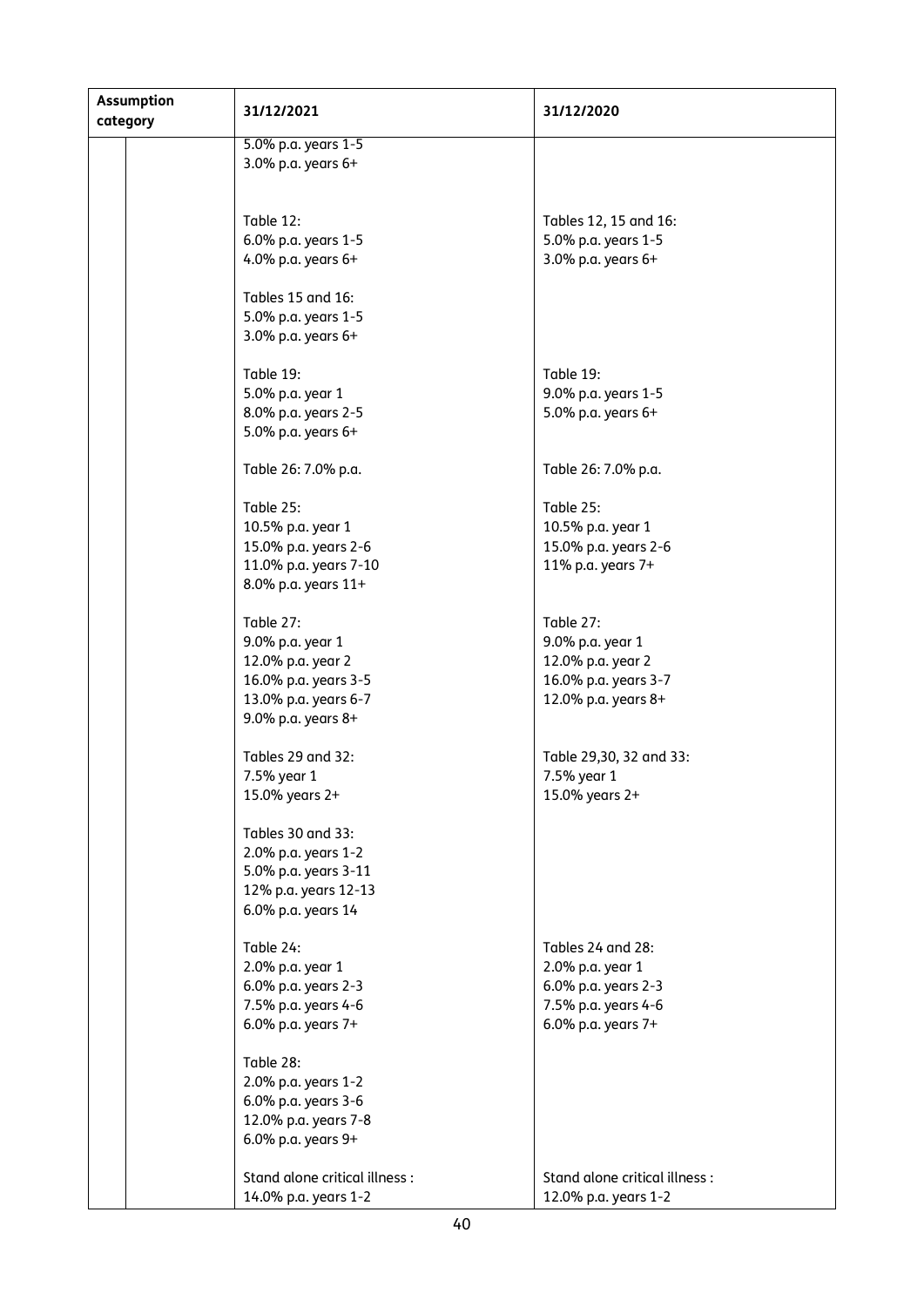| <b>Assumption</b><br>category |  | 31/12/2021                    | 31/12/2020                    |
|-------------------------------|--|-------------------------------|-------------------------------|
|                               |  | 5.0% p.a. years 1-5           |                               |
|                               |  | 3.0% p.a. years 6+            |                               |
|                               |  |                               |                               |
|                               |  |                               |                               |
|                               |  | Table 12:                     | Tables 12, 15 and 16:         |
|                               |  | 6.0% p.a. years 1-5           | 5.0% p.a. years 1-5           |
|                               |  | 4.0% p.a. years 6+            | 3.0% p.a. years 6+            |
|                               |  |                               |                               |
|                               |  | Tables 15 and 16:             |                               |
|                               |  | 5.0% p.a. years 1-5           |                               |
|                               |  | 3.0% p.a. years 6+            |                               |
|                               |  |                               |                               |
|                               |  | Table 19:                     | Table 19:                     |
|                               |  | 5.0% p.a. year 1              | 9.0% p.a. years 1-5           |
|                               |  | 8.0% p.a. years 2-5           | 5.0% p.a. years 6+            |
|                               |  | 5.0% p.a. years 6+            |                               |
|                               |  |                               |                               |
|                               |  | Table 26: 7.0% p.a.           | Table 26: 7.0% p.a.           |
|                               |  |                               |                               |
|                               |  | Table 25:                     | Table 25:                     |
|                               |  | 10.5% p.a. year 1             | 10.5% p.a. year 1             |
|                               |  | 15.0% p.a. years 2-6          | 15.0% p.a. years 2-6          |
|                               |  | 11.0% p.a. years 7-10         | 11% p.a. years 7+             |
|                               |  | 8.0% p.a. years 11+           |                               |
|                               |  |                               |                               |
|                               |  | Table 27:                     | Table 27:                     |
|                               |  | 9.0% p.a. year 1              | 9.0% p.a. year 1              |
|                               |  | 12.0% p.a. year 2             | 12.0% p.a. year 2             |
|                               |  | 16.0% p.a. years 3-5          | 16.0% p.a. years 3-7          |
|                               |  | 13.0% p.a. years 6-7          | 12.0% p.a. years 8+           |
|                               |  | 9.0% p.a. years 8+            |                               |
|                               |  |                               |                               |
|                               |  | Tables 29 and 32:             | Table 29,30, 32 and 33:       |
|                               |  | 7.5% year 1                   | 7.5% year 1                   |
|                               |  | 15.0% years 2+                | 15.0% years 2+                |
|                               |  |                               |                               |
|                               |  | Tables 30 and 33:             |                               |
|                               |  | 2.0% p.a. years 1-2           |                               |
|                               |  | 5.0% p.a. years 3-11          |                               |
|                               |  | 12% p.a. years 12-13          |                               |
|                               |  | 6.0% p.a. years 14            |                               |
|                               |  |                               |                               |
|                               |  | Table 24:                     | Tables 24 and 28:             |
|                               |  | 2.0% p.a. year 1              | 2.0% p.a. year 1              |
|                               |  | 6.0% p.a. years 2-3           | 6.0% p.a. years 2-3           |
|                               |  | 7.5% p.a. years 4-6           | 7.5% p.a. years 4-6           |
|                               |  | 6.0% p.a. years 7+            | 6.0% p.a. years 7+            |
|                               |  |                               |                               |
|                               |  | Table 28:                     |                               |
|                               |  | 2.0% p.a. years 1-2           |                               |
|                               |  | 6.0% p.a. years 3-6           |                               |
|                               |  | 12.0% p.a. years 7-8          |                               |
|                               |  | 6.0% p.a. years 9+            |                               |
|                               |  |                               |                               |
|                               |  | Stand alone critical illness: | Stand alone critical illness: |
|                               |  | 14.0% p.a. years 1-2          | 12.0% p.a. years 1-2          |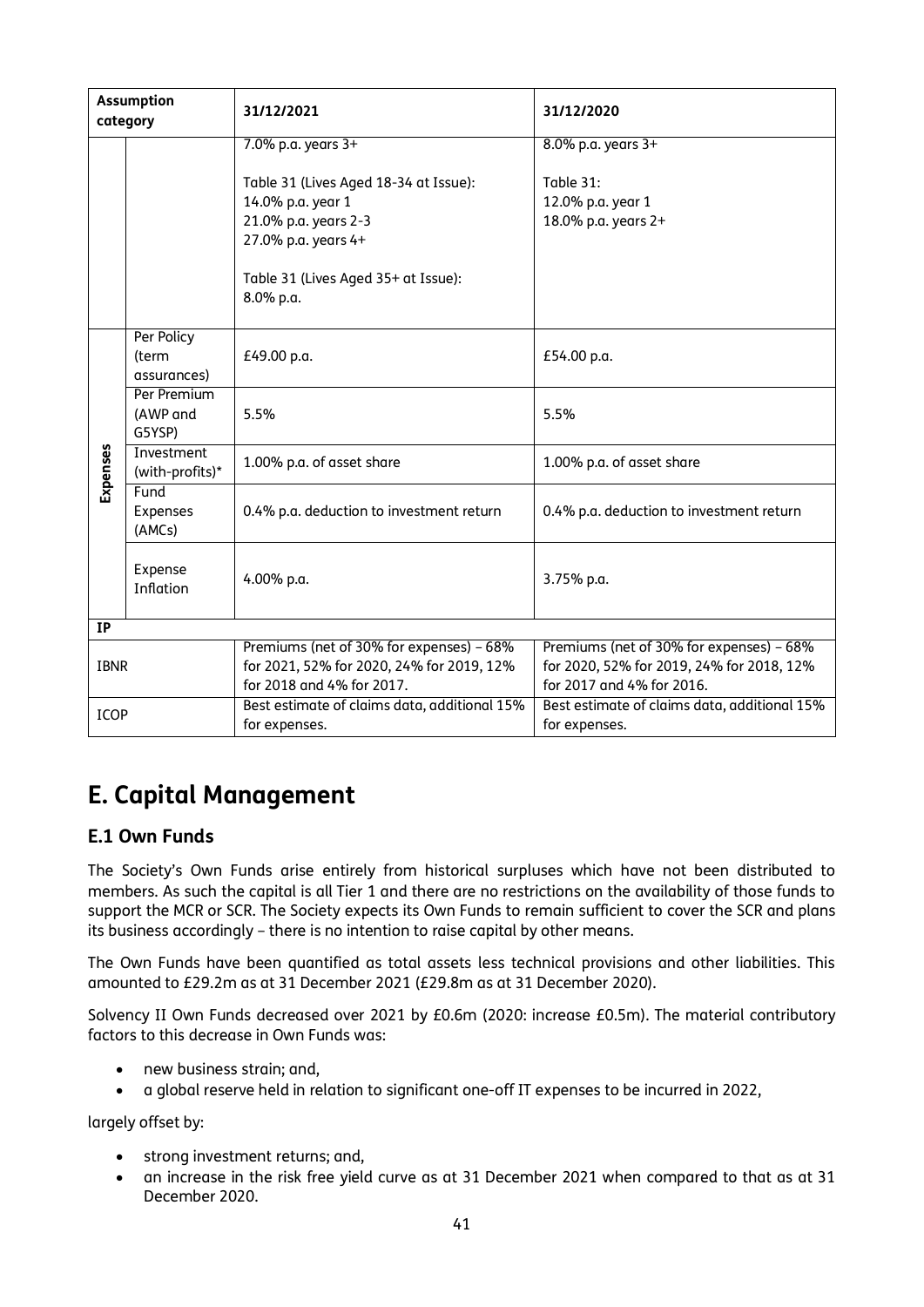|             | <b>Assumption</b><br>category      | 31/12/2021                                                                                                                                                                          | 31/12/2020                                                                                                         |
|-------------|------------------------------------|-------------------------------------------------------------------------------------------------------------------------------------------------------------------------------------|--------------------------------------------------------------------------------------------------------------------|
|             |                                    | 7.0% p.a. years 3+<br>Table 31 (Lives Aged 18-34 at Issue):<br>14.0% p.a. year 1<br>21.0% p.a. years 2-3<br>27.0% p.a. years 4+<br>Table 31 (Lives Aged 35+ at Issue):<br>8.0% p.a. | 8.0% p.a. years 3+<br>Table 31:<br>12.0% p.a. year 1<br>18.0% p.a. years 2+                                        |
|             | Per Policy<br>(term<br>assurances) | £49.00 p.a.                                                                                                                                                                         | £54.00 p.a.                                                                                                        |
|             | Per Premium<br>(AWP and<br>G5YSP)  | 5.5%                                                                                                                                                                                | 5.5%                                                                                                               |
| Expenses    | Investment<br>(with-profits)*      | 1.00% p.a. of asset share                                                                                                                                                           | 1.00% p.a. of asset share                                                                                          |
|             | Fund<br>Expenses<br>(AMCs)         | 0.4% p.a. deduction to investment return                                                                                                                                            | 0.4% p.a. deduction to investment return                                                                           |
|             | Expense<br>Inflation               | 4.00% p.a.                                                                                                                                                                          | 3.75% p.a.                                                                                                         |
| <b>IP</b>   |                                    |                                                                                                                                                                                     |                                                                                                                    |
| <b>IBNR</b> |                                    | Premiums (net of 30% for expenses) - 68%<br>for 2021, 52% for 2020, 24% for 2019, 12%<br>for 2018 and 4% for 2017.                                                                  | Premiums (net of 30% for expenses) - 68%<br>for 2020, 52% for 2019, 24% for 2018, 12%<br>for 2017 and 4% for 2016. |
| <b>ICOP</b> |                                    | Best estimate of claims data, additional 15%<br>for expenses.                                                                                                                       | Best estimate of claims data, additional 15%<br>for expenses.                                                      |

# **E. Capital Management**

# **E.1 Own Funds**

The Society's Own Funds arise entirely from historical surpluses which have not been distributed to members. As such the capital is all Tier 1 and there are no restrictions on the availability of those funds to support the MCR or SCR. The Society expects its Own Funds to remain sufficient to cover the SCR and plans its business accordingly – there is no intention to raise capital by other means.

The Own Funds have been quantified as total assets less technical provisions and other liabilities. This amounted to £29.2m as at 31 December 2021 (£29.8m as at 31 December 2020).

Solvency II Own Funds decreased over 2021 by £0.6m (2020: increase £0.5m). The material contributory factors to this decrease in Own Funds was:

- new business strain; and,
- a global reserve held in relation to significant one-off IT expenses to be incurred in 2022,

largely offset by:

- strong investment returns; and,
- an increase in the risk free yield curve as at 31 December 2021 when compared to that as at 31 December 2020.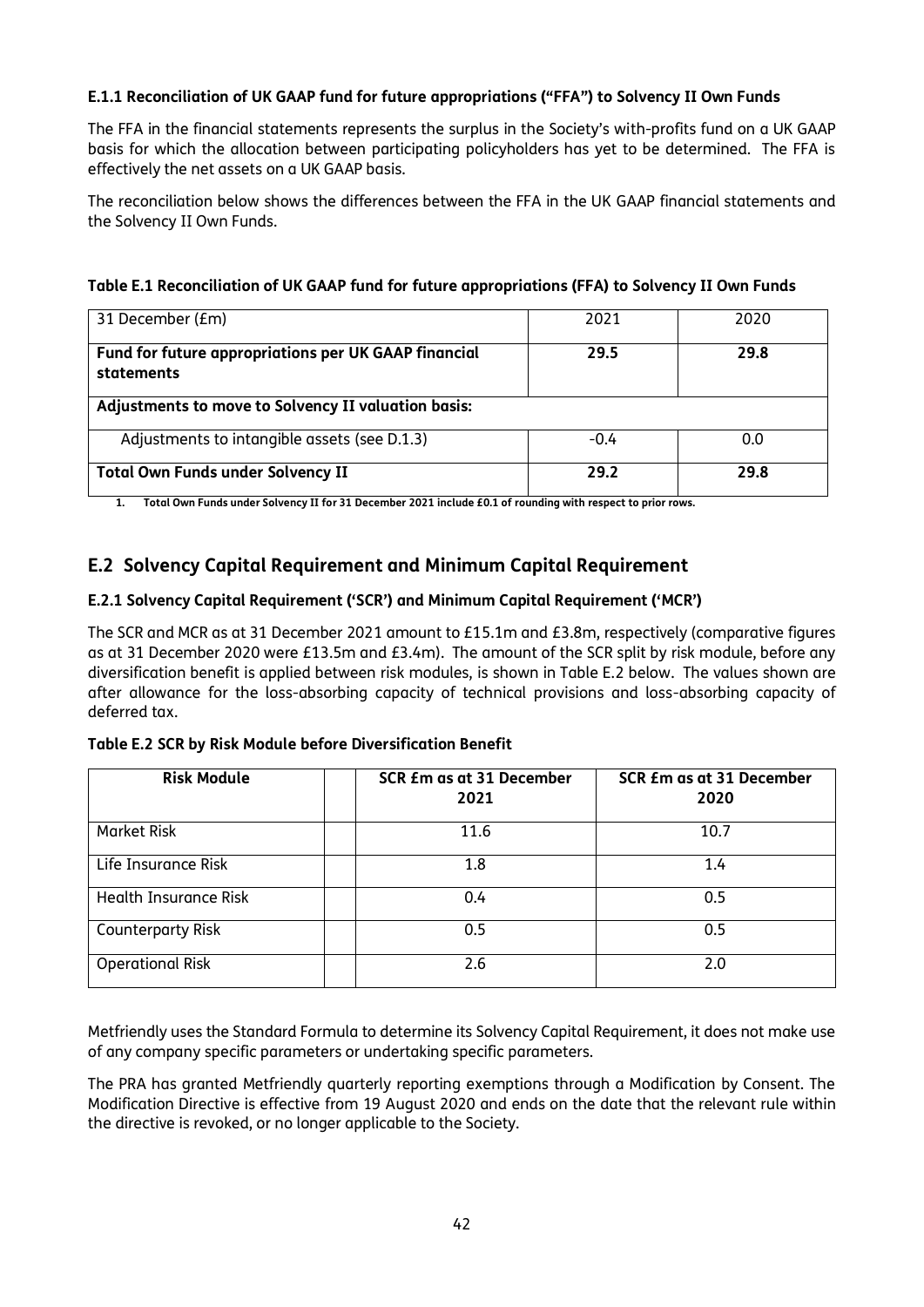### **E.1.1 Reconciliation of UK GAAP fund for future appropriations ("FFA") to Solvency II Own Funds**

The FFA in the financial statements represents the surplus in the Society's with-profits fund on a UK GAAP basis for which the allocation between participating policyholders has yet to be determined. The FFA is effectively the net assets on a UK GAAP basis.

The reconciliation below shows the differences between the FFA in the UK GAAP financial statements and the Solvency II Own Funds.

| 31 December (£m)                                                   | 2021   | 2020 |  |  |  |  |  |  |
|--------------------------------------------------------------------|--------|------|--|--|--|--|--|--|
| Fund for future appropriations per UK GAAP financial<br>statements | 29.5   | 29.8 |  |  |  |  |  |  |
| Adjustments to move to Solvency II valuation basis:                |        |      |  |  |  |  |  |  |
| Adjustments to intangible assets (see D.1.3)                       | $-0.4$ | 0.0  |  |  |  |  |  |  |
| <b>Total Own Funds under Solvency II</b>                           | 29.2   | 29.8 |  |  |  |  |  |  |

#### **Table E.1 Reconciliation of UK GAAP fund for future appropriations (FFA) to Solvency II Own Funds**

**1. Total Own Funds under Solvency II for 31 December 2021 include £0.1 of rounding with respect to prior rows.**

# **E.2 Solvency Capital Requirement and Minimum Capital Requirement**

#### **E.2.1 Solvency Capital Requirement ('SCR') and Minimum Capital Requirement ('MCR')**

The SCR and MCR as at 31 December 2021 amount to £15.1m and £3.8m, respectively (comparative figures as at 31 December 2020 were £13.5m and £3.4m). The amount of the SCR split by risk module, before any diversification benefit is applied between risk modules, is shown in Table E.2 below. The values shown are after allowance for the loss-absorbing capacity of technical provisions and loss-absorbing capacity of deferred tax.

#### **Table E.2 SCR by Risk Module before Diversification Benefit**

| <b>Risk Module</b>           | SCR £m as at 31 December<br>2021 | SCR £m as at 31 December<br>2020 |  |  |  |  |
|------------------------------|----------------------------------|----------------------------------|--|--|--|--|
| <b>Market Risk</b>           | 11.6                             | 10.7                             |  |  |  |  |
| Life Insurance Risk          | 1.8                              | 1.4                              |  |  |  |  |
| <b>Health Insurance Risk</b> | 0.4                              | 0.5                              |  |  |  |  |
| <b>Counterparty Risk</b>     | 0.5                              | 0.5                              |  |  |  |  |
| <b>Operational Risk</b>      | 2.6                              | 2.0                              |  |  |  |  |

Metfriendly uses the Standard Formula to determine its Solvency Capital Requirement, it does not make use of any company specific parameters or undertaking specific parameters.

The PRA has granted Metfriendly quarterly reporting exemptions through a Modification by Consent. The Modification Directive is effective from 19 August 2020 and ends on the date that the relevant rule within the directive is revoked, or no longer applicable to the Society.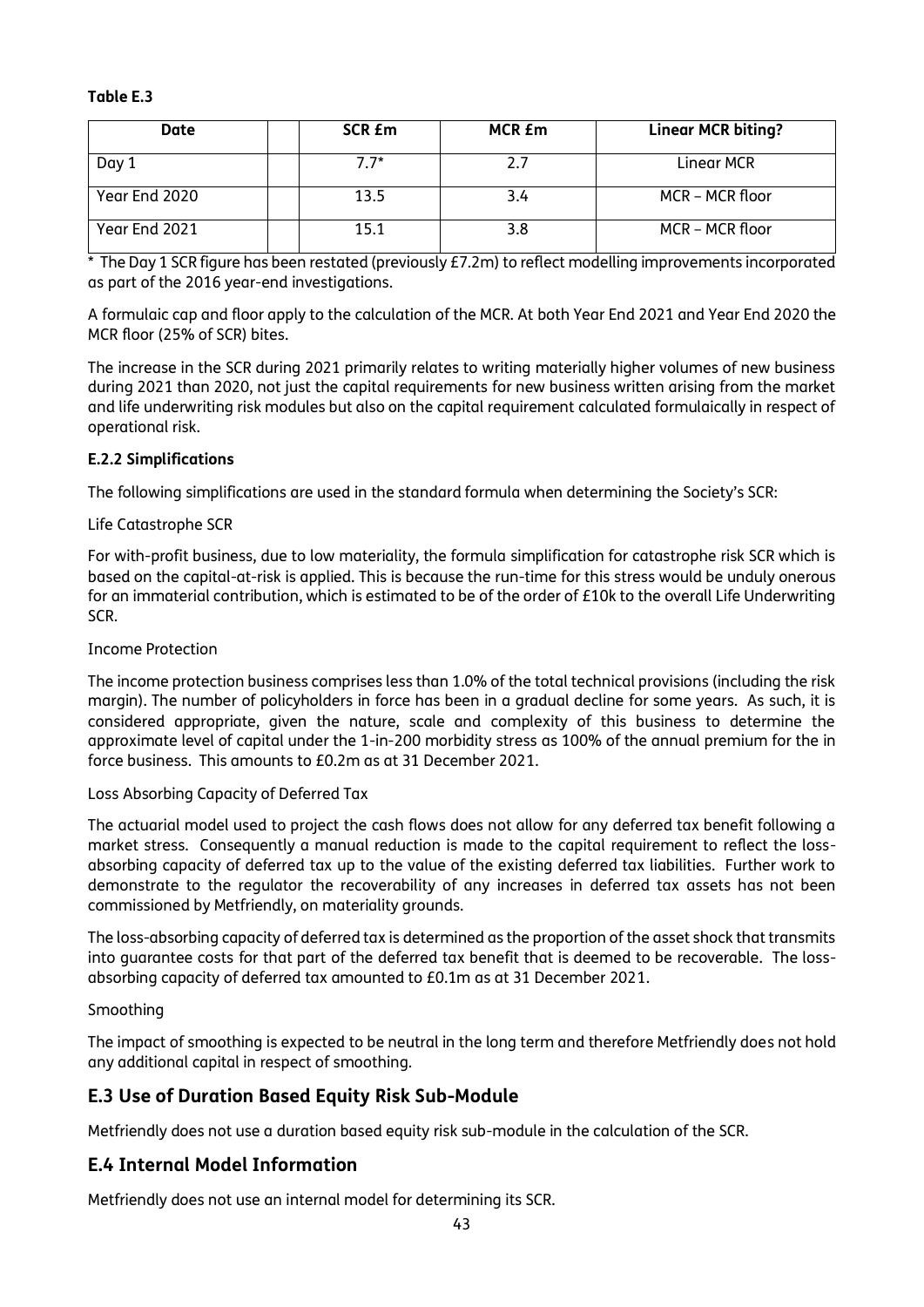#### **Table E.3**

| Date          | SCR <i>Em</i> | MCR £m | <b>Linear MCR biting?</b> |
|---------------|---------------|--------|---------------------------|
| Day 1         | $7.7*$        |        | Linear MCR                |
| Year End 2020 | 13.5          | 3.4    | MCR – MCR floor           |
| Year End 2021 | 15.1          |        | MCR – MCR floor           |

\* The Day 1 SCR figure has been restated (previously £7.2m) to reflect modelling improvements incorporated as part of the 2016 year-end investigations.

A formulaic cap and floor apply to the calculation of the MCR. At both Year End 2021 and Year End 2020 the MCR floor (25% of SCR) bites.

The increase in the SCR during 2021 primarily relates to writing materially higher volumes of new business during 2021 than 2020, not just the capital requirements for new business written arising from the market and life underwriting risk modules but also on the capital requirement calculated formulaically in respect of operational risk.

#### **E.2.2 Simplifications**

The following simplifications are used in the standard formula when determining the Society's SCR:

#### Life Catastrophe SCR

For with-profit business, due to low materiality, the formula simplification for catastrophe risk SCR which is based on the capital-at-risk is applied. This is because the run-time for this stress would be unduly onerous for an immaterial contribution, which is estimated to be of the order of £10k to the overall Life Underwriting SCR.

#### Income Protection

The income protection business comprises less than 1.0% of the total technical provisions (including the risk margin). The number of policyholders in force has been in a gradual decline for some years. As such, it is considered appropriate, given the nature, scale and complexity of this business to determine the approximate level of capital under the 1-in-200 morbidity stress as 100% of the annual premium for the in force business. This amounts to £0.2m as at 31 December 2021.

#### Loss Absorbing Capacity of Deferred Tax

The actuarial model used to project the cash flows does not allow for any deferred tax benefit following a market stress. Consequently a manual reduction is made to the capital requirement to reflect the lossabsorbing capacity of deferred tax up to the value of the existing deferred tax liabilities. Further work to demonstrate to the regulator the recoverability of any increases in deferred tax assets has not been commissioned by Metfriendly, on materiality grounds.

The loss-absorbing capacity of deferred tax is determined as the proportion of the asset shock that transmits into guarantee costs for that part of the deferred tax benefit that is deemed to be recoverable. The lossabsorbing capacity of deferred tax amounted to £0.1m as at 31 December 2021.

#### Smoothing

The impact of smoothing is expected to be neutral in the long term and therefore Metfriendly does not hold any additional capital in respect of smoothing.

# **E.3 Use of Duration Based Equity Risk Sub-Module**

Metfriendly does not use a duration based equity risk sub-module in the calculation of the SCR.

# **E.4 Internal Model Information**

Metfriendly does not use an internal model for determining its SCR.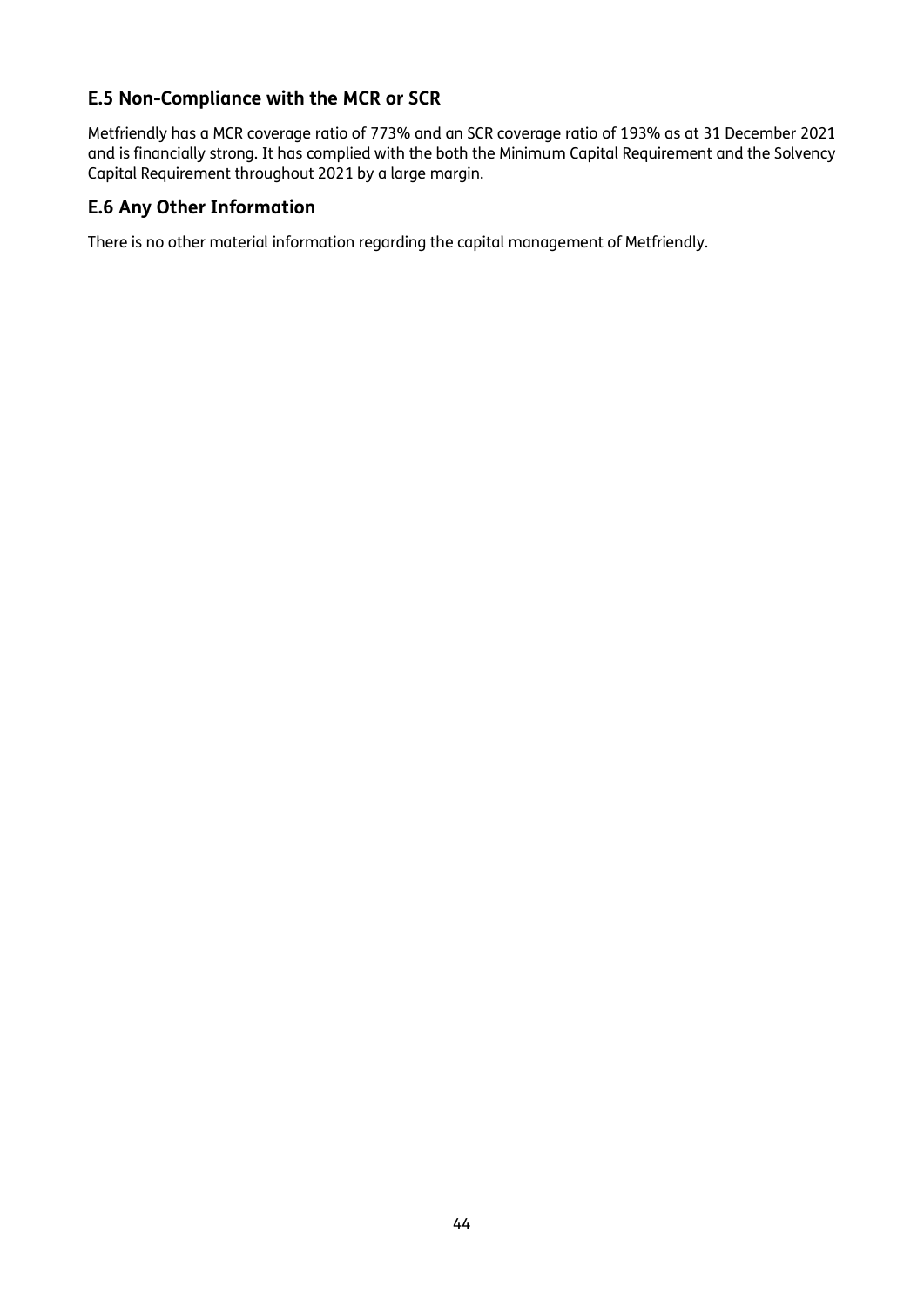# **E.5 Non-Compliance with the MCR or SCR**

Metfriendly has a MCR coverage ratio of 773% and an SCR coverage ratio of 193% as at 31 December 2021 and is financially strong. It has complied with the both the Minimum Capital Requirement and the Solvency Capital Requirement throughout 2021 by a large margin.

# **E.6 Any Other Information**

There is no other material information regarding the capital management of Metfriendly.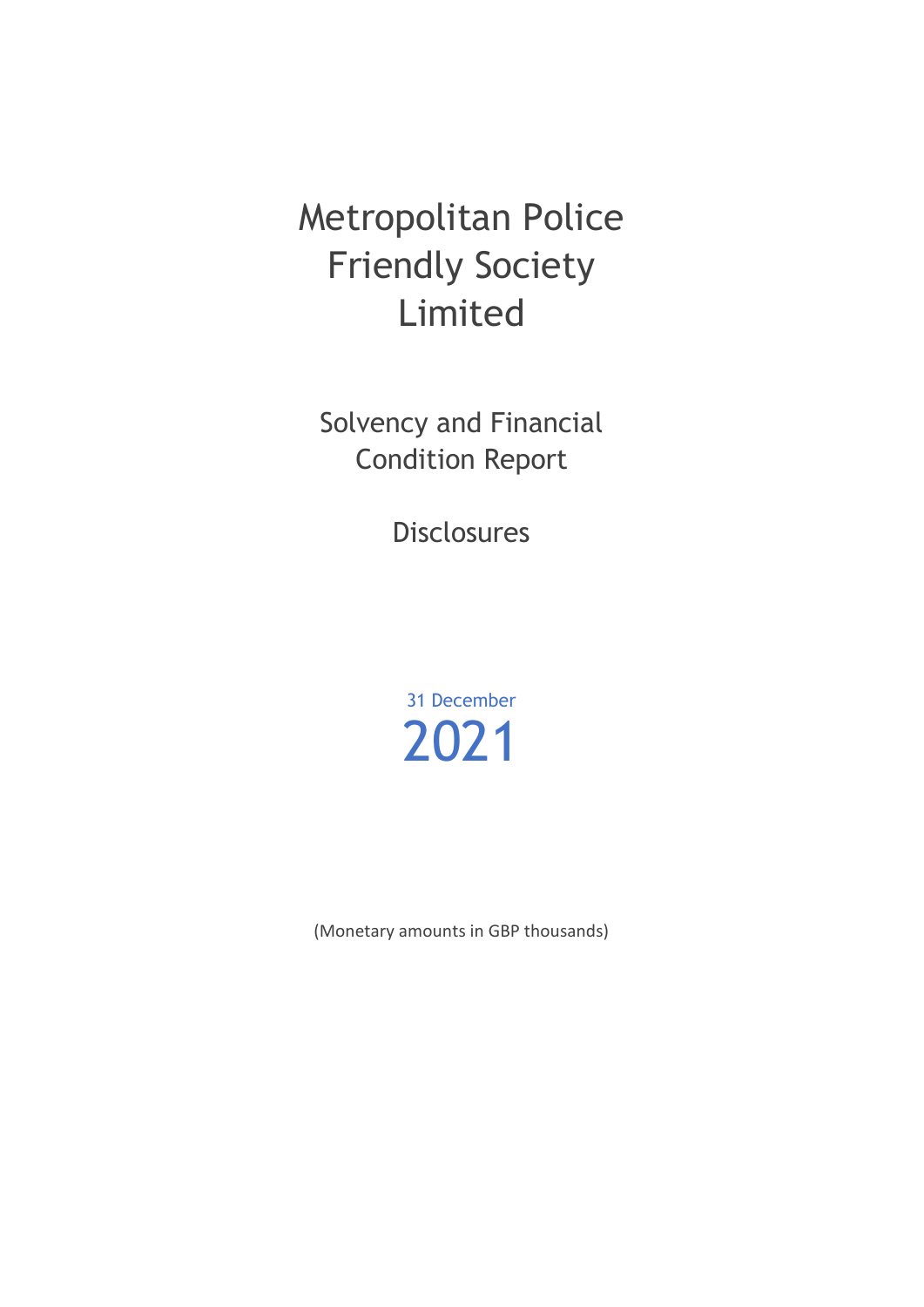# Metropolitan Police Friendly Society Limited

Solvency and Financial Condition Report

Disclosures

31 December 2021

(Monetary amounts in GBP thousands)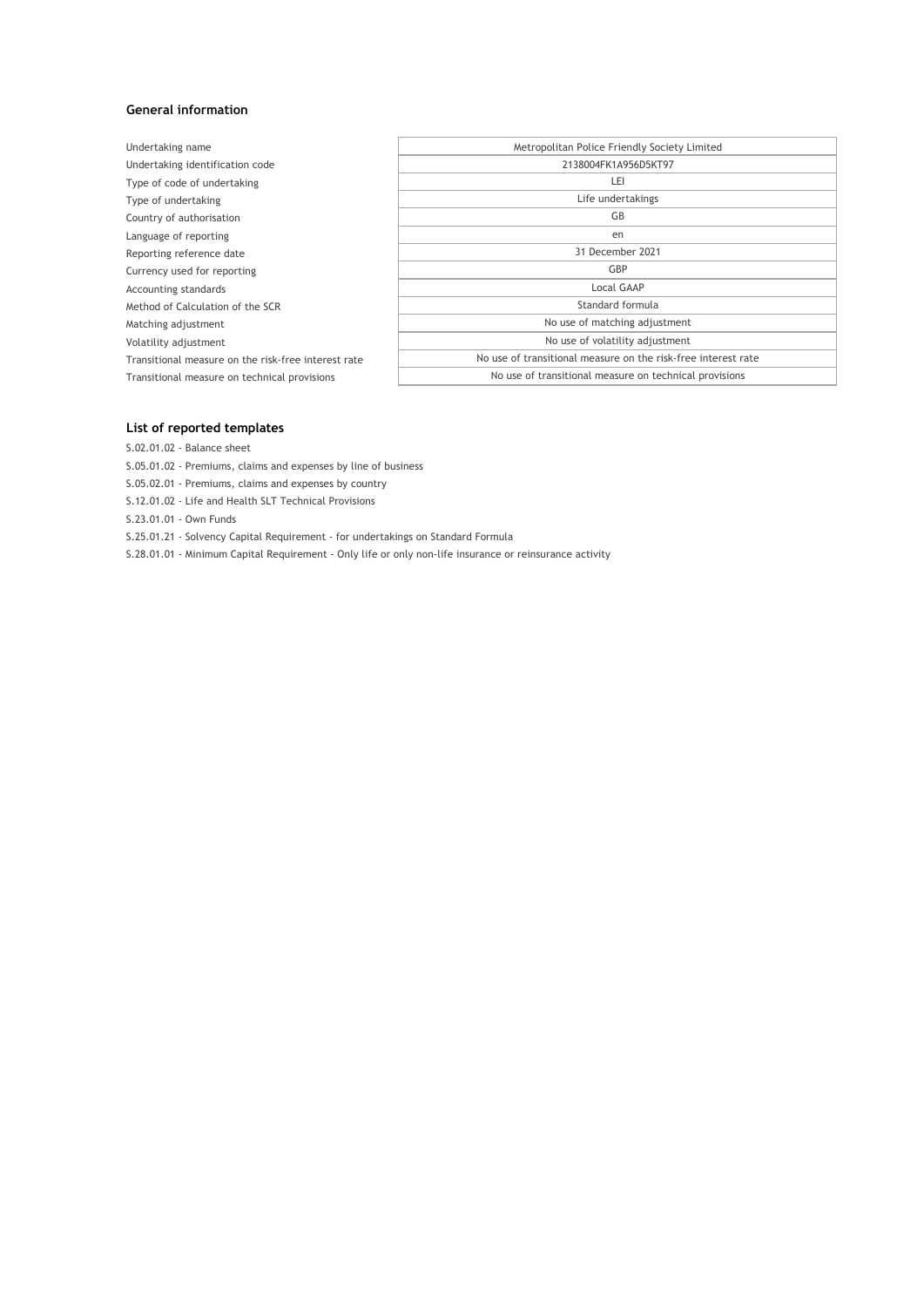#### **General information**

| Undertaking name                                    | Metropolitan Police Friendly Society Limited                  |  |  |  |  |  |
|-----------------------------------------------------|---------------------------------------------------------------|--|--|--|--|--|
| Undertaking identification code                     | 2138004FK1A956D5KT97                                          |  |  |  |  |  |
| Type of code of undertaking                         | LEI                                                           |  |  |  |  |  |
| Type of undertaking                                 | Life undertakings                                             |  |  |  |  |  |
| Country of authorisation                            | GB                                                            |  |  |  |  |  |
| Language of reporting                               | en                                                            |  |  |  |  |  |
| Reporting reference date                            | 31 December 2021                                              |  |  |  |  |  |
| Currency used for reporting                         | GBP                                                           |  |  |  |  |  |
| Accounting standards                                | Local GAAP                                                    |  |  |  |  |  |
| Method of Calculation of the SCR                    | Standard formula                                              |  |  |  |  |  |
| Matching adjustment                                 | No use of matching adjustment                                 |  |  |  |  |  |
| Volatility adjustment                               | No use of volatility adjustment                               |  |  |  |  |  |
| Transitional measure on the risk-free interest rate | No use of transitional measure on the risk-free interest rate |  |  |  |  |  |
| Transitional measure on technical provisions        | No use of transitional measure on technical provisions        |  |  |  |  |  |
|                                                     |                                                               |  |  |  |  |  |

#### **List of reported templates**

S.02.01.02 - Balance sheet

S.05.01.02 - Premiums, claims and expenses by line of business

S.05.02.01 - Premiums, claims and expenses by country

S.12.01.02 - Life and Health SLT Technical Provisions

S.23.01.01 - Own Funds

S.25.01.21 - Solvency Capital Requirement - for undertakings on Standard Formula

S.28.01.01 - Minimum Capital Requirement - Only life or only non-life insurance or reinsurance activity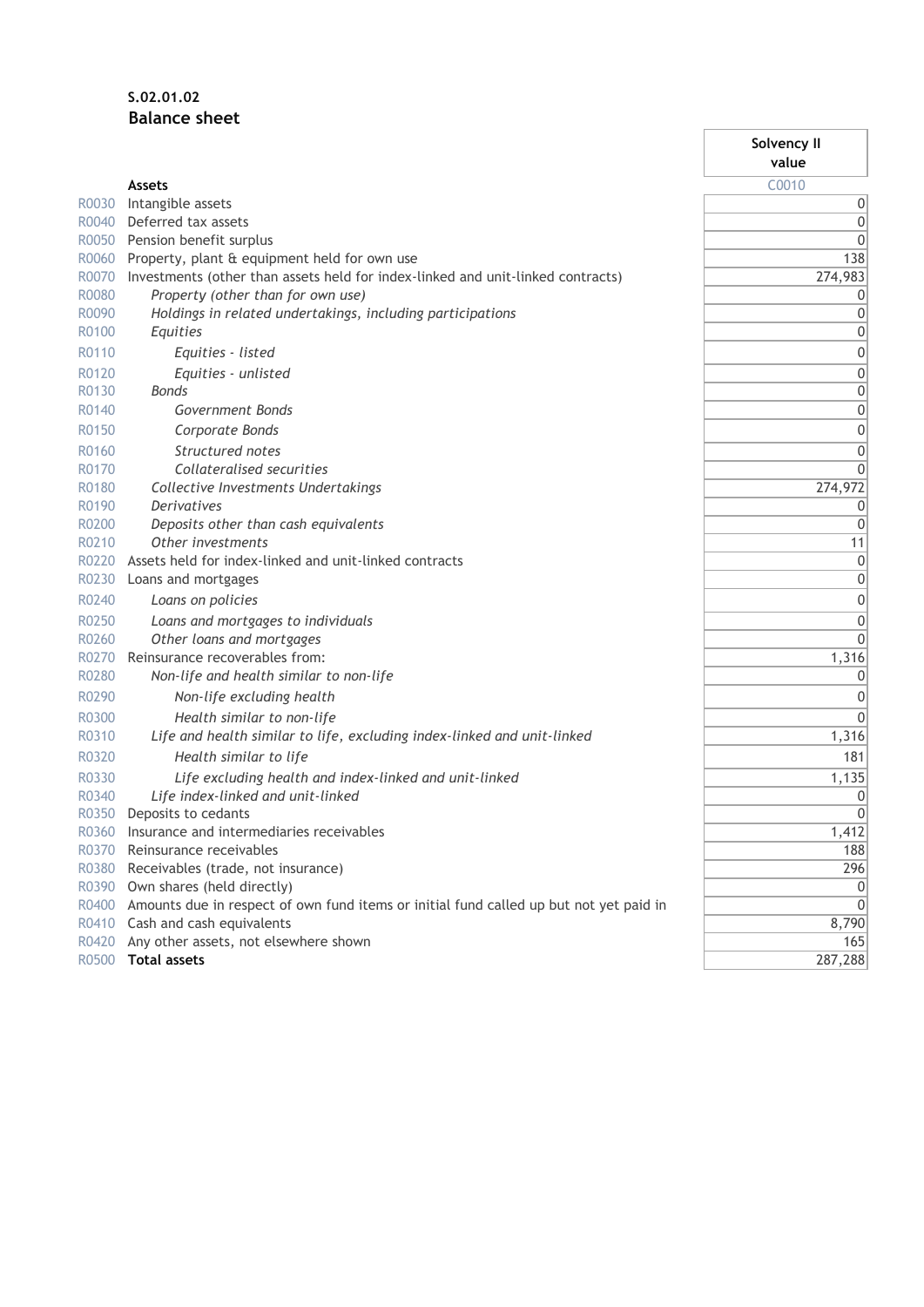# **S.02.01.02 Balance sheet**

|       |                                                                                              | Solvency II<br>value |
|-------|----------------------------------------------------------------------------------------------|----------------------|
|       | <b>Assets</b>                                                                                | C0010                |
| R0030 | Intangible assets                                                                            | 0                    |
| R0040 | Deferred tax assets                                                                          | 0                    |
| R0050 | Pension benefit surplus                                                                      | $\mathbf 0$          |
| R0060 | Property, plant & equipment held for own use                                                 | 138                  |
| R0070 | Investments (other than assets held for index-linked and unit-linked contracts)              | 274,983              |
| R0080 | Property (other than for own use)                                                            | 0                    |
| R0090 | Holdings in related undertakings, including participations                                   | 0                    |
| R0100 | Equities                                                                                     | 0                    |
| R0110 | Equities - listed                                                                            | $\mathbf 0$          |
| R0120 | Equities - unlisted                                                                          | $\mathbf 0$          |
| R0130 | Bonds                                                                                        | $\mathbf 0$          |
| R0140 | Government Bonds                                                                             | $\mathbf 0$          |
| R0150 | Corporate Bonds                                                                              | $\mathbf 0$          |
| R0160 | Structured notes                                                                             | 0                    |
| R0170 | Collateralised securities                                                                    | $\mathbf 0$          |
| R0180 | Collective Investments Undertakings                                                          | 274,972              |
| R0190 | <b>Derivatives</b>                                                                           | 0                    |
| R0200 | Deposits other than cash equivalents                                                         | $\mathbf 0$          |
| R0210 | Other investments                                                                            | 11                   |
| R0220 | Assets held for index-linked and unit-linked contracts                                       | $\mathbf 0$          |
| R0230 | Loans and mortgages                                                                          | $\mathbf 0$          |
| R0240 | Loans on policies                                                                            | 0                    |
| R0250 | Loans and mortgages to individuals                                                           | 0                    |
| R0260 | Other loans and mortgages                                                                    | $\mathbf 0$          |
| R0270 | Reinsurance recoverables from:                                                               | 1,316                |
| R0280 | Non-life and health similar to non-life                                                      | 0                    |
| R0290 | Non-life excluding health                                                                    | 0                    |
| R0300 | Health similar to non-life                                                                   | $\mathbf 0$          |
| R0310 | Life and health similar to life, excluding index-linked and unit-linked                      | 1,316                |
| R0320 | Health similar to life                                                                       | 181                  |
| R0330 | Life excluding health and index-linked and unit-linked                                       | 1,135                |
| R0340 | Life index-linked and unit-linked                                                            | 0                    |
| R0350 | Deposits to cedants                                                                          | $\mathbf{0}$         |
| R0360 | Insurance and intermediaries receivables                                                     | 1,412                |
| R0370 | Reinsurance receivables                                                                      | 188                  |
| R0380 | Receivables (trade, not insurance)                                                           | 296                  |
|       | R0390 Own shares (held directly)                                                             | $\Omega$             |
|       | R0400 Amounts due in respect of own fund items or initial fund called up but not yet paid in | $\overline{0}$       |
|       | R0410 Cash and cash equivalents                                                              | 8,790                |
| R0420 | Any other assets, not elsewhere shown                                                        | 165                  |
| R0500 | <b>Total assets</b>                                                                          | 287,288              |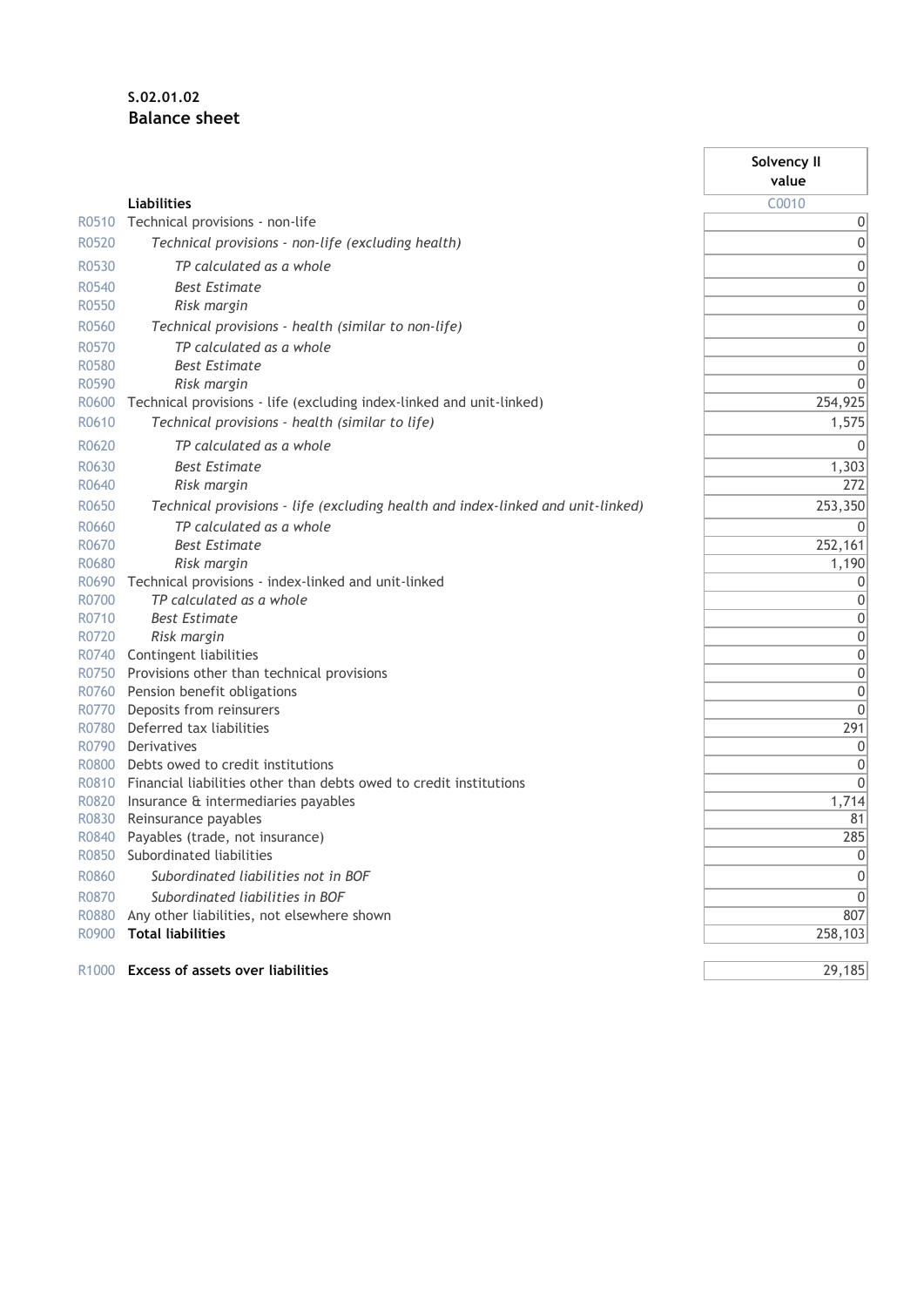# **S.02.01.02 Balance sheet**

|                   |                                                                                 | Solvency II |
|-------------------|---------------------------------------------------------------------------------|-------------|
|                   |                                                                                 | value       |
|                   | <b>Liabilities</b>                                                              | C0010       |
| R0510             | Technical provisions - non-life                                                 | 0           |
| R0520             | Technical provisions - non-life (excluding health)                              | 0           |
| R0530             | TP calculated as a whole                                                        | 0           |
| R0540             | <b>Best Estimate</b>                                                            | 0           |
| R0550             | Risk margin                                                                     | 0           |
| R0560             | Technical provisions - health (similar to non-life)                             | 0           |
| R0570             | TP calculated as a whole                                                        | 0           |
| R0580             | <b>Best Estimate</b>                                                            | 0           |
| R0590             | Risk margin                                                                     | 0           |
| R0600             | Technical provisions - life (excluding index-linked and unit-linked)            | 254,925     |
| R0610             | Technical provisions - health (similar to life)                                 | 1,575       |
| R0620             | TP calculated as a whole                                                        | 0           |
| R0630             | <b>Best Estimate</b>                                                            | 1,303       |
| R0640             | Risk margin                                                                     | 272         |
| R0650             | Technical provisions - life (excluding health and index-linked and unit-linked) | 253,350     |
| R0660             | TP calculated as a whole                                                        | 0           |
| R0670             | <b>Best Estimate</b>                                                            | 252,161     |
| R0680             | Risk margin                                                                     | 1,190       |
| R0690             | Technical provisions - index-linked and unit-linked                             | 0           |
| R0700             | TP calculated as a whole                                                        | 0           |
| R0710             | <b>Best Estimate</b>                                                            | 0           |
| R0720             | Risk margin                                                                     | 0           |
| R0740             | Contingent liabilities                                                          | 0           |
| R0750             | Provisions other than technical provisions                                      | 0           |
| R0760             | Pension benefit obligations                                                     | 0           |
| R0770             | Deposits from reinsurers                                                        | 0           |
| R0780             | Deferred tax liabilities                                                        | 291         |
| R0790             | Derivatives                                                                     | 0           |
| R0800             | Debts owed to credit institutions                                               | 0           |
| R0810             | Financial liabilities other than debts owed to credit institutions              | 0           |
| R0820<br>R0830    | Insurance & intermediaries payables<br>Reinsurance payables                     | 1,714<br>81 |
| R0840             | Payables (trade, not insurance)                                                 | 285         |
| R0850             | Subordinated liabilities                                                        | 0           |
| R0860             | Subordinated liabilities not in BOF                                             | 0           |
| R0870             | Subordinated liabilities in BOF                                                 | $\mathbf 0$ |
| R0880             | Any other liabilities, not elsewhere shown                                      | 807         |
| R0900             | <b>Total liabilities</b>                                                        | 258,103     |
|                   |                                                                                 |             |
| R <sub>1000</sub> | <b>Excess of assets over liabilities</b>                                        | 29,185      |

Ť.

'n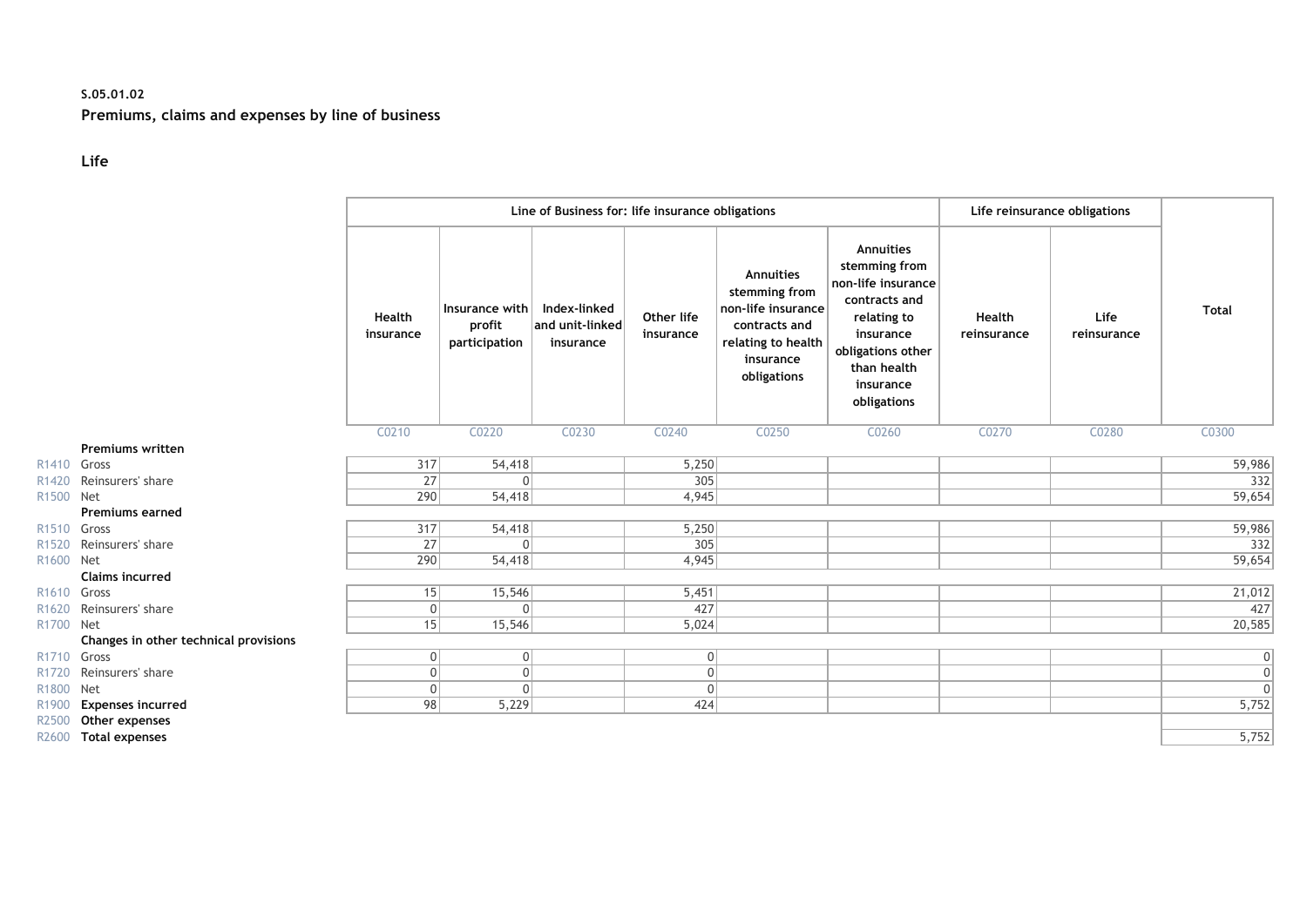### **S.05.01.02 Premiums, claims and expenses by line of business**

#### **Life**

|                   |                                       |                     | Line of Business for: life insurance obligations |                                              |                         |                                                                                                                            |                                                                                                                                                               |                              | Life reinsurance obligations |              |  |
|-------------------|---------------------------------------|---------------------|--------------------------------------------------|----------------------------------------------|-------------------------|----------------------------------------------------------------------------------------------------------------------------|---------------------------------------------------------------------------------------------------------------------------------------------------------------|------------------------------|------------------------------|--------------|--|
|                   |                                       | Health<br>insurance | Insurance with<br>profit<br>participation        | Index-linked<br>and unit-linked<br>insurance | Other life<br>insurance | <b>Annuities</b><br>stemming from<br>non-life insurance<br>contracts and<br>relating to health<br>insurance<br>obligations | Annuities<br>stemming from<br>non-life insurance<br>contracts and<br>relating to<br>insurance<br>obligations other<br>than health<br>insurance<br>obligations | <b>Health</b><br>reinsurance | Life<br>reinsurance          | <b>Total</b> |  |
|                   |                                       | C0210               | C0220                                            | C0230                                        | C0240                   | C0250                                                                                                                      | C0260                                                                                                                                                         | C0270                        | C0280                        | C0300        |  |
|                   | <b>Premiums written</b>               |                     |                                                  |                                              |                         |                                                                                                                            |                                                                                                                                                               |                              |                              |              |  |
| R <sub>1410</sub> | Gross                                 | 317                 | 54,418                                           |                                              | 5,250                   |                                                                                                                            |                                                                                                                                                               |                              |                              | 59,986       |  |
| R1420             | Reinsurers' share                     | 27                  | $\Omega$                                         |                                              | 305                     |                                                                                                                            |                                                                                                                                                               |                              |                              | 332          |  |
| R <sub>1500</sub> | <b>Net</b>                            | 290                 | 54,418                                           |                                              | 4,945                   |                                                                                                                            |                                                                                                                                                               |                              |                              | 59,654       |  |
|                   | <b>Premiums earned</b>                |                     |                                                  |                                              |                         |                                                                                                                            |                                                                                                                                                               |                              |                              |              |  |
| R <sub>1510</sub> | Gross                                 | 317                 | 54,418                                           |                                              | 5,250                   |                                                                                                                            |                                                                                                                                                               |                              |                              | 59,986       |  |
| R <sub>1520</sub> | Reinsurers' share                     | 27                  | $\Omega$                                         |                                              | 305                     |                                                                                                                            |                                                                                                                                                               |                              |                              | 332          |  |
| R1600 Net         |                                       | 290                 | 54,418                                           |                                              | 4,945                   |                                                                                                                            |                                                                                                                                                               |                              |                              | 59,654       |  |
|                   | <b>Claims incurred</b>                |                     |                                                  |                                              |                         |                                                                                                                            |                                                                                                                                                               |                              |                              |              |  |
| R <sub>1610</sub> | Gross                                 | 15                  | 15,546                                           |                                              | 5,451                   |                                                                                                                            |                                                                                                                                                               |                              |                              | 21,012       |  |
| R1620             | Reinsurers' share                     | 0                   | $\Omega$                                         |                                              | 427                     |                                                                                                                            |                                                                                                                                                               |                              |                              | 427          |  |
| R1700             | <b>Net</b>                            | 15                  | 15,546                                           |                                              | 5,024                   |                                                                                                                            |                                                                                                                                                               |                              |                              | 20,585       |  |
|                   | Changes in other technical provisions |                     |                                                  |                                              |                         |                                                                                                                            |                                                                                                                                                               |                              |                              |              |  |
| R <sub>1710</sub> | Gross                                 | 0                   | $\overline{0}$                                   |                                              | 0                       |                                                                                                                            |                                                                                                                                                               |                              |                              | 0            |  |
| R <sub>1720</sub> | Reinsurers' share                     | 0                   | $\Omega$                                         |                                              | $\overline{0}$          |                                                                                                                            |                                                                                                                                                               |                              |                              |              |  |
| R1800             | Net                                   | 0                   | $\Omega$                                         |                                              | 0                       |                                                                                                                            |                                                                                                                                                               |                              |                              | $\Omega$     |  |
| R1900             | <b>Expenses incurred</b>              | 98                  | 5,229                                            |                                              | 424                     |                                                                                                                            |                                                                                                                                                               |                              |                              | 5,752        |  |
| R2500             | Other expenses                        |                     |                                                  |                                              |                         |                                                                                                                            |                                                                                                                                                               |                              |                              |              |  |
| R2600             | <b>Total expenses</b>                 |                     |                                                  |                                              |                         |                                                                                                                            |                                                                                                                                                               |                              |                              | 5,752        |  |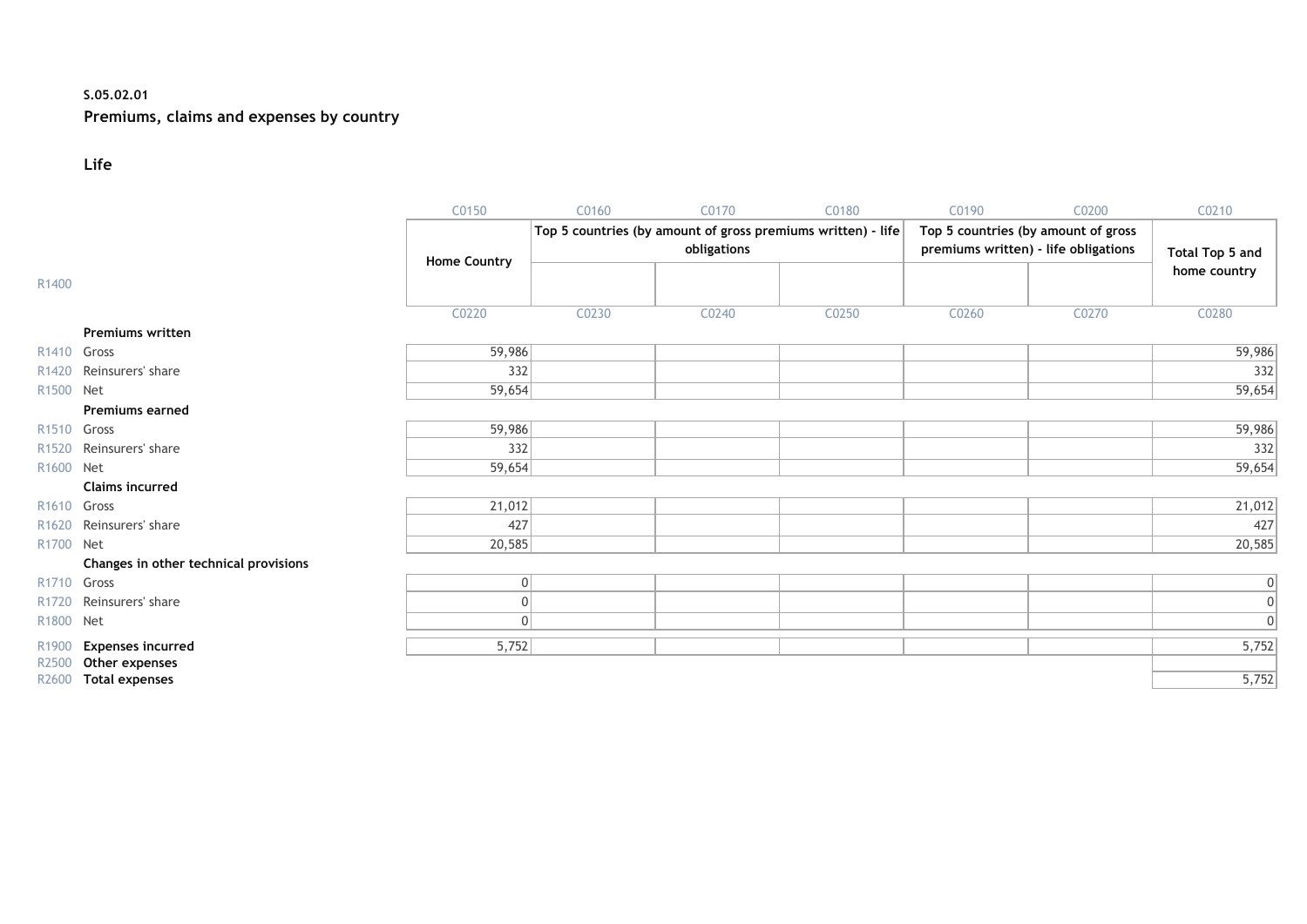#### **S.05.02.01**

# **Premiums, claims and expenses by country**

#### **Life**

|                         |                                       | C0150               | C0160 | C0170       | C0180                                                        | C0190 | C0200                                                                       | C0210                  |
|-------------------------|---------------------------------------|---------------------|-------|-------------|--------------------------------------------------------------|-------|-----------------------------------------------------------------------------|------------------------|
|                         |                                       | <b>Home Country</b> |       | obligations | Top 5 countries (by amount of gross premiums written) - life |       | Top 5 countries (by amount of gross<br>premiums written) - life obligations | <b>Total Top 5 and</b> |
| R1400                   |                                       |                     |       |             |                                                              |       |                                                                             | home country           |
|                         |                                       | C0220               | C0230 | C0240       | C0250                                                        | C0260 | C0270                                                                       | C0280                  |
|                         | <b>Premiums written</b>               |                     |       |             |                                                              |       |                                                                             |                        |
| R <sub>1410</sub> Gross |                                       | 59,986              |       |             |                                                              |       |                                                                             | 59,986                 |
|                         | R1420 Reinsurers' share               | 332                 |       |             |                                                              |       |                                                                             | 332                    |
| R1500 Net               |                                       | 59,654              |       |             |                                                              |       |                                                                             | 59,654                 |
|                         | <b>Premiums earned</b>                |                     |       |             |                                                              |       |                                                                             |                        |
| R <sub>1510</sub> Gross |                                       | 59,986              |       |             |                                                              |       |                                                                             | 59,986                 |
| R <sub>1520</sub>       | Reinsurers' share                     | 332                 |       |             |                                                              |       |                                                                             | 332                    |
| R1600 Net               |                                       | 59,654              |       |             |                                                              |       |                                                                             | 59,654                 |
|                         | <b>Claims incurred</b>                |                     |       |             |                                                              |       |                                                                             |                        |
| R <sub>1610</sub> Gross |                                       | 21,012              |       |             |                                                              |       |                                                                             | 21,012                 |
| R <sub>1620</sub>       | Reinsurers' share                     | 427                 |       |             |                                                              |       |                                                                             | 427                    |
| R1700 Net               |                                       | 20,585              |       |             |                                                              |       |                                                                             | 20,585                 |
|                         | Changes in other technical provisions |                     |       |             |                                                              |       |                                                                             |                        |
| R <sub>1710</sub> Gross |                                       | 0                   |       |             |                                                              |       |                                                                             | 0                      |
| R <sub>1720</sub>       | Reinsurers' share                     |                     |       |             |                                                              |       |                                                                             | 0                      |
| R1800 Net               |                                       | $\Omega$            |       |             |                                                              |       |                                                                             | 0                      |
| R1900                   | <b>Expenses incurred</b>              | 5,752               |       |             |                                                              |       |                                                                             | 5,752                  |
| R2500                   | Other expenses                        |                     |       |             |                                                              |       |                                                                             |                        |
|                         | R2600 Total expenses                  |                     |       |             |                                                              |       |                                                                             | 5,752                  |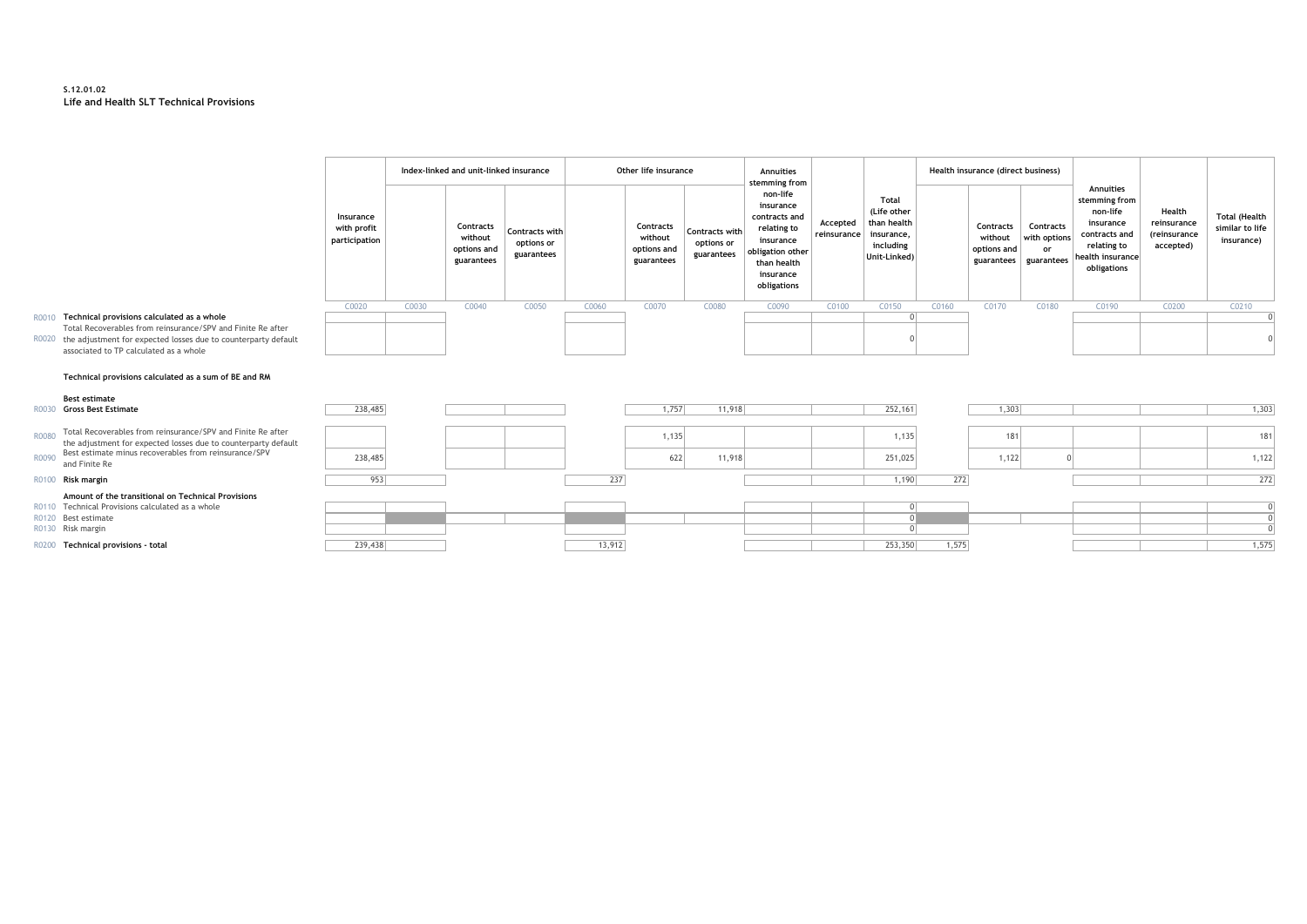#### **S.12.01.02 Life and Health SLT Technical Provisions**

|       |                                                                                                                         |                                           |       | Index-linked and unit-linked insurance            |                                            |       | Other life insurance                              |                                            | Annuities<br>stemming from                                                                                                        |                         |                                                                                |       | Health insurance (direct business)                |                                               |                                                                                                                        |                                                    |                                                       |  |
|-------|-------------------------------------------------------------------------------------------------------------------------|-------------------------------------------|-------|---------------------------------------------------|--------------------------------------------|-------|---------------------------------------------------|--------------------------------------------|-----------------------------------------------------------------------------------------------------------------------------------|-------------------------|--------------------------------------------------------------------------------|-------|---------------------------------------------------|-----------------------------------------------|------------------------------------------------------------------------------------------------------------------------|----------------------------------------------------|-------------------------------------------------------|--|
|       |                                                                                                                         | Insurance<br>with profit<br>participation |       | Contracts<br>without<br>options and<br>guarantees | Contracts with<br>options or<br>guarantees |       | Contracts<br>without<br>options and<br>guarantees | Contracts with<br>options or<br>guarantees | non-life<br>insurance<br>contracts and<br>relating to<br>insurance<br>obligation other<br>than health<br>insurance<br>obligations | Accepted<br>reinsurance | Total<br>(Life other<br>than health<br>insurance,<br>including<br>Unit-Linked) |       | Contracts<br>without<br>options and<br>guarantees | Contracts<br>with options<br>or<br>guarantees | Annuities<br>stemming from<br>non-life<br>insurance<br>contracts and<br>relating to<br>health insurance<br>obligations | Health<br>reinsurance<br>(reinsurance<br>accepted) | <b>Total (Health</b><br>similar to life<br>insurance) |  |
|       |                                                                                                                         | C0020                                     | C0030 | C0040                                             | C0050                                      | C0060 | C0070                                             | C0080                                      | C0090                                                                                                                             | C0100                   | C0150                                                                          | C0160 | C0170                                             | C0180                                         | C0190                                                                                                                  | C0200                                              | C0210                                                 |  |
| R0010 | Technical provisions calculated as a whole                                                                              |                                           |       |                                                   |                                            |       |                                                   |                                            |                                                                                                                                   |                         |                                                                                |       |                                                   |                                               |                                                                                                                        |                                                    |                                                       |  |
| R0020 | Total Recoverables from reinsurance/SPV and Finite Re after                                                             |                                           |       |                                                   |                                            |       |                                                   |                                            |                                                                                                                                   |                         |                                                                                |       |                                                   |                                               |                                                                                                                        |                                                    |                                                       |  |
|       | the adjustment for expected losses due to counterparty default<br>associated to TP calculated as a whole                |                                           |       |                                                   |                                            |       |                                                   |                                            |                                                                                                                                   |                         |                                                                                |       |                                                   |                                               |                                                                                                                        |                                                    |                                                       |  |
|       |                                                                                                                         |                                           |       |                                                   |                                            |       |                                                   |                                            |                                                                                                                                   |                         |                                                                                |       |                                                   |                                               |                                                                                                                        |                                                    |                                                       |  |
|       | Technical provisions calculated as a sum of BE and RM                                                                   |                                           |       |                                                   |                                            |       |                                                   |                                            |                                                                                                                                   |                         |                                                                                |       |                                                   |                                               |                                                                                                                        |                                                    |                                                       |  |
|       | <b>Best estimate</b>                                                                                                    |                                           |       |                                                   |                                            |       |                                                   |                                            |                                                                                                                                   |                         |                                                                                |       |                                                   |                                               |                                                                                                                        |                                                    |                                                       |  |
|       | <b>Gross Best Estimate</b>                                                                                              | 238,485                                   |       |                                                   |                                            |       | 1,757                                             | 11,918                                     |                                                                                                                                   |                         | 252,161                                                                        |       | 1,303                                             |                                               |                                                                                                                        |                                                    | 1,303                                                 |  |
| R0080 | Total Recoverables from reinsurance/SPV and Finite Re after                                                             |                                           |       |                                                   |                                            |       | 1,135                                             |                                            |                                                                                                                                   |                         | 1,135                                                                          |       | 181                                               |                                               |                                                                                                                        |                                                    | 181                                                   |  |
|       | the adjustment for expected losses due to counterparty default<br>Best estimate minus recoverables from reinsurance/SPV |                                           |       |                                                   |                                            |       |                                                   |                                            |                                                                                                                                   |                         |                                                                                |       |                                                   |                                               |                                                                                                                        |                                                    |                                                       |  |
| R0090 | and Finite Re                                                                                                           | 238,485                                   |       |                                                   |                                            |       | 622                                               | 11,918                                     |                                                                                                                                   |                         | 251,025                                                                        |       | 1,122                                             |                                               |                                                                                                                        |                                                    | 1,122                                                 |  |
| R0100 | Risk margin                                                                                                             | 953                                       |       |                                                   |                                            | 237   |                                                   |                                            |                                                                                                                                   |                         | 1,190                                                                          | 272   |                                                   |                                               |                                                                                                                        |                                                    | 272                                                   |  |
|       | Amount of the transitional on Technical Provisions<br>Technical Provisions calculated as a whole                        |                                           |       |                                                   |                                            |       |                                                   |                                            |                                                                                                                                   |                         |                                                                                |       |                                                   |                                               |                                                                                                                        |                                                    | $\Omega$                                              |  |
|       |                                                                                                                         |                                           |       |                                                   |                                            |       |                                                   |                                            |                                                                                                                                   |                         |                                                                                |       |                                                   |                                               |                                                                                                                        |                                                    |                                                       |  |

#### R0010 **Technical provisions calculated as a whole** Total Recoverables from reinsurance/SPV and

#### Technical provisions calculated as a sum of

|              | $100000$ or $0.33$ best Estimate                               | 1, 10, 10, 10 |        |       | 1,7,00 |  | 1.92, 101          | التالات |  | , 000 |
|--------------|----------------------------------------------------------------|---------------|--------|-------|--------|--|--------------------|---------|--|-------|
|              |                                                                |               |        |       |        |  |                    |         |  |       |
| R0080        | Total Recoverables from reinsurance/SPV and Finite Re after    |               |        | 1,135 |        |  | 1,135              |         |  | 1811  |
|              | the adjustment for expected losses due to counterparty default |               |        |       |        |  |                    |         |  |       |
|              | R0090 Best estimate minus recoverables from reinsurance/SPV    | 238,485       |        | 622   | 11,918 |  | 251,025            | 1,122   |  | 1,122 |
|              | and Finite Re                                                  |               |        |       |        |  |                    |         |  |       |
|              | R0100 Risk margin                                              |               | 231    |       |        |  | 1,190<br>27<br>2/2 |         |  | 272   |
|              | Amount of the transitional on Technical Provisions             |               |        |       |        |  |                    |         |  |       |
|              | R0110 Technical Provisions calculated as a whole               |               |        |       |        |  |                    |         |  |       |
|              | R0120 Best estimate                                            |               |        |       |        |  |                    |         |  |       |
|              | R0130 Risk margin                                              |               |        |       |        |  |                    |         |  |       |
| <b>R0200</b> | Technical provisions - total                                   | 239,438       | 13,912 |       |        |  | 253,350<br>1,575   |         |  | 1,575 |
|              |                                                                |               |        |       |        |  |                    |         |  |       |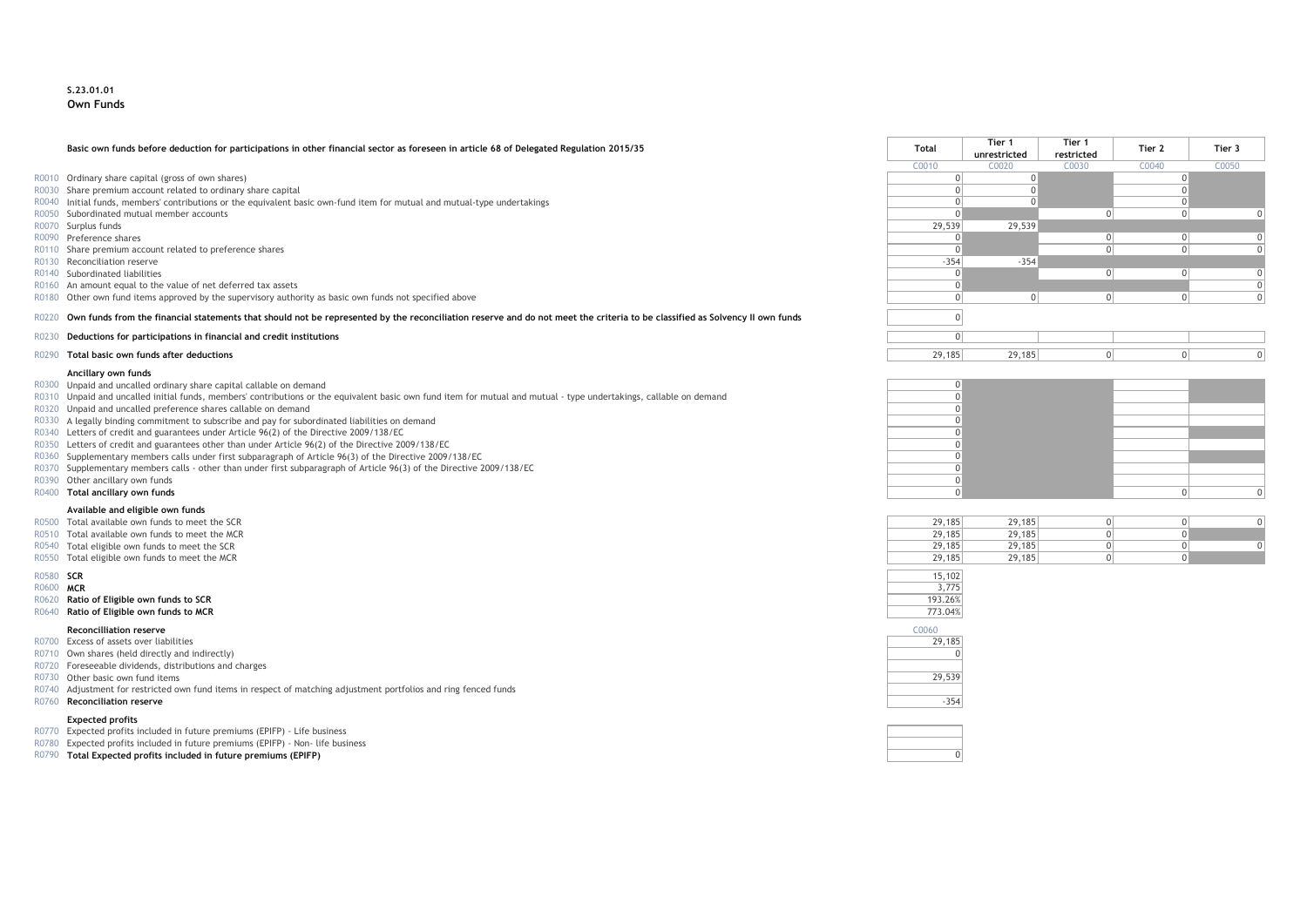#### **S.23.01.01 Own Funds**

#### **Basic own funds before deduction for participations in other financial sector as foreseen in article 68 of Delegated Regulation 2015/35 Total Tier 1**

- R0010 Ordinary share capital (gross of own shares)
- R0030 Share premium account related to ordinary share capital
- R0040 Initial funds, members' contributions or the equivalent basic own-fund item for mutual and mutual-type undertakings
- R0050 Subordinated mutual member accounts<br>R0070 Surplus funds
- 
- 
- R0110 Share premium account related to preference shares<br>R0130 Reconciliation reserve
- 
- 
- R0160 An amount equal to the value of net deferred tax assets
- R0180 Other own fund items approved by the supervisory authority as basic own funds not specified above

#### R0220 Own funds from the financial statements that should not be represented by the reconciliation reserve and do not meet the criteria to be classified as Solvency II own funds

- R0230 **Deductions for participations in financial and credit institutions** 0
- R0290 **Total basic own funds after deductions**

#### **Ancillary own funds**

- R0300 Unpaid and uncalled ordinary share capital callable on demand 0
- R0310 Unpaid and uncalled initial funds, members' contributions or the equivalent basic own fund item for mutual and mutual type undertakings, callable on demand 0
- $R0320$  Unpaid and uncalled preference shares callable on demand<br> $R0320$  A legally binding commitment to subscribe and nay for subproducted liabilities on demand
- R0330 A legally binding commitment to subscribe and pay for subordinated liabilities on demand
- R0340 Letters of credit and guarantees under Article 96(2) of the Directive 2009/138/EC 0
- R0350 Letters of credit and guarantees other than under Article 96(2) of the Directive 2009/138/EC 0<br>R0360 Sunnlementary members calls under first subparagraph of Article 96(3) of the Directive 2009/138/EC 0
- R0360 Supplementary members calls under first subparagraph of Article 96(3) of the Directive 2009/138/EC 0
- R0370 Supplementary members calls other than under first subparagraph of Article 96(3) of the Directive 2009/138/EC 0
- R0390 Other ancillary own funds of the contract of the contract of the contract of the contract of the contract of the contract of the contract of the contract of the contract of the contract of the contract of the contrac
- 

#### **Available and eligible own funds**

- $R0500$  Total available own funds to meet the SCR
- $R0510$  Total available own funds to meet the MCR
- R0540 Total eligible own funds to meet the SCR
- R0550 Total eligible own funds to meet the MCR

- 
- 
- R0620 **Ratio of Eligible own funds to SCR** 193.26% **Research 2018 193.26% Property and SCR** 193.26% **Robin 193.26%** Property and the set of Eligible own funds to MCR and the set of Eligible own funds to MCR and the set of R0640 **Ratio of Eligible own funds to MCR**

#### **Reconcilliation reserve** C0060

- R0700 Excess of assets over liabilities 29,185
- R0710 Own shares (held directly and indirectly) 0
- R0720 Foreseeable dividends, distributions and charges
- R0730 Other basic own fund items 29,539
- R0740 Adjustment for restricted own fund items in respect of matching adjustment portfolios and ring fenced funds
- R0760 **Reconciliation reserve** -354

#### **Expected profits**

- R0770 Expected profits included in future premiums (EPIFP) Life business
- R0780 Expected profits included in future premiums (EPIFP) Non- life business
- R0790 **Total Expected profits included in future premiums (EPIFP)** 0

|       | Basic own funds before deduction for participations in other financial sector as foreseen in article 68 of Delegated Regulation 2015/35                                     | Total             | Tier 1<br>unrestricted | Tier 1<br>restricted | Tier 2            | Tier 3            |  |
|-------|-----------------------------------------------------------------------------------------------------------------------------------------------------------------------------|-------------------|------------------------|----------------------|-------------------|-------------------|--|
|       |                                                                                                                                                                             | C <sub>0010</sub> | C <sub>0020</sub>      | C0030                | C <sub>0040</sub> | C <sub>0050</sub> |  |
|       | R0010 Ordinary share capital (gross of own shares)                                                                                                                          |                   |                        |                      |                   |                   |  |
|       | R0030 Share premium account related to ordinary share capital                                                                                                               |                   |                        |                      |                   |                   |  |
|       | R0040 Initial funds, members' contributions or the equivalent basic own-fund item for mutual and mutual-type undertakings                                                   |                   |                        |                      |                   |                   |  |
|       | R0050 Subordinated mutual member accounts                                                                                                                                   |                   |                        |                      |                   |                   |  |
|       | R0070 Surplus funds                                                                                                                                                         | 29,539            | 29,539                 |                      |                   |                   |  |
|       | R0090 Preference shares                                                                                                                                                     |                   |                        |                      |                   |                   |  |
|       | R0110 Share premium account related to preference shares                                                                                                                    |                   |                        |                      |                   |                   |  |
|       | R0130 Reconciliation reserve                                                                                                                                                | $-354$            | $-354$                 |                      |                   |                   |  |
|       | R0140 Subordinated liabilities                                                                                                                                              |                   |                        |                      |                   |                   |  |
|       | R0160 An amount equal to the value of net deferred tax assets                                                                                                               |                   |                        |                      |                   |                   |  |
|       | R0180 Other own fund items approved by the supervisory authority as basic own funds not specified above                                                                     |                   |                        |                      |                   |                   |  |
| R0220 | Own funds from the financial statements that should not be represented by the reconciliation reserve and do not meet the criteria to be classified as Solvency II own funds |                   |                        |                      |                   |                   |  |
|       |                                                                                                                                                                             |                   |                        |                      |                   |                   |  |
| R0230 | Deductions for participations in financial and credit institutions                                                                                                          |                   |                        |                      |                   |                   |  |
|       | Total basic own funds after deductions                                                                                                                                      | 29.185            | 29.185                 |                      |                   |                   |  |



| 29.185 | 29,185 |  |  |
|--------|--------|--|--|
| 29.185 | 29,185 |  |  |
| 29,185 | 29,185 |  |  |
| 29.185 | 29,185 |  |  |





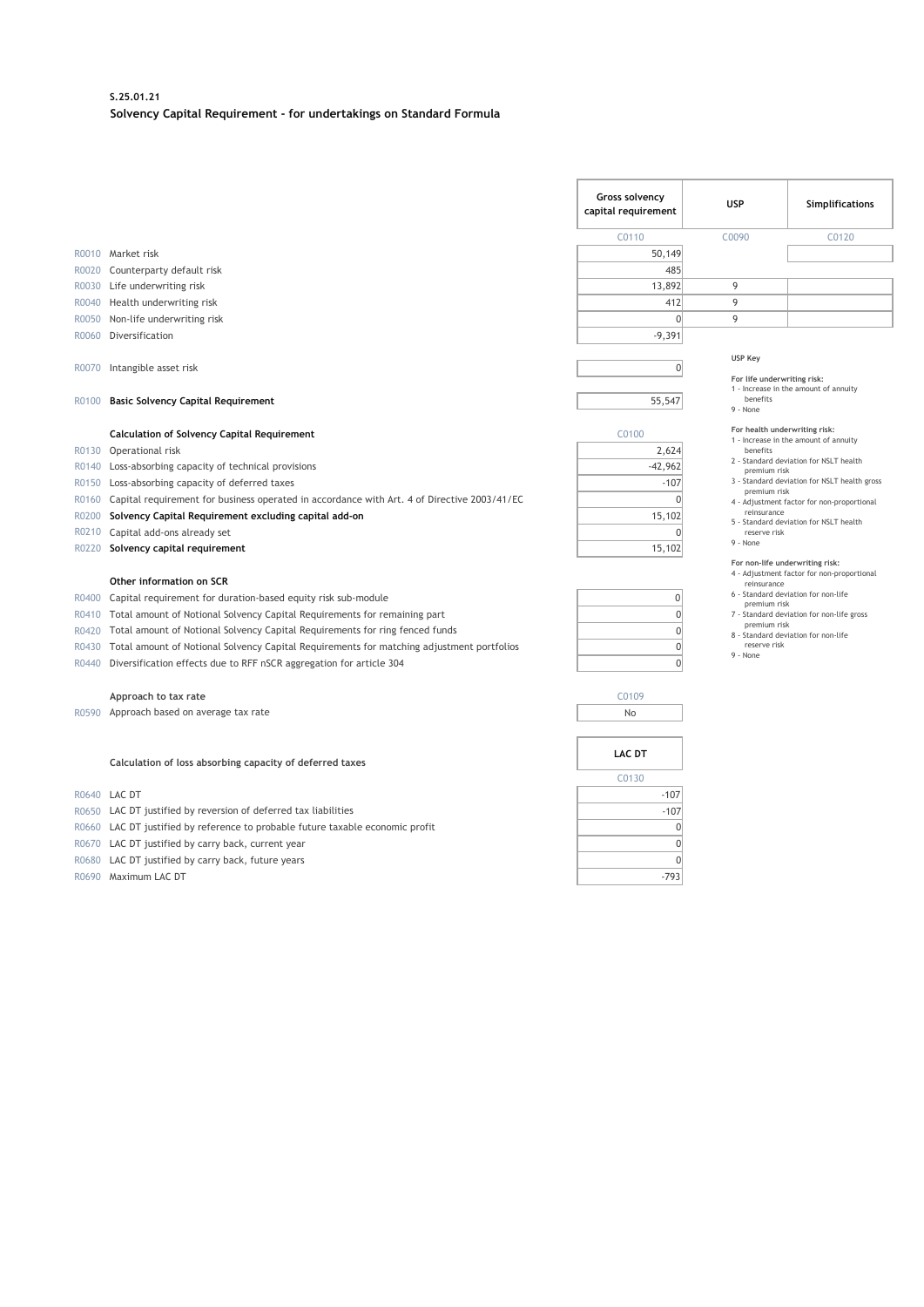#### **S.25.01.21 Solvency Capital Requirement - for undertakings on Standard Formula**

|                |                                                                                             | Gross solvency<br>capital requirement                                                                                               | <b>USP</b>                                                                                                     | Simplifications                            |  |
|----------------|---------------------------------------------------------------------------------------------|-------------------------------------------------------------------------------------------------------------------------------------|----------------------------------------------------------------------------------------------------------------|--------------------------------------------|--|
|                |                                                                                             | C0110                                                                                                                               | C0090                                                                                                          | C <sub>0120</sub>                          |  |
|                | R0010 Market risk                                                                           | 50,149                                                                                                                              |                                                                                                                |                                            |  |
| R0020          | Counterparty default risk                                                                   | 485                                                                                                                                 |                                                                                                                |                                            |  |
| R0030          | Life underwriting risk                                                                      | 13,892                                                                                                                              | 9                                                                                                              |                                            |  |
| R0040          | Health underwriting risk                                                                    | 412                                                                                                                                 | 9                                                                                                              |                                            |  |
| R0050          | Non-life underwriting risk                                                                  | $\mathbf{0}$                                                                                                                        | 9                                                                                                              |                                            |  |
| R0060          | Diversification                                                                             | $-9,391$                                                                                                                            |                                                                                                                |                                            |  |
| R0070<br>R0100 | Intangible asset risk<br><b>Basic Solvency Capital Requirement</b>                          | $\mathbf{0}$<br>55,547                                                                                                              | <b>USP Key</b><br>For life underwriting risk:<br>1 - Increase in the amount of annuity<br>benefits<br>9 - None |                                            |  |
|                | <b>Calculation of Solvency Capital Requirement</b>                                          | C0100                                                                                                                               | For health underwriting risk:                                                                                  |                                            |  |
| R0130          | Operational risk                                                                            | 2,624                                                                                                                               | benefits                                                                                                       | 1 - Increase in the amount of annuity      |  |
| R0140          | Loss-absorbing capacity of technical provisions                                             | $-42.962$                                                                                                                           |                                                                                                                | 2 - Standard deviation for NSLT health     |  |
| R0150          | Loss-absorbing capacity of deferred taxes                                                   | $-107$                                                                                                                              | premium risk<br>3 - Standard deviation for NSLT health gross                                                   |                                            |  |
| R0160          | Capital requirement for business operated in accordance with Art. 4 of Directive 2003/41/EC | $\Omega$                                                                                                                            | premium risk                                                                                                   | 4 - Adjustment factor for non-proportional |  |
| R0200          | Solvency Capital Requirement excluding capital add-on                                       | 15,102                                                                                                                              | reinsurance<br>5 - Standard deviation for NSLT health<br>reserve risk                                          |                                            |  |
| R0210          | Capital add-ons already set                                                                 | $\Omega$                                                                                                                            |                                                                                                                |                                            |  |
| R0220          | Solvency capital requirement                                                                | 15,102                                                                                                                              | 9 - None                                                                                                       |                                            |  |
|                | Other information on SCR                                                                    | For non-life underwriting risk:<br>4 - Adjustment factor for non-proportional<br>reinsurance<br>6 - Standard deviation for non-life |                                                                                                                |                                            |  |
| R0400          | Capital requirement for duration-based equity risk sub-module                               | 0                                                                                                                                   | premium risk                                                                                                   |                                            |  |
| R0410          | Total amount of Notional Solvency Capital Requirements for remaining part                   | $\mathbf{0}$                                                                                                                        | premium risk                                                                                                   | 7 - Standard deviation for non-life gross  |  |
| R0420          | Total amount of Notional Solvency Capital Requirements for ring fenced funds                | $\mathbf{0}$                                                                                                                        |                                                                                                                | 8 - Standard deviation for non-life        |  |
| R0430          | Total amount of Notional Solvency Capital Requirements for matching adjustment portfolios   | $\mathbf{0}$                                                                                                                        | reserve risk<br>9 - None                                                                                       |                                            |  |
| R0440          | Diversification effects due to RFF nSCR aggregation for article 304                         | $\theta$                                                                                                                            |                                                                                                                |                                            |  |
|                | Approach to tax rate                                                                        | C0109                                                                                                                               |                                                                                                                |                                            |  |
|                | R0590 Approach based on average tax rate                                                    | No                                                                                                                                  |                                                                                                                |                                            |  |
|                | Calculation of loss absorbing capacity of deferred taxes                                    | <b>LAC DT</b><br>C0130                                                                                                              |                                                                                                                |                                            |  |
|                | R0640 LAC DT                                                                                | $-107$                                                                                                                              |                                                                                                                |                                            |  |
|                | R0650 LAC DT justified by reversion of deferred tax liabilities                             | $-107$                                                                                                                              |                                                                                                                |                                            |  |

- R0660 LAC DT justified by reference to probable future taxable economic profit  $\overline{0}$
- R0670 LAC DT justified by carry back, current year  $\overline{0}$
- R0680 LAC DT justified by carry back, future years  $\overline{0}$
- R0690 Maximum LAC DT -793